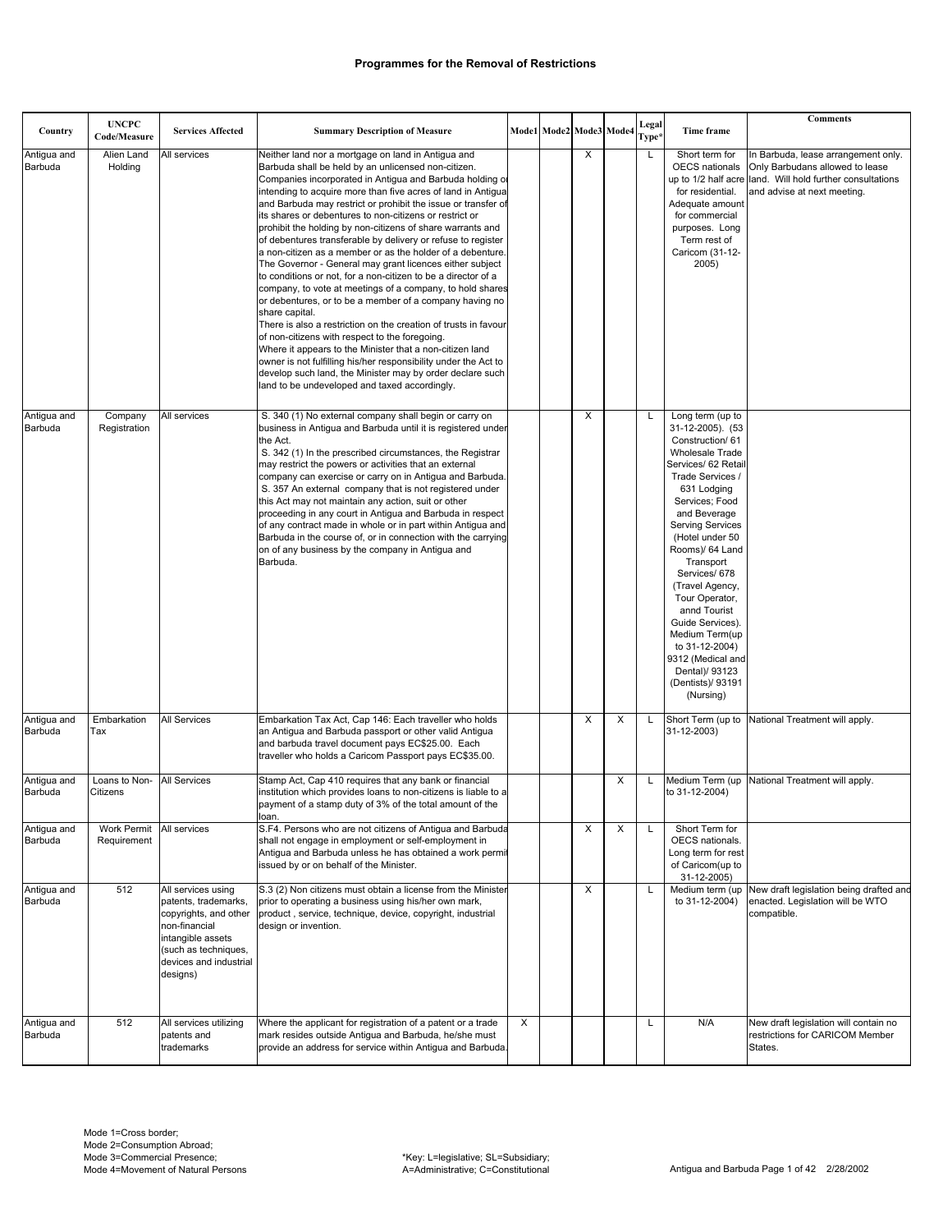| Country                | <b>UNCPC</b><br>Code/Measure | <b>Services Affected</b>                                                                                                                                                | <b>Summary Description of Measure</b>                                                                                                                                                                                                                                                                                                                                                                                                                                                                                                                                                                                                                                                                                                                                                                                                                                                                                                                                                                                                                                                                                                                                                                 |   | Mode1 Mode2 Mode3 Mode4 |   | Legal<br>Type* | Time frame                                                                                                                                                                                                                                                                                                                                                                                                                                                         | <b>Comments</b>                                                                                                                                |
|------------------------|------------------------------|-------------------------------------------------------------------------------------------------------------------------------------------------------------------------|-------------------------------------------------------------------------------------------------------------------------------------------------------------------------------------------------------------------------------------------------------------------------------------------------------------------------------------------------------------------------------------------------------------------------------------------------------------------------------------------------------------------------------------------------------------------------------------------------------------------------------------------------------------------------------------------------------------------------------------------------------------------------------------------------------------------------------------------------------------------------------------------------------------------------------------------------------------------------------------------------------------------------------------------------------------------------------------------------------------------------------------------------------------------------------------------------------|---|-------------------------|---|----------------|--------------------------------------------------------------------------------------------------------------------------------------------------------------------------------------------------------------------------------------------------------------------------------------------------------------------------------------------------------------------------------------------------------------------------------------------------------------------|------------------------------------------------------------------------------------------------------------------------------------------------|
| Antigua and<br>Barbuda | Alien Land<br>Holding        | All services                                                                                                                                                            | Neither land nor a mortgage on land in Antigua and<br>Barbuda shall be held by an unlicensed non-citizen.<br>Companies incorporated in Antigua and Barbuda holding o<br>intending to acquire more than five acres of land in Antigua<br>and Barbuda may restrict or prohibit the issue or transfer of<br>its shares or debentures to non-citizens or restrict or<br>prohibit the holding by non-citizens of share warrants and<br>of debentures transferable by delivery or refuse to register<br>a non-citizen as a member or as the holder of a debenture.<br>The Governor - General may grant licences either subject<br>to conditions or not, for a non-citizen to be a director of a<br>company, to vote at meetings of a company, to hold shares<br>or debentures, or to be a member of a company having no<br>share capital.<br>There is also a restriction on the creation of trusts in favour<br>of non-citizens with respect to the foregoing.<br>Where it appears to the Minister that a non-citizen land<br>owner is not fulfilling his/her responsibility under the Act to<br>develop such land, the Minister may by order declare such<br>land to be undeveloped and taxed accordingly. |   | X                       |   | L              | Short term for<br>OECS nationals<br>up to 1/2 half acre<br>for residential.<br>Adequate amount<br>for commercial<br>purposes. Long<br>Term rest of<br>Caricom (31-12-<br>2005)                                                                                                                                                                                                                                                                                     | In Barbuda, lease arrangement only.<br>Only Barbudans allowed to lease<br>land. Will hold further consultations<br>and advise at next meeting. |
| Antigua and<br>Barbuda | Company<br>Registration      | All services                                                                                                                                                            | S. 340 (1) No external company shall begin or carry on<br>business in Antiqua and Barbuda until it is registered under<br>the Act.<br>S. 342 (1) In the prescribed circumstances, the Registrar<br>may restrict the powers or activities that an external<br>company can exercise or carry on in Antigua and Barbuda.<br>S. 357 An external company that is not registered under<br>this Act may not maintain any action, suit or other<br>proceeding in any court in Antigua and Barbuda in respect<br>of any contract made in whole or in part within Antigua and<br>Barbuda in the course of, or in connection with the carrying<br>on of any business by the company in Antiqua and<br>Barbuda.                                                                                                                                                                                                                                                                                                                                                                                                                                                                                                   |   | X                       |   | L              | Long term (up to<br>31-12-2005). (53<br>Construction/61<br><b>Wholesale Trade</b><br>Services/ 62 Retail<br>Trade Services /<br>631 Lodging<br>Services; Food<br>and Beverage<br><b>Serving Services</b><br>(Hotel under 50<br>Rooms)/ 64 Land<br>Transport<br>Services/ 678<br>(Travel Agency,<br>Tour Operator,<br>annd Tourist<br>Guide Services).<br>Medium Term(up<br>to 31-12-2004)<br>9312 (Medical and<br>Dental)/ 93123<br>(Dentists)/ 93191<br>(Nursing) |                                                                                                                                                |
| Antigua and<br>Barbuda | Embarkation<br>Tax           | All Services                                                                                                                                                            | Embarkation Tax Act, Cap 146: Each traveller who holds<br>an Antigua and Barbuda passport or other valid Antigua<br>and barbuda travel document pays EC\$25.00. Each<br>traveller who holds a Caricom Passport pays EC\$35.00.                                                                                                                                                                                                                                                                                                                                                                                                                                                                                                                                                                                                                                                                                                                                                                                                                                                                                                                                                                        |   | X                       | X |                | Short Term (up to<br>31-12-2003)                                                                                                                                                                                                                                                                                                                                                                                                                                   | National Treatment will apply.                                                                                                                 |
| Antigua and<br>Barbuda | Loans to Non-<br>Citizens    | All Services                                                                                                                                                            | Stamp Act, Cap 410 requires that any bank or financial<br>institution which provides loans to non-citizens is liable to a<br>payment of a stamp duty of 3% of the total amount of the<br>loan.                                                                                                                                                                                                                                                                                                                                                                                                                                                                                                                                                                                                                                                                                                                                                                                                                                                                                                                                                                                                        |   |                         | х |                | Medium Term (up<br>to 31-12-2004)                                                                                                                                                                                                                                                                                                                                                                                                                                  | National Treatment will apply.                                                                                                                 |
| Antigua and<br>Barbuda | Work Permit<br>Requirement   | All services                                                                                                                                                            | S.F4. Persons who are not citizens of Antigua and Barbuda<br>shall not engage in employment or self-employment in<br>Antigua and Barbuda unless he has obtained a work permit<br>issued by or on behalf of the Minister.                                                                                                                                                                                                                                                                                                                                                                                                                                                                                                                                                                                                                                                                                                                                                                                                                                                                                                                                                                              |   | X                       | X | L              | Short Term for<br>OECS nationals.<br>Long term for rest<br>of Caricom(up to<br>31-12-2005)                                                                                                                                                                                                                                                                                                                                                                         |                                                                                                                                                |
| Antigua and<br>Barbuda | 512                          | All services using<br>patents, trademarks,<br>copyrights, and other<br>non-financial<br>intangible assets<br>(such as techniques,<br>devices and industrial<br>designs) | S.3 (2) Non citizens must obtain a license from the Minister<br>prior to operating a business using his/her own mark,<br>product, service, technique, device, copyright, industrial<br>design or invention.                                                                                                                                                                                                                                                                                                                                                                                                                                                                                                                                                                                                                                                                                                                                                                                                                                                                                                                                                                                           |   | X                       |   | L              | to 31-12-2004)                                                                                                                                                                                                                                                                                                                                                                                                                                                     | Medium term (up New draft legislation being drafted and<br>enacted. Legislation will be WTO<br>compatible.                                     |
| Antigua and<br>Barbuda | 512                          | All services utilizing<br>patents and<br>trademarks                                                                                                                     | Where the applicant for registration of a patent or a trade<br>mark resides outside Antigua and Barbuda, he/she must<br>provide an address for service within Antigua and Barbuda.                                                                                                                                                                                                                                                                                                                                                                                                                                                                                                                                                                                                                                                                                                                                                                                                                                                                                                                                                                                                                    | Χ |                         |   | L              | N/A                                                                                                                                                                                                                                                                                                                                                                                                                                                                | New draft legislation will contain no<br>restrictions for CARICOM Member<br>States.                                                            |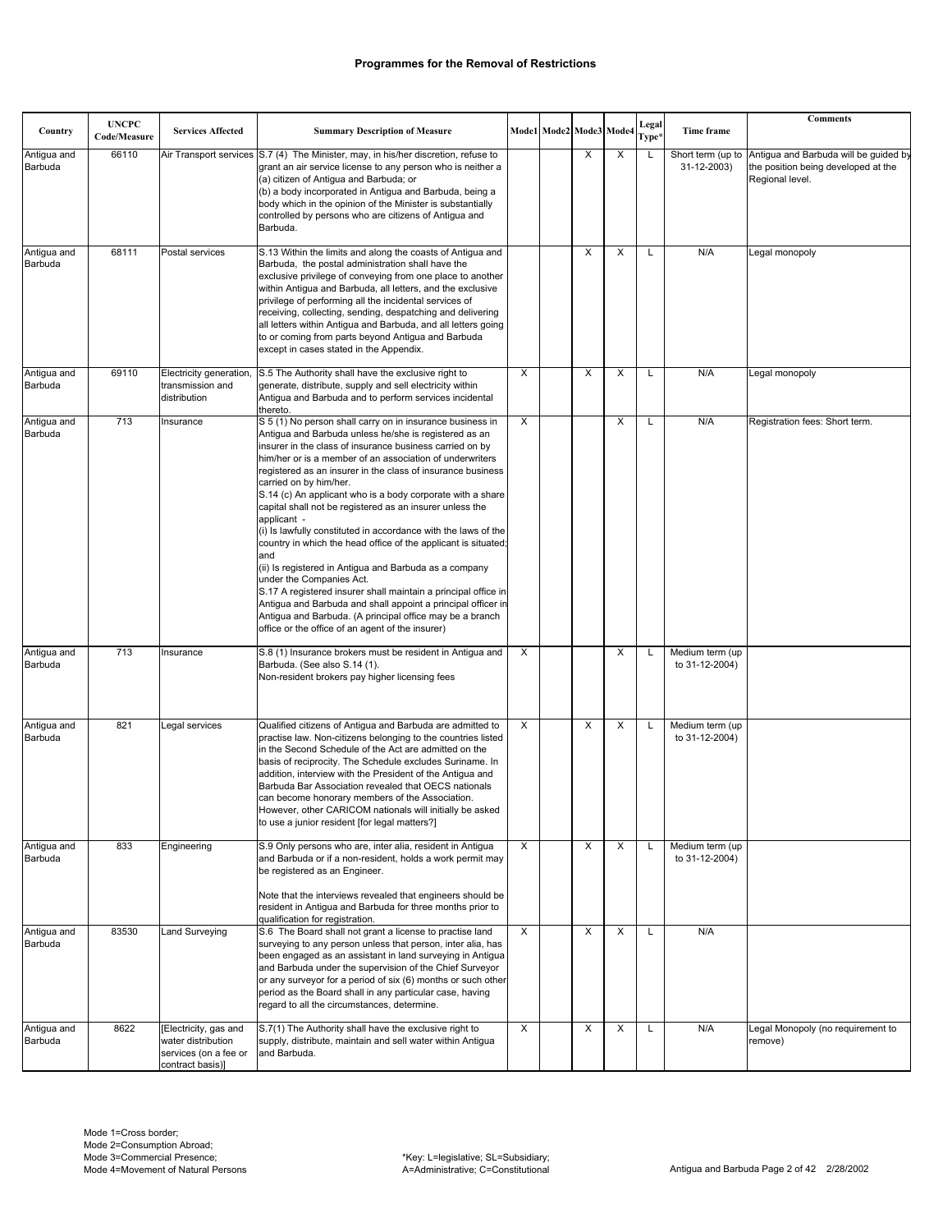|                        | <b>UNCPC</b> |                                                                                          |                                                                                                                                                                                                                                                                                                                                                                                                                                                                                                                                                                                                                                                                                                                                                                                                                                                                                                                                                                 |   |                         |   |   | Legal |                                   | <b>Comments</b>                                                                                 |
|------------------------|--------------|------------------------------------------------------------------------------------------|-----------------------------------------------------------------------------------------------------------------------------------------------------------------------------------------------------------------------------------------------------------------------------------------------------------------------------------------------------------------------------------------------------------------------------------------------------------------------------------------------------------------------------------------------------------------------------------------------------------------------------------------------------------------------------------------------------------------------------------------------------------------------------------------------------------------------------------------------------------------------------------------------------------------------------------------------------------------|---|-------------------------|---|---|-------|-----------------------------------|-------------------------------------------------------------------------------------------------|
| Country                | Code/Measure | <b>Services Affected</b>                                                                 | <b>Summary Description of Measure</b>                                                                                                                                                                                                                                                                                                                                                                                                                                                                                                                                                                                                                                                                                                                                                                                                                                                                                                                           |   | Mode1 Mode2 Mode3 Mode4 |   |   | Type* | Time frame                        |                                                                                                 |
| Antigua and<br>Barbuda | 66110        |                                                                                          | Air Transport services (S.7 (4) The Minister, may, in his/her discretion, refuse to<br>grant an air service license to any person who is neither a<br>(a) citizen of Antigua and Barbuda; or<br>(b) a body incorporated in Antigua and Barbuda, being a<br>body which in the opinion of the Minister is substantially<br>controlled by persons who are citizens of Antiqua and<br>Barbuda.                                                                                                                                                                                                                                                                                                                                                                                                                                                                                                                                                                      |   |                         | X | X | L     | Short term (up to<br>31-12-2003)  | Antigua and Barbuda will be guided by<br>the position being developed at the<br>Regional level. |
| Antigua and<br>Barbuda | 68111        | Postal services                                                                          | S.13 Within the limits and along the coasts of Antigua and<br>Barbuda, the postal administration shall have the<br>exclusive privilege of conveying from one place to another<br>within Antigua and Barbuda, all letters, and the exclusive<br>privilege of performing all the incidental services of<br>receiving, collecting, sending, despatching and delivering<br>all letters within Antigua and Barbuda, and all letters going<br>to or coming from parts beyond Antigua and Barbuda<br>except in cases stated in the Appendix.                                                                                                                                                                                                                                                                                                                                                                                                                           |   |                         | X | X | L     | N/A                               | Legal monopoly                                                                                  |
| Antigua and<br>Barbuda | 69110        | Electricity generation<br>transmission and<br>distribution                               | S.5 The Authority shall have the exclusive right to<br>generate, distribute, supply and sell electricity within<br>Antigua and Barbuda and to perform services incidental<br>thereto.                                                                                                                                                                                                                                                                                                                                                                                                                                                                                                                                                                                                                                                                                                                                                                           | X |                         | X | X | L     | N/A                               | Legal monopoly                                                                                  |
| Antigua and<br>Barbuda | 713          | Insurance                                                                                | S 5 (1) No person shall carry on in insurance business in<br>Antigua and Barbuda unless he/she is registered as an<br>insurer in the class of insurance business carried on by<br>him/her or is a member of an association of underwriters<br>registered as an insurer in the class of insurance business<br>carried on by him/her.<br>S.14 (c) An applicant who is a body corporate with a share<br>capital shall not be registered as an insurer unless the<br>applicant -<br>(i) Is lawfully constituted in accordance with the laws of the<br>country in which the head office of the applicant is situated;<br>and<br>(ii) Is registered in Antigua and Barbuda as a company<br>under the Companies Act.<br>S.17 A registered insurer shall maintain a principal office in<br>Antigua and Barbuda and shall appoint a principal officer in<br>Antigua and Barbuda. (A principal office may be a branch<br>office or the office of an agent of the insurer) | X |                         |   | X | L     | N/A                               | Registration fees: Short term.                                                                  |
| Antigua and<br>Barbuda | 713          | Insurance                                                                                | S.8 (1) Insurance brokers must be resident in Antigua and<br>Barbuda. (See also S.14 (1).<br>Non-resident brokers pay higher licensing fees                                                                                                                                                                                                                                                                                                                                                                                                                                                                                                                                                                                                                                                                                                                                                                                                                     | X |                         |   | X |       | Medium term (up<br>to 31-12-2004) |                                                                                                 |
| Antigua and<br>Barbuda | 821          | Legal services                                                                           | Qualified citizens of Antigua and Barbuda are admitted to<br>practise law. Non-citizens belonging to the countries listed<br>in the Second Schedule of the Act are admitted on the<br>basis of reciprocity. The Schedule excludes Suriname. In<br>addition, interview with the President of the Antigua and<br>Barbuda Bar Association revealed that OECS nationals<br>can become honorary members of the Association.<br>However, other CARICOM nationals will initially be asked<br>to use a junior resident [for legal matters?]                                                                                                                                                                                                                                                                                                                                                                                                                             | X |                         | X | X |       | Medium term (up<br>to 31-12-2004) |                                                                                                 |
| Antigua and<br>Barbuda | 833          | Engineering                                                                              | S.9 Only persons who are, inter alia, resident in Antigua<br>and Barbuda or if a non-resident, holds a work permit may<br>be registered as an Engineer.<br>Note that the interviews revealed that engineers should be<br>resident in Antigua and Barbuda for three months prior to<br>qualification for registration.                                                                                                                                                                                                                                                                                                                                                                                                                                                                                                                                                                                                                                           | X |                         | X | X |       | Medium term (up<br>to 31-12-2004) |                                                                                                 |
| Antigua and<br>Barbuda | 83530        | Land Surveying                                                                           | S.6 The Board shall not grant a license to practise land<br>surveying to any person unless that person, inter alia, has<br>been engaged as an assistant in land surveying in Antigua<br>and Barbuda under the supervision of the Chief Surveyor<br>or any surveyor for a period of six (6) months or such other<br>period as the Board shall in any particular case, having<br>regard to all the circumstances, determine.                                                                                                                                                                                                                                                                                                                                                                                                                                                                                                                                      | X |                         | X | X | L     | N/A                               |                                                                                                 |
| Antigua and<br>Barbuda | 8622         | [Electricity, gas and<br>water distribution<br>services (on a fee or<br>contract basis)] | S.7(1) The Authority shall have the exclusive right to<br>supply, distribute, maintain and sell water within Antigua<br>and Barbuda.                                                                                                                                                                                                                                                                                                                                                                                                                                                                                                                                                                                                                                                                                                                                                                                                                            | X |                         | х | X | Г     | N/A                               | Legal Monopoly (no requirement to<br>remove)                                                    |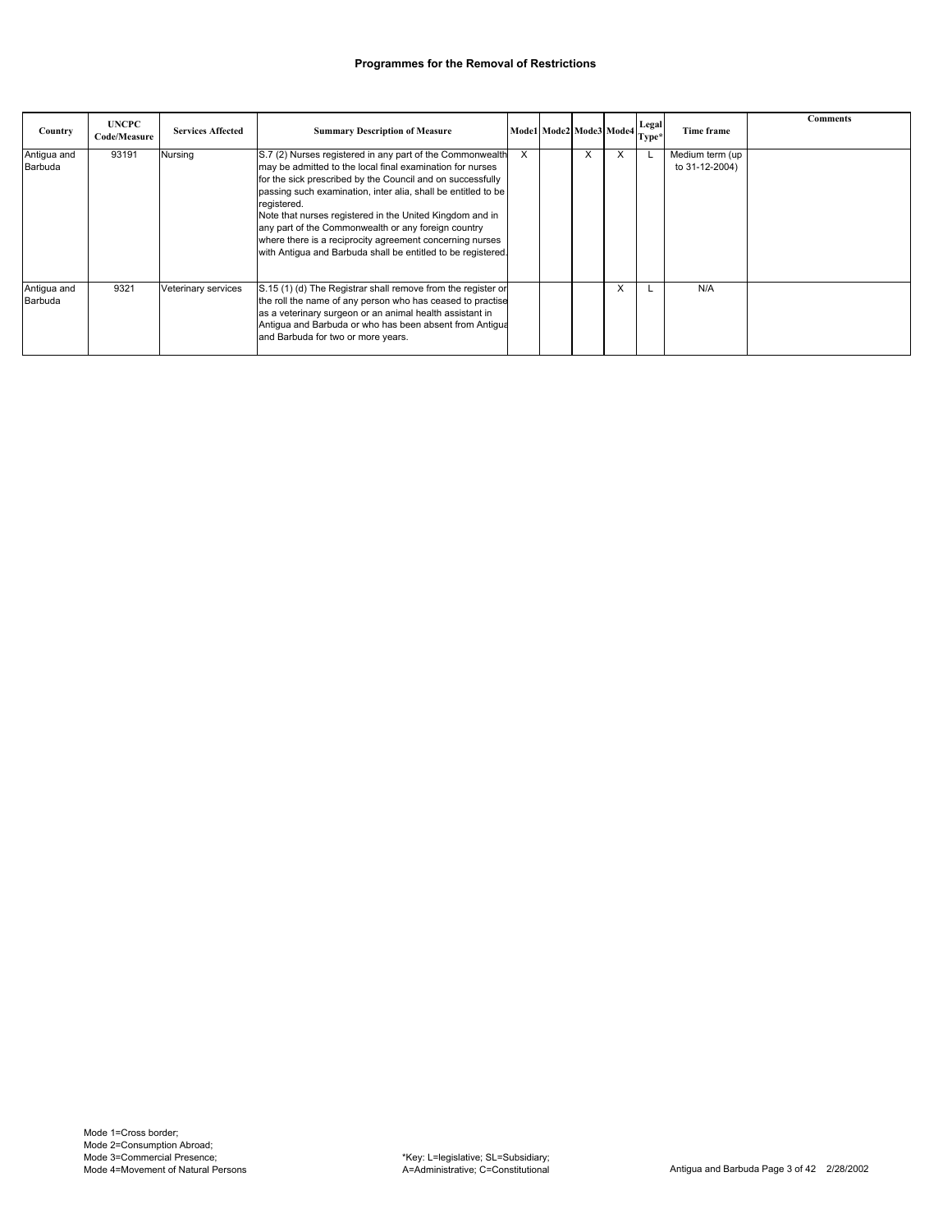| Country                | <b>UNCPC</b><br>Code/Measure | <b>Services Affected</b> | <b>Summary Description of Measure</b>                                                                                                                                                                                                                                                                                                                                                                                                                                                                               |   | Mode1 Mode2 Mode3 Mode4 Legal |   | Time frame                        | <b>Comments</b> |
|------------------------|------------------------------|--------------------------|---------------------------------------------------------------------------------------------------------------------------------------------------------------------------------------------------------------------------------------------------------------------------------------------------------------------------------------------------------------------------------------------------------------------------------------------------------------------------------------------------------------------|---|-------------------------------|---|-----------------------------------|-----------------|
| Antigua and<br>Barbuda | 93191                        | Nursing                  | S.7 (2) Nurses registered in any part of the Commonwealth<br>may be admitted to the local final examination for nurses<br>for the sick prescribed by the Council and on successfully<br>passing such examination, inter alia, shall be entitled to be<br>registered.<br>Note that nurses registered in the United Kingdom and in<br>any part of the Commonwealth or any foreign country<br>where there is a reciprocity agreement concerning nurses<br>with Antiqua and Barbuda shall be entitled to be registered. | X | X                             | X | Medium term (up<br>to 31-12-2004) |                 |
| Antigua and<br>Barbuda | 9321                         | Veterinary services      | S.15 (1) (d) The Registrar shall remove from the register or<br>the roll the name of any person who has ceased to practise<br>as a veterinary surgeon or an animal health assistant in<br>Antiqua and Barbuda or who has been absent from Antiqua<br>and Barbuda for two or more years.                                                                                                                                                                                                                             |   |                               | X | N/A                               |                 |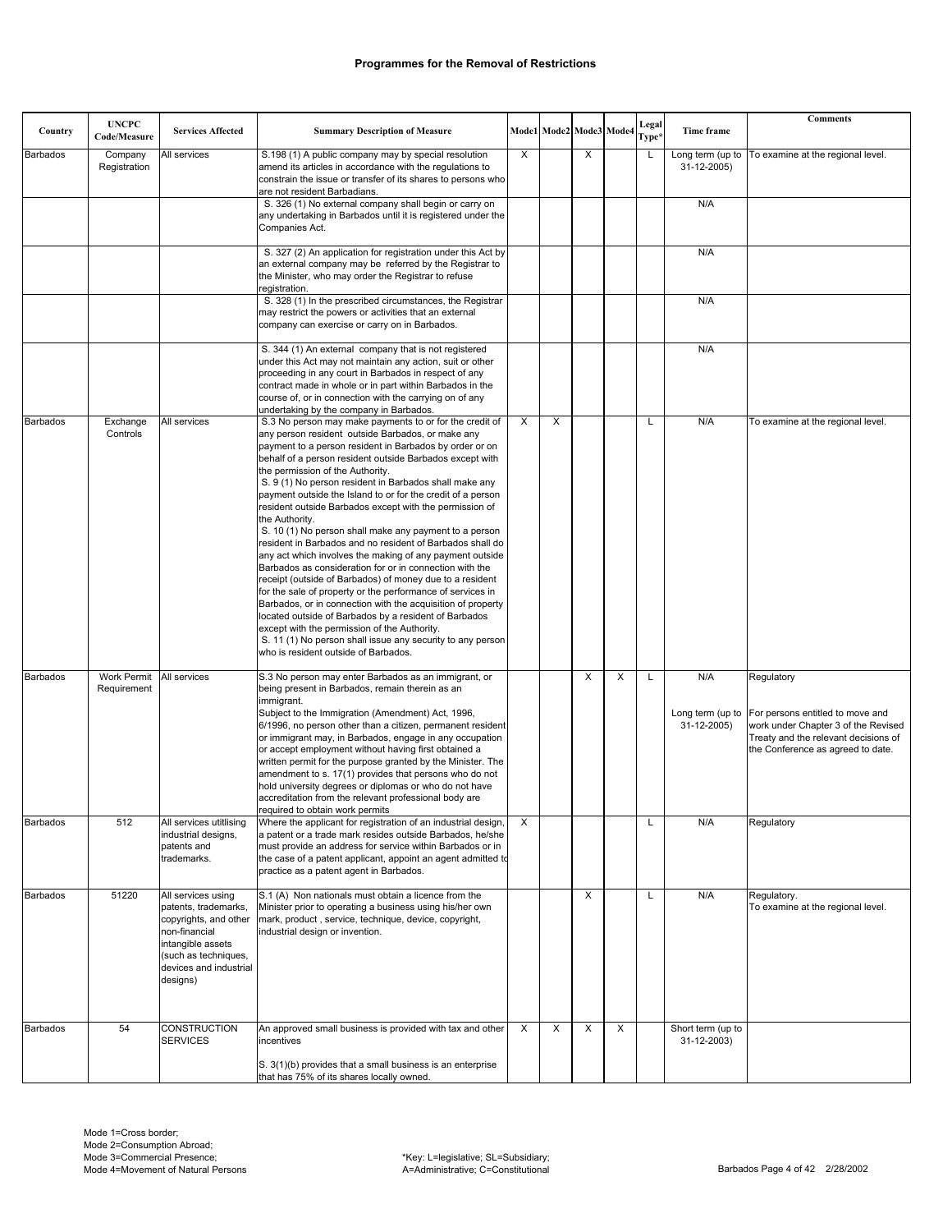| Country         | <b>UNCPC</b><br>Code/Measure | <b>Services Affected</b>                                                                                                                                                | <b>Summary Description of Measure</b>                                                                                                                                                                                                                                                                                                                                                                                                                                                                                                                                                                                                                                                                                                                                                                                                                                                                                                                                                                                                                                                                                               |   | Mode1 Mode2 Mode3 Mode4 |   |                         | Legal<br>Type* | Time frame                       | <b>Comments</b>                                                                                                                                                                     |
|-----------------|------------------------------|-------------------------------------------------------------------------------------------------------------------------------------------------------------------------|-------------------------------------------------------------------------------------------------------------------------------------------------------------------------------------------------------------------------------------------------------------------------------------------------------------------------------------------------------------------------------------------------------------------------------------------------------------------------------------------------------------------------------------------------------------------------------------------------------------------------------------------------------------------------------------------------------------------------------------------------------------------------------------------------------------------------------------------------------------------------------------------------------------------------------------------------------------------------------------------------------------------------------------------------------------------------------------------------------------------------------------|---|-------------------------|---|-------------------------|----------------|----------------------------------|-------------------------------------------------------------------------------------------------------------------------------------------------------------------------------------|
| <b>Barbados</b> | Company<br>Registration      | All services                                                                                                                                                            | S.198 (1) A public company may by special resolution<br>amend its articles in accordance with the regulations to<br>constrain the issue or transfer of its shares to persons who<br>are not resident Barbadians.                                                                                                                                                                                                                                                                                                                                                                                                                                                                                                                                                                                                                                                                                                                                                                                                                                                                                                                    | Χ |                         | X |                         | L              | Long term (up to<br>31-12-2005)  | To examine at the regional level.                                                                                                                                                   |
|                 |                              |                                                                                                                                                                         | S. 326 (1) No external company shall begin or carry on<br>any undertaking in Barbados until it is registered under the<br>Companies Act.                                                                                                                                                                                                                                                                                                                                                                                                                                                                                                                                                                                                                                                                                                                                                                                                                                                                                                                                                                                            |   |                         |   |                         |                | N/A                              |                                                                                                                                                                                     |
|                 |                              |                                                                                                                                                                         | S. 327 (2) An application for registration under this Act by<br>an external company may be referred by the Registrar to<br>the Minister, who may order the Registrar to refuse<br>registration.                                                                                                                                                                                                                                                                                                                                                                                                                                                                                                                                                                                                                                                                                                                                                                                                                                                                                                                                     |   |                         |   |                         |                | N/A                              |                                                                                                                                                                                     |
|                 |                              |                                                                                                                                                                         | S. 328 (1) In the prescribed circumstances, the Registrar<br>may restrict the powers or activities that an external<br>company can exercise or carry on in Barbados.                                                                                                                                                                                                                                                                                                                                                                                                                                                                                                                                                                                                                                                                                                                                                                                                                                                                                                                                                                |   |                         |   |                         |                | N/A                              |                                                                                                                                                                                     |
|                 |                              |                                                                                                                                                                         | S. 344 (1) An external company that is not registered<br>under this Act may not maintain any action, suit or other<br>proceeding in any court in Barbados in respect of any<br>contract made in whole or in part within Barbados in the<br>course of, or in connection with the carrying on of any<br>undertaking by the company in Barbados.                                                                                                                                                                                                                                                                                                                                                                                                                                                                                                                                                                                                                                                                                                                                                                                       |   |                         |   |                         |                | N/A                              |                                                                                                                                                                                     |
| <b>Barbados</b> | Exchange<br>Controls         | All services                                                                                                                                                            | S.3 No person may make payments to or for the credit of<br>any person resident outside Barbados, or make any<br>payment to a person resident in Barbados by order or on<br>behalf of a person resident outside Barbados except with<br>the permission of the Authority.<br>S. 9 (1) No person resident in Barbados shall make any<br>payment outside the Island to or for the credit of a person<br>resident outside Barbados except with the permission of<br>the Authority.<br>S. 10 (1) No person shall make any payment to a person<br>resident in Barbados and no resident of Barbados shall do<br>any act which involves the making of any payment outside<br>Barbados as consideration for or in connection with the<br>receipt (outside of Barbados) of money due to a resident<br>for the sale of property or the performance of services in<br>Barbados, or in connection with the acquisition of property<br>located outside of Barbados by a resident of Barbados<br>except with the permission of the Authority.<br>S. 11 (1) No person shall issue any security to any person<br>who is resident outside of Barbados. | X | X                       |   |                         | L              | N/A                              | To examine at the regional level.                                                                                                                                                   |
| <b>Barbados</b> | Work Permit<br>Requirement   | All services                                                                                                                                                            | S.3 No person may enter Barbados as an immigrant, or<br>being present in Barbados, remain therein as an<br>immigrant.<br>Subject to the Immigration (Amendment) Act, 1996,<br>6/1996, no person other than a citizen, permanent resident<br>or immigrant may, in Barbados, engage in any occupation<br>or accept employment without having first obtained a<br>written permit for the purpose granted by the Minister. The<br>amendment to s. 17(1) provides that persons who do not<br>hold university degrees or diplomas or who do not have<br>accreditation from the relevant professional body are<br>required to obtain work permits                                                                                                                                                                                                                                                                                                                                                                                                                                                                                          |   |                         | X | $\overline{\mathsf{x}}$ | L              | N/A<br>31-12-2005)               | Regulatory<br>Long term (up to For persons entitled to move and<br>work under Chapter 3 of the Revised<br>Treaty and the relevant decisions of<br>the Conference as agreed to date. |
| <b>Barbados</b> | 512                          | All services utitlising<br>industrial designs,<br>patents and<br>trademarks.                                                                                            | Where the applicant for registration of an industrial design,<br>a patent or a trade mark resides outside Barbados, he/she<br>must provide an address for service within Barbados or in<br>the case of a patent applicant, appoint an agent admitted to<br>practice as a patent agent in Barbados.                                                                                                                                                                                                                                                                                                                                                                                                                                                                                                                                                                                                                                                                                                                                                                                                                                  | Χ |                         |   |                         | L              | N/A                              | Regulatory                                                                                                                                                                          |
| <b>Barbados</b> | 51220                        | All services using<br>patents, trademarks,<br>copyrights, and other<br>non-financial<br>intangible assets<br>(such as techniques,<br>devices and industrial<br>designs) | S.1 (A) Non nationals must obtain a licence from the<br>Minister prior to operating a business using his/her own<br>mark, product, service, technique, device, copyright,<br>industrial design or invention.                                                                                                                                                                                                                                                                                                                                                                                                                                                                                                                                                                                                                                                                                                                                                                                                                                                                                                                        |   |                         | X |                         | Г              | N/A                              | Regulatory.<br>To examine at the regional level.                                                                                                                                    |
| <b>Barbados</b> | 54                           | CONSTRUCTION<br><b>SERVICES</b>                                                                                                                                         | An approved small business is provided with tax and other<br>incentives<br>S. 3(1)(b) provides that a small business is an enterprise<br>that has 75% of its shares locally owned.                                                                                                                                                                                                                                                                                                                                                                                                                                                                                                                                                                                                                                                                                                                                                                                                                                                                                                                                                  | X | X                       | X | X                       |                | Short term (up to<br>31-12-2003) |                                                                                                                                                                                     |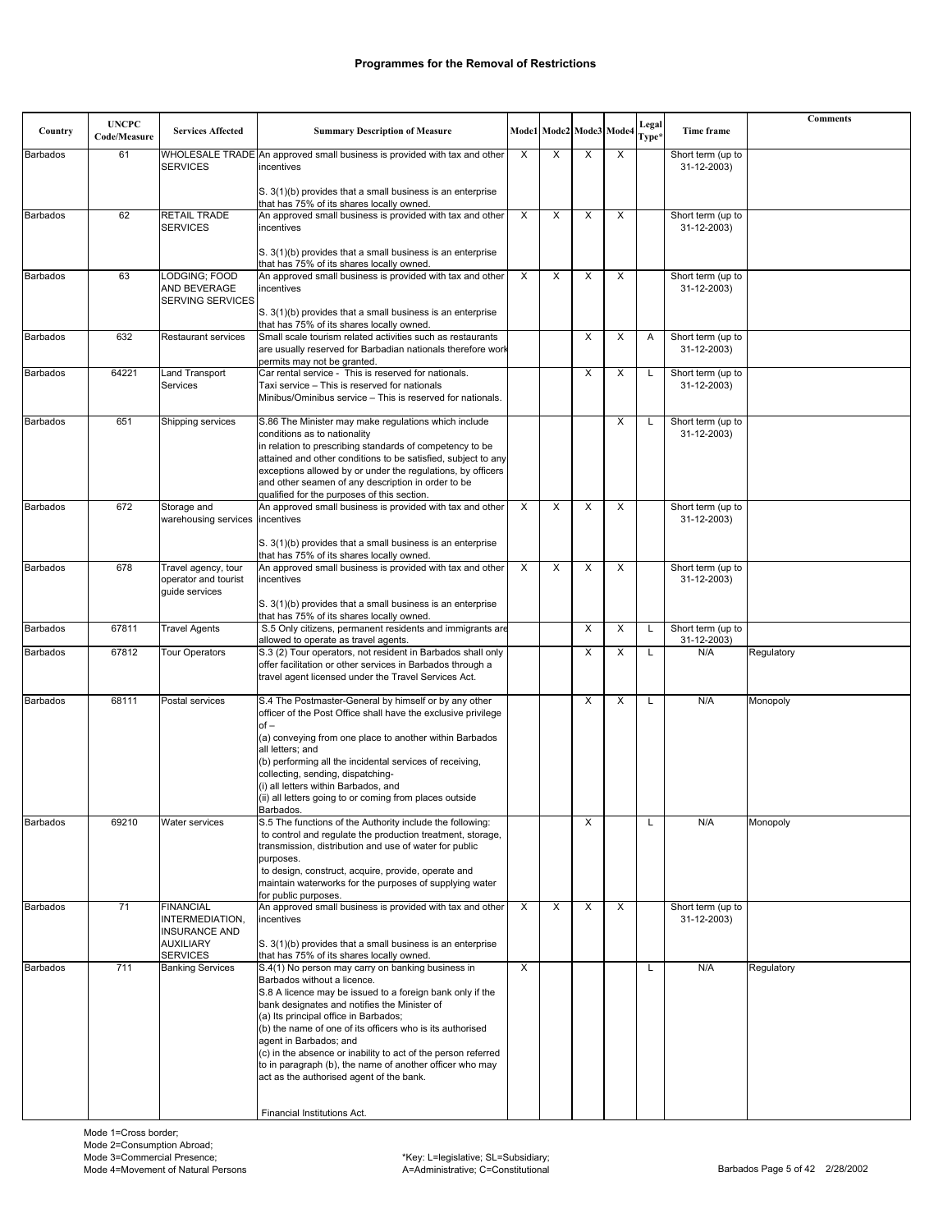| Country         | <b>UNCPC</b><br>Code/Measure | <b>Services Affected</b>                                                                           | <b>Summary Description of Measure</b>                                                                                                                                                                                                                                                                                                                                                                                                                                                                                                 |   | Mode1 Mode2 Mode3 Mode4 |   |          | Legal<br>Type <sup>3</sup> | Time frame                       | <b>Comments</b> |
|-----------------|------------------------------|----------------------------------------------------------------------------------------------------|---------------------------------------------------------------------------------------------------------------------------------------------------------------------------------------------------------------------------------------------------------------------------------------------------------------------------------------------------------------------------------------------------------------------------------------------------------------------------------------------------------------------------------------|---|-------------------------|---|----------|----------------------------|----------------------------------|-----------------|
| <b>Barbados</b> | 61                           |                                                                                                    | WHOLESALE TRADE An approved small business is provided with tax and other                                                                                                                                                                                                                                                                                                                                                                                                                                                             | X | X                       | X | X        |                            | Short term (up to                |                 |
|                 |                              | <b>SERVICES</b>                                                                                    | incentives                                                                                                                                                                                                                                                                                                                                                                                                                                                                                                                            |   |                         |   |          |                            | 31-12-2003)                      |                 |
|                 |                              |                                                                                                    | S. 3(1)(b) provides that a small business is an enterprise<br>that has 75% of its shares locally owned.                                                                                                                                                                                                                                                                                                                                                                                                                               |   |                         |   |          |                            |                                  |                 |
| <b>Barbados</b> | 62                           | <b>RETAIL TRADE</b><br><b>SERVICES</b>                                                             | An approved small business is provided with tax and other<br>incentives                                                                                                                                                                                                                                                                                                                                                                                                                                                               | X | X                       | X | X        |                            | Short term (up to<br>31-12-2003) |                 |
|                 |                              |                                                                                                    | S. 3(1)(b) provides that a small business is an enterprise<br>that has 75% of its shares locally owned.                                                                                                                                                                                                                                                                                                                                                                                                                               |   |                         |   |          |                            |                                  |                 |
| <b>Barbados</b> | 63                           | LODGING: FOOD<br>AND BEVERAGE<br><b>SERVING SERVICES</b>                                           | An approved small business is provided with tax and other<br>incentives                                                                                                                                                                                                                                                                                                                                                                                                                                                               | X | X                       | X | X        |                            | Short term (up to<br>31-12-2003) |                 |
|                 |                              |                                                                                                    | S. 3(1)(b) provides that a small business is an enterprise<br>that has 75% of its shares locally owned.                                                                                                                                                                                                                                                                                                                                                                                                                               |   |                         |   |          |                            |                                  |                 |
| <b>Barbados</b> | 632                          | <b>Restaurant services</b>                                                                         | Small scale tourism related activities such as restaurants<br>are usually reserved for Barbadian nationals therefore work<br>permits may not be granted.                                                                                                                                                                                                                                                                                                                                                                              |   |                         | X | $\times$ | Α                          | Short term (up to<br>31-12-2003) |                 |
| <b>Barbados</b> | 64221                        | <b>Land Transport</b><br>Services                                                                  | Car rental service - This is reserved for nationals.<br>Taxi service - This is reserved for nationals<br>Minibus/Ominibus service - This is reserved for nationals.                                                                                                                                                                                                                                                                                                                                                                   |   |                         | X | X        | L                          | Short term (up to<br>31-12-2003) |                 |
| <b>Barbados</b> | 651                          | Shipping services                                                                                  | S.86 The Minister may make regulations which include<br>conditions as to nationality<br>in relation to prescribing standards of competency to be<br>attained and other conditions to be satisfied, subject to any<br>exceptions allowed by or under the regulations, by officers<br>and other seamen of any description in order to be<br>qualified for the purposes of this section.                                                                                                                                                 |   |                         |   | X        | L                          | Short term (up to<br>31-12-2003) |                 |
| <b>Barbados</b> | 672                          | Storage and<br>warehousing services incentives                                                     | An approved small business is provided with tax and other                                                                                                                                                                                                                                                                                                                                                                                                                                                                             | X | X                       | X | X        |                            | Short term (up to<br>31-12-2003) |                 |
|                 |                              |                                                                                                    | S. 3(1)(b) provides that a small business is an enterprise<br>that has 75% of its shares locally owned.                                                                                                                                                                                                                                                                                                                                                                                                                               |   |                         |   |          |                            |                                  |                 |
| <b>Barbados</b> | 678                          | Travel agency, tour<br>operator and tourist<br>quide services                                      | An approved small business is provided with tax and other<br>incentives                                                                                                                                                                                                                                                                                                                                                                                                                                                               | X | X                       | X | X        |                            | Short term (up to<br>31-12-2003) |                 |
|                 |                              |                                                                                                    | S. 3(1)(b) provides that a small business is an enterprise<br>that has 75% of its shares locally owned.                                                                                                                                                                                                                                                                                                                                                                                                                               |   |                         |   |          |                            |                                  |                 |
| <b>Barbados</b> | 67811                        | <b>Travel Agents</b>                                                                               | S.5 Only citizens, permanent residents and immigrants are<br>allowed to operate as travel agents.                                                                                                                                                                                                                                                                                                                                                                                                                                     |   |                         | X | X        | Г                          | Short term (up to<br>31-12-2003) |                 |
| <b>Barbados</b> | 67812                        | <b>Tour Operators</b>                                                                              | S.3 (2) Tour operators, not resident in Barbados shall only<br>offer facilitation or other services in Barbados through a<br>travel agent licensed under the Travel Services Act.                                                                                                                                                                                                                                                                                                                                                     |   |                         | X | X        | L                          | N/A                              | Regulatory      |
| <b>Barbados</b> | 68111                        | Postal services                                                                                    | S.4 The Postmaster-General by himself or by any other<br>officer of the Post Office shall have the exclusive privilege<br>$of -$<br>(a) conveying from one place to another within Barbados<br>all letters; and<br>(b) performing all the incidental services of receiving,<br>collecting, sending, dispatching-<br>(i) all letters within Barbados, and<br>(ii) all letters going to or coming from places outside<br>Barbados.                                                                                                      |   |                         | X | X        | L                          | N/A                              | Monopoly        |
| Barbados        | 69210                        | Water services                                                                                     | S.5 The functions of the Authority include the following:<br>to control and regulate the production treatment, storage,<br>transmission, distribution and use of water for public<br>purposes.<br>to design, construct, acquire, provide, operate and<br>maintain waterworks for the purposes of supplying water<br>for public purposes.                                                                                                                                                                                              |   |                         | X |          |                            | N/A                              | Monopoly        |
| <b>Barbados</b> | 71                           | <b>FINANCIAL</b><br>INTERMEDIATION,<br><b>INSURANCE AND</b><br><b>AUXILIARY</b><br><b>SERVICES</b> | An approved small business is provided with tax and other<br>incentives<br>S. 3(1)(b) provides that a small business is an enterprise<br>that has 75% of its shares locally owned.                                                                                                                                                                                                                                                                                                                                                    | X | X                       | X | X        |                            | Short term (up to<br>31-12-2003) |                 |
| Barbados        | 711                          | <b>Banking Services</b>                                                                            | S.4(1) No person may carry on banking business in<br>Barbados without a licence.<br>S.8 A licence may be issued to a foreign bank only if the<br>bank designates and notifies the Minister of<br>(a) Its principal office in Barbados;<br>(b) the name of one of its officers who is its authorised<br>agent in Barbados; and<br>(c) in the absence or inability to act of the person referred<br>to in paragraph (b), the name of another officer who may<br>act as the authorised agent of the bank.<br>Financial Institutions Act. | X |                         |   |          | L                          | N/A                              | Regulatory      |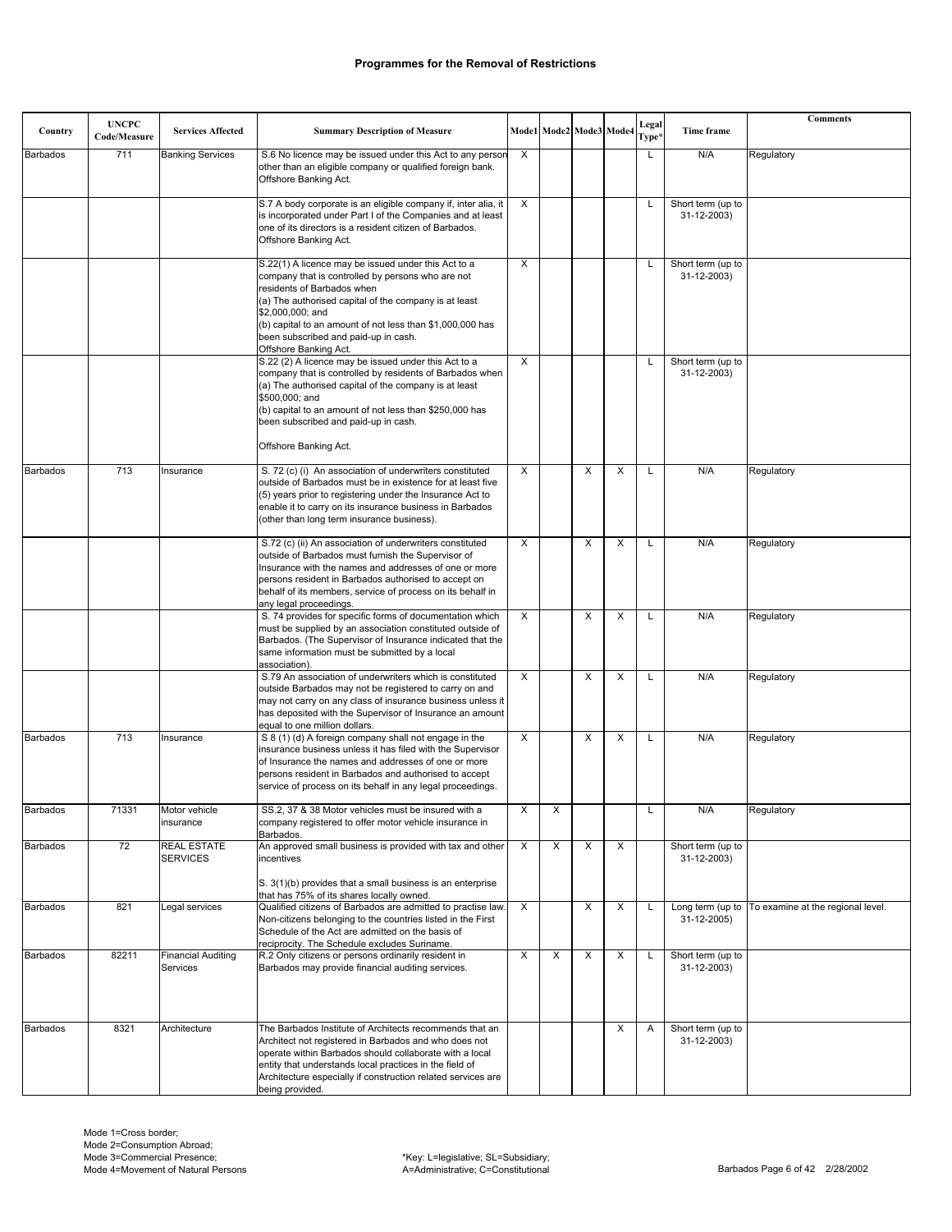|                 | <b>UNCPC</b> |                                       |                                                                                                                                                                                                                                                                                                                                                   |              |                           |                         |   | Legal             |                                  | <b>Comments</b>                   |
|-----------------|--------------|---------------------------------------|---------------------------------------------------------------------------------------------------------------------------------------------------------------------------------------------------------------------------------------------------------------------------------------------------------------------------------------------------|--------------|---------------------------|-------------------------|---|-------------------|----------------------------------|-----------------------------------|
| Country         | Code/Measure | <b>Services Affected</b>              | <b>Summary Description of Measure</b>                                                                                                                                                                                                                                                                                                             |              |                           | Mode1 Mode2 Mode3 Mode4 |   | Type <sup>3</sup> | Time frame                       |                                   |
| <b>Barbados</b> | 711          | <b>Banking Services</b>               | S.6 No licence may be issued under this Act to any person<br>other than an eligible company or qualified foreign bank.<br>Offshore Banking Act.                                                                                                                                                                                                   | X            |                           |                         |   | L                 | N/A                              | Regulatory                        |
|                 |              |                                       | S.7 A body corporate is an eligible company if, inter alia, it<br>is incorporated under Part I of the Companies and at least<br>one of its directors is a resident citizen of Barbados.<br>Offshore Banking Act.                                                                                                                                  | X            |                           |                         |   | L                 | Short term (up to<br>31-12-2003) |                                   |
|                 |              |                                       | S.22(1) A licence may be issued under this Act to a<br>company that is controlled by persons who are not<br>residents of Barbados when<br>(a) The authorised capital of the company is at least<br>\$2,000,000; and<br>(b) capital to an amount of not less than \$1,000,000 has<br>been subscribed and paid-up in cash.<br>Offshore Banking Act. | X            |                           |                         |   | L                 | Short term (up to<br>31-12-2003) |                                   |
|                 |              |                                       | S.22 (2) A licence may be issued under this Act to a<br>company that is controlled by residents of Barbados when<br>(a) The authorised capital of the company is at least<br>\$500,000; and<br>(b) capital to an amount of not less than \$250,000 has<br>been subscribed and paid-up in cash.<br>Offshore Banking Act.                           | X            |                           |                         |   | Г                 | Short term (up to<br>31-12-2003) |                                   |
| Barbados        | 713          | Insurance                             | S. 72 (c) (i) An association of underwriters constituted<br>outside of Barbados must be in existence for at least five<br>(5) years prior to registering under the Insurance Act to<br>enable it to carry on its insurance business in Barbados<br>(other than long term insurance business).                                                     | X            |                           | X                       | X | L                 | N/A                              | Regulatory                        |
|                 |              |                                       | S.72 (c) (ii) An association of underwriters constituted<br>outside of Barbados must furnish the Supervisor of<br>Insurance with the names and addresses of one or more<br>persons resident in Barbados authorised to accept on<br>behalf of its members, service of process on its behalf in<br>any legal proceedings.                           | X            |                           | X                       | X | Г                 | N/A                              | Regulatory                        |
|                 |              |                                       | S. 74 provides for specific forms of documentation which<br>must be supplied by an association constituted outside of<br>Barbados. (The Supervisor of Insurance indicated that the<br>same information must be submitted by a local<br>association).                                                                                              | X            |                           | X                       | X | L                 | N/A                              | Regulatory                        |
|                 |              |                                       | S.79 An association of underwriters which is constituted<br>outside Barbados may not be registered to carry on and<br>may not carry on any class of insurance business unless it<br>has deposited with the Supervisor of Insurance an amount<br>equal to one million dollars.                                                                     | X            |                           | X                       | X | L                 | N/A                              | Regulatory                        |
| <b>Barbados</b> | 713          | Insurance                             | S 8 (1) (d) A foreign company shall not engage in the<br>insurance business unless it has filed with the Supervisor<br>of Insurance the names and addresses of one or more<br>persons resident in Barbados and authorised to accept<br>service of process on its behalf in any legal proceedings.                                                 | X            |                           | X                       | X | L                 | N/A                              | Regulatory                        |
| Barbados        | 71331        | Motor vehicle<br>insurance            | SS.2, 37 & 38 Motor vehicles must be insured with a<br>company registered to offer motor vehicle insurance in<br>Barbados.                                                                                                                                                                                                                        | $\pmb{\chi}$ | $\boldsymbol{\mathsf{X}}$ |                         |   | L                 | N/A                              | Regulatory                        |
| <b>Barbados</b> | 72           | REAL ESTATE<br><b>SERVICES</b>        | An approved small business is provided with tax and other<br>incentives<br>S. 3(1)(b) provides that a small business is an enterprise<br>that has 75% of its shares locally owned.                                                                                                                                                                | X            | X                         | X                       | X |                   | Short term (up to<br>31-12-2003) |                                   |
| <b>Barbados</b> | 821          | Legal services                        | Qualified citizens of Barbados are admitted to practise law<br>Non-citizens belonging to the countries listed in the First<br>Schedule of the Act are admitted on the basis of<br>reciprocity. The Schedule excludes Suriname.                                                                                                                    | X            |                           | X                       | X | L                 | Long term (up to<br>31-12-2005)  | To examine at the regional level. |
| <b>Barbados</b> | 82211        | <b>Financial Auditing</b><br>Services | R.2 Only citizens or persons ordinarily resident in<br>Barbados may provide financial auditing services.                                                                                                                                                                                                                                          | X            | X                         | X                       | X | L                 | Short term (up to<br>31-12-2003) |                                   |
| <b>Barbados</b> | 8321         | Architecture                          | The Barbados Institute of Architects recommends that an<br>Architect not registered in Barbados and who does not<br>operate within Barbados should collaborate with a local<br>entity that understands local practices in the field of<br>Architecture especially if construction related services are<br>being provided.                         |              |                           |                         | X | A                 | Short term (up to<br>31-12-2003) |                                   |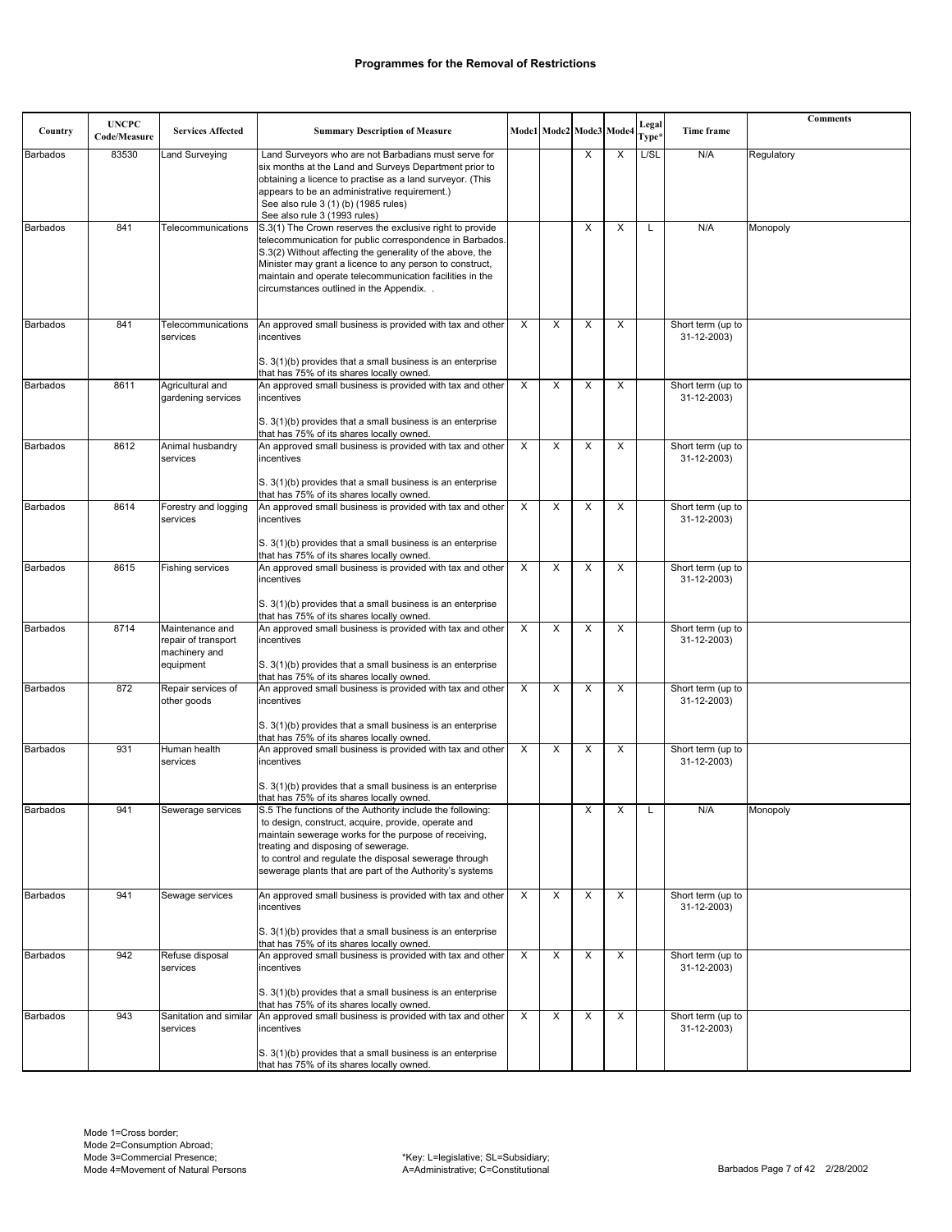| Country         | <b>UNCPC</b><br>Code/Measure | <b>Services Affected</b>                          | <b>Summary Description of Measure</b>                                                                                                                                                                                                                                                                                                                  |                |   | Mode1 Mode2 Mode3 Mode |   | Legal<br>Type* | Time frame                       | <b>Comments</b> |
|-----------------|------------------------------|---------------------------------------------------|--------------------------------------------------------------------------------------------------------------------------------------------------------------------------------------------------------------------------------------------------------------------------------------------------------------------------------------------------------|----------------|---|------------------------|---|----------------|----------------------------------|-----------------|
|                 | 83530                        |                                                   |                                                                                                                                                                                                                                                                                                                                                        |                |   | X                      | X | L/SL           | N/A                              |                 |
| <b>Barbados</b> |                              | Land Surveying                                    | Land Surveyors who are not Barbadians must serve for<br>six months at the Land and Surveys Department prior to<br>obtaining a licence to practise as a land surveyor. (This<br>appears to be an administrative requirement.)<br>See also rule 3 (1) (b) (1985 rules)<br>See also rule 3 (1993 rules)                                                   |                |   |                        |   |                |                                  | Regulatory      |
| <b>Barbados</b> | 841                          | Telecommunications                                | S.3(1) The Crown reserves the exclusive right to provide<br>telecommunication for public correspondence in Barbados.<br>S.3(2) Without affecting the generality of the above, the<br>Minister may grant a licence to any person to construct,<br>maintain and operate telecommunication facilities in the<br>circumstances outlined in the Appendix. . |                |   | X                      | X | L              | N/A                              | Monopoly        |
| <b>Barbados</b> | 841                          | Telecommunications<br>services                    | An approved small business is provided with tax and other<br>incentives<br>S. 3(1)(b) provides that a small business is an enterprise<br>that has 75% of its shares locally owned.                                                                                                                                                                     | X              | X | X                      | X |                | Short term (up to<br>31-12-2003) |                 |
| <b>Barbados</b> | 8611                         | Agricultural and<br>gardening services            | An approved small business is provided with tax and other<br>incentives<br>S. 3(1)(b) provides that a small business is an enterprise                                                                                                                                                                                                                  | X              | X | X                      | X |                | Short term (up to<br>31-12-2003) |                 |
|                 |                              |                                                   | that has 75% of its shares locally owned.                                                                                                                                                                                                                                                                                                              |                |   |                        |   |                |                                  |                 |
| <b>Barbados</b> | 8612                         | Animal husbandry<br>services                      | An approved small business is provided with tax and other<br>incentives<br>S. 3(1)(b) provides that a small business is an enterprise                                                                                                                                                                                                                  | $\times$       | X | X                      | X |                | Short term (up to<br>31-12-2003) |                 |
| Barbados        | 8614                         | Forestry and logging                              | that has 75% of its shares locally owned.<br>An approved small business is provided with tax and other                                                                                                                                                                                                                                                 | X              | X | X                      | X |                | Short term (up to                |                 |
|                 |                              | services                                          | incentives<br>S. 3(1)(b) provides that a small business is an enterprise                                                                                                                                                                                                                                                                               |                |   |                        |   |                | 31-12-2003)                      |                 |
| <b>Barbados</b> | 8615                         | <b>Fishing services</b>                           | that has 75% of its shares locally owned.<br>An approved small business is provided with tax and other                                                                                                                                                                                                                                                 | X              | X | X                      | X |                | Short term (up to                |                 |
|                 |                              |                                                   | incentives<br>S. 3(1)(b) provides that a small business is an enterprise                                                                                                                                                                                                                                                                               |                |   |                        |   |                | 31-12-2003)                      |                 |
| <b>Barbados</b> | 8714                         | Maintenance and                                   | that has 75% of its shares locally owned.<br>An approved small business is provided with tax and other                                                                                                                                                                                                                                                 | X              | X | X                      | X |                | Short term (up to                |                 |
|                 |                              | repair of transport<br>machinery and<br>equipment | incentives<br>S. 3(1)(b) provides that a small business is an enterprise<br>that has 75% of its shares locally owned.                                                                                                                                                                                                                                  |                |   |                        |   |                | 31-12-2003)                      |                 |
| <b>Barbados</b> | 872                          | Repair services of<br>other goods                 | An approved small business is provided with tax and other<br>incentives                                                                                                                                                                                                                                                                                | X              | X | X                      | X |                | Short term (up to<br>31-12-2003) |                 |
|                 |                              |                                                   | S. 3(1)(b) provides that a small business is an enterprise<br>that has 75% of its shares locally owned.                                                                                                                                                                                                                                                |                |   |                        |   |                |                                  |                 |
| <b>Barbados</b> | 931                          | Human health<br>services                          | An approved small business is provided with tax and other<br>incentives<br>S. 3(1)(b) provides that a small business is an enterprise                                                                                                                                                                                                                  | X              | X | X                      | X |                | Short term (up to<br>31-12-2003) |                 |
|                 |                              |                                                   | that has 75% of its shares locally owned.                                                                                                                                                                                                                                                                                                              |                |   |                        |   |                |                                  |                 |
| Barbados        | 941                          | Sewerage services                                 | S.5 The functions of the Authority include the following:<br>to design, construct, acquire, provide, operate and<br>maintain sewerage works for the purpose of receiving,<br>treating and disposing of sewerage.<br>to control and regulate the disposal sewerage through<br>sewerage plants that are part of the Authority's systems                  |                |   | X                      | X | L              | N/A                              | Monopoly        |
| <b>Barbados</b> | 941                          | Sewage services                                   | An approved small business is provided with tax and other<br>incentives<br>S. 3(1)(b) provides that a small business is an enterprise                                                                                                                                                                                                                  | $\overline{X}$ | X | X                      | X |                | Short term (up to<br>31-12-2003) |                 |
|                 |                              |                                                   | that has 75% of its shares locally owned.                                                                                                                                                                                                                                                                                                              |                |   |                        |   |                |                                  |                 |
| <b>Barbados</b> | 942                          | Refuse disposal<br>services                       | An approved small business is provided with tax and other<br>incentives                                                                                                                                                                                                                                                                                | X              | X | X                      | X |                | Short term (up to<br>31-12-2003) |                 |
|                 |                              |                                                   | S. 3(1)(b) provides that a small business is an enterprise<br>that has 75% of its shares locally owned.                                                                                                                                                                                                                                                |                |   |                        |   |                |                                  |                 |
| <b>Barbados</b> | 943                          | Sanitation and similar<br>services                | An approved small business is provided with tax and other<br>incentives                                                                                                                                                                                                                                                                                | $\overline{X}$ | X | X                      | X |                | Short term (up to<br>31-12-2003) |                 |
|                 |                              |                                                   | S. 3(1)(b) provides that a small business is an enterprise<br>that has 75% of its shares locally owned.                                                                                                                                                                                                                                                |                |   |                        |   |                |                                  |                 |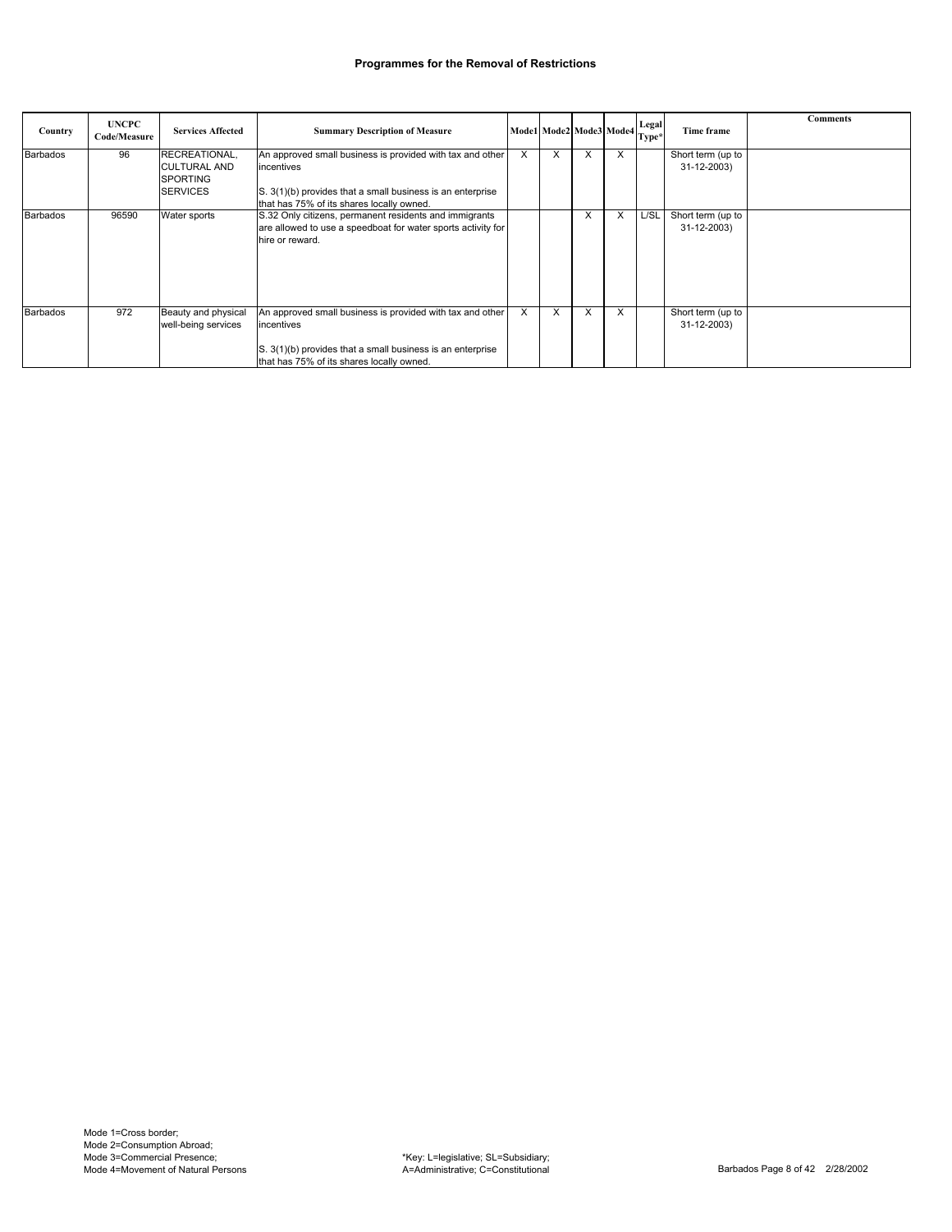| Country         | <b>UNCPC</b><br>Code/Measure | <b>Services Affected</b>                                                   | <b>Summary Description of Measure</b>                                                                                                                                              | Model Mode2 Mode3 Mode4 Legal |                        |   |   | Type* | Time frame                       | <b>Comments</b> |
|-----------------|------------------------------|----------------------------------------------------------------------------|------------------------------------------------------------------------------------------------------------------------------------------------------------------------------------|-------------------------------|------------------------|---|---|-------|----------------------------------|-----------------|
| <b>Barbados</b> | 96                           | RECREATIONAL.<br><b>CULTURAL AND</b><br><b>SPORTING</b><br><b>SERVICES</b> | An approved small business is provided with tax and other<br>incentives<br>S. 3(1)(b) provides that a small business is an enterprise<br>that has 75% of its shares locally owned. | X                             | X                      | X | X |       | Short term (up to<br>31-12-2003) |                 |
| <b>Barbados</b> | 96590                        | Water sports                                                               | S.32 Only citizens, permanent residents and immigrants<br>are allowed to use a speedboat for water sports activity for<br>hire or reward.                                          |                               |                        | X | X | L/SL  | Short term (up to<br>31-12-2003) |                 |
| <b>Barbados</b> | 972                          | Beauty and physical<br>well-being services                                 | An approved small business is provided with tax and other<br>incentives<br>S. 3(1)(b) provides that a small business is an enterprise<br>that has 75% of its shares locally owned. | X                             | $\sqrt{}$<br>$\lambda$ | v | X |       | Short term (up to<br>31-12-2003) |                 |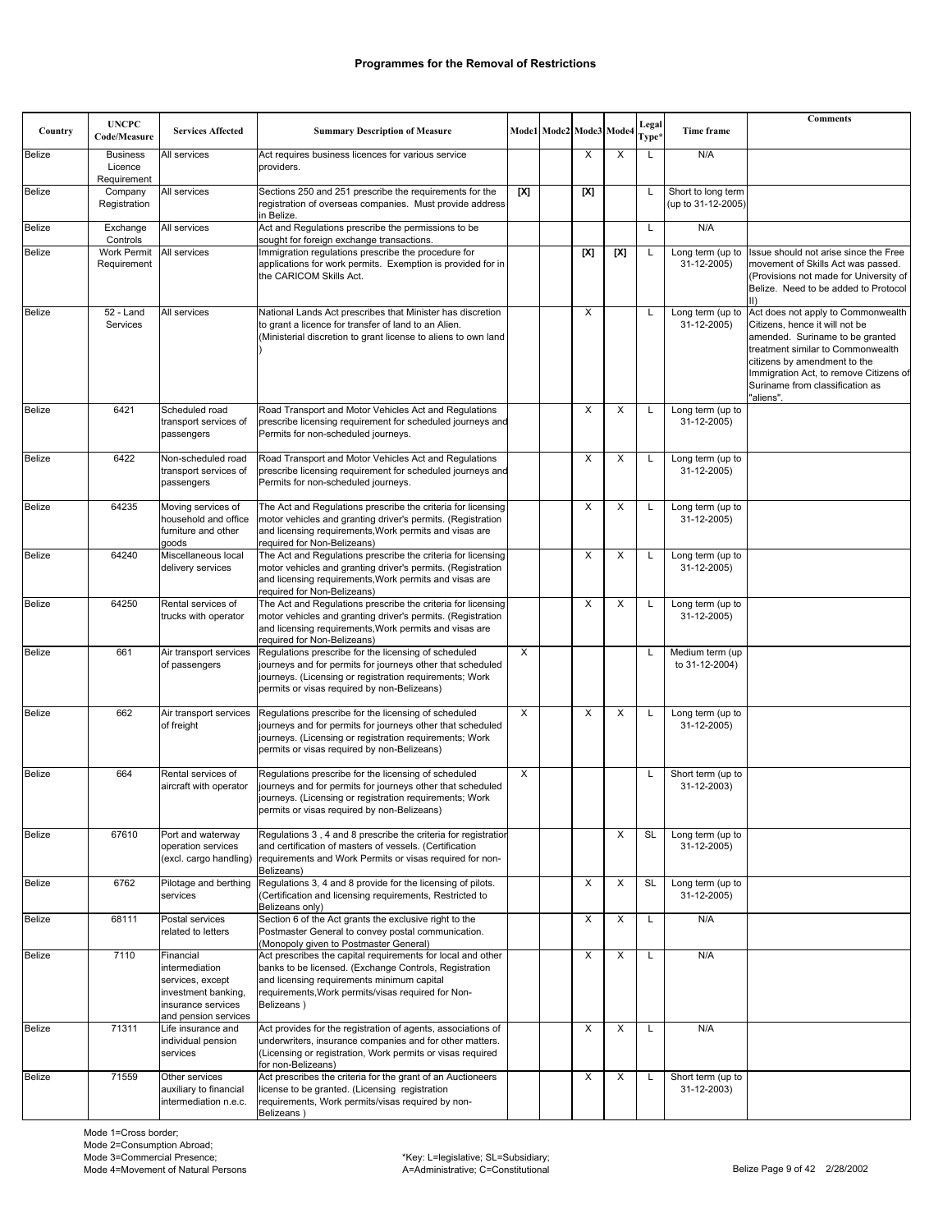| Country       | <b>UNCPC</b><br>Code/Measure | <b>Services Affected</b>                                                                                             | <b>Summary Description of Measure</b>                                                                                                                                                                                                   |     | Mode1 Mode2 Mode3 Mode4 |     |     | Legal<br>Type* | Time frame                        | <b>Comments</b>                                                                                                                                                                                                                                                        |
|---------------|------------------------------|----------------------------------------------------------------------------------------------------------------------|-----------------------------------------------------------------------------------------------------------------------------------------------------------------------------------------------------------------------------------------|-----|-------------------------|-----|-----|----------------|-----------------------------------|------------------------------------------------------------------------------------------------------------------------------------------------------------------------------------------------------------------------------------------------------------------------|
| <b>Belize</b> | <b>Business</b><br>Licence   | All services                                                                                                         | Act requires business licences for various service<br>providers.                                                                                                                                                                        |     |                         | X   | X   | L              | N/A                               |                                                                                                                                                                                                                                                                        |
| <b>Belize</b> | Requirement<br>Company       | All services                                                                                                         | Sections 250 and 251 prescribe the requirements for the                                                                                                                                                                                 | [X] |                         | [X] |     | L              | Short to long term                |                                                                                                                                                                                                                                                                        |
|               | Registration                 |                                                                                                                      | registration of overseas companies. Must provide address<br>in Belize.                                                                                                                                                                  |     |                         |     |     |                | (up to 31-12-2005)                |                                                                                                                                                                                                                                                                        |
| <b>Belize</b> | Exchange<br>Controls         | All services                                                                                                         | Act and Regulations prescribe the permissions to be<br>sought for foreign exchange transactions.                                                                                                                                        |     |                         |     |     | L              | N/A                               |                                                                                                                                                                                                                                                                        |
| <b>Belize</b> | Work Permit<br>Requirement   | All services                                                                                                         | Immigration regulations prescribe the procedure for<br>applications for work permits. Exemption is provided for in<br>the CARICOM Skills Act.                                                                                           |     |                         | [X] | [X] | Г              | Long term (up to<br>31-12-2005)   | Issue should not arise since the Free<br>movement of Skills Act was passed.<br>(Provisions not made for University of<br>Belize. Need to be added to Protocol<br>$\parallel$ )                                                                                         |
| <b>Belize</b> | $52 -$ Land<br>Services      | All services                                                                                                         | National Lands Act prescribes that Minister has discretion<br>to grant a licence for transfer of land to an Alien.<br>(Ministerial discretion to grant license to aliens to own land                                                    |     |                         | X   |     | L              | Long term (up to<br>31-12-2005)   | Act does not apply to Commonwealth<br>Citizens, hence it will not be<br>amended. Suriname to be granted<br>treatment similar to Commonwealth<br>citizens by amendment to the<br>Immigration Act, to remove Citizens of<br>Suriname from classification as<br>"aliens". |
| <b>Belize</b> | 6421                         | Scheduled road<br>transport services of<br>passengers                                                                | Road Transport and Motor Vehicles Act and Regulations<br>prescribe licensing requirement for scheduled journeys and<br>Permits for non-scheduled journeys.                                                                              |     |                         | X   | X   | L              | Long term (up to<br>31-12-2005)   |                                                                                                                                                                                                                                                                        |
| <b>Belize</b> | 6422                         | Non-scheduled road<br>transport services of<br>passengers                                                            | Road Transport and Motor Vehicles Act and Regulations<br>prescribe licensing requirement for scheduled journeys and<br>Permits for non-scheduled journeys.                                                                              |     |                         | X   | X   | L              | Long term (up to<br>31-12-2005)   |                                                                                                                                                                                                                                                                        |
| <b>Belize</b> | 64235                        | Moving services of<br>household and office<br>furniture and other<br>goods                                           | The Act and Regulations prescribe the criteria for licensing<br>motor vehicles and granting driver's permits. (Registration<br>and licensing requirements, Work permits and visas are<br>required for Non-Belizeans)                    |     |                         | X   | X   | L              | Long term (up to<br>31-12-2005)   |                                                                                                                                                                                                                                                                        |
| <b>Belize</b> | 64240                        | Miscellaneous local<br>delivery services                                                                             | The Act and Regulations prescribe the criteria for licensing<br>motor vehicles and granting driver's permits. (Registration<br>and licensing requirements, Work permits and visas are<br>required for Non-Belizeans)                    |     |                         | х   | X   | L              | Long term (up to<br>31-12-2005)   |                                                                                                                                                                                                                                                                        |
| <b>Belize</b> | 64250                        | Rental services of<br>trucks with operator                                                                           | The Act and Regulations prescribe the criteria for licensing<br>motor vehicles and granting driver's permits. (Registration<br>and licensing requirements, Work permits and visas are<br>required for Non-Belizeans)                    |     |                         | X   | X   | L              | Long term (up to<br>31-12-2005)   |                                                                                                                                                                                                                                                                        |
| <b>Belize</b> | 661                          | Air transport services<br>of passengers                                                                              | Regulations prescribe for the licensing of scheduled<br>journeys and for permits for journeys other that scheduled<br>journeys. (Licensing or registration requirements; Work<br>permits or visas required by non-Belizeans)            | X   |                         |     |     | L              | Medium term (up<br>to 31-12-2004) |                                                                                                                                                                                                                                                                        |
| <b>Belize</b> | 662                          | Air transport services<br>of freight                                                                                 | Regulations prescribe for the licensing of scheduled<br>journeys and for permits for journeys other that scheduled<br>journeys. (Licensing or registration requirements; Work<br>permits or visas required by non-Belizeans)            | X   |                         | X   | X   | L              | Long term (up to<br>31-12-2005)   |                                                                                                                                                                                                                                                                        |
| <b>Belize</b> | 664                          | Rental services of<br>aircraft with operator                                                                         | Regulations prescribe for the licensing of scheduled<br>journeys and for permits for journeys other that scheduled<br>journeys. (Licensing or registration requirements; Work<br>permits or visas required by non-Belizeans)            | X   |                         |     |     | L              | Short term (up to<br>31-12-2003)  |                                                                                                                                                                                                                                                                        |
| Belize        | 67610                        | Port and waterway<br>operation services<br>(excl. cargo handling)                                                    | Regulations 3, 4 and 8 prescribe the criteria for registration<br>and certification of masters of vessels. (Certification<br>requirements and Work Permits or visas required for non-<br>Belizeans)                                     |     |                         |     | X   | SL             | Long term (up to<br>31-12-2005)   |                                                                                                                                                                                                                                                                        |
| Belize        | 6762                         | Pilotage and berthing<br>services                                                                                    | Regulations 3, 4 and 8 provide for the licensing of pilots.<br>(Certification and licensing requirements, Restricted to<br>Belizeans only)                                                                                              |     |                         | X   | X   | <b>SL</b>      | Long term (up to<br>31-12-2005)   |                                                                                                                                                                                                                                                                        |
| Belize        | 68111                        | Postal services<br>related to letters                                                                                | Section 6 of the Act grants the exclusive right to the<br>Postmaster General to convey postal communication.<br>(Monopoly given to Postmaster General)                                                                                  |     |                         | X   | X   | L              | N/A                               |                                                                                                                                                                                                                                                                        |
| Belize        | 7110                         | Financial<br>intermediation<br>services, except<br>investment banking,<br>insurance services<br>and pension services | Act prescribes the capital requirements for local and other<br>banks to be licensed. (Exchange Controls, Registration<br>and licensing requirements minimum capital<br>requirements, Work permits/visas required for Non-<br>Belizeans) |     |                         | X   | X   | L              | N/A                               |                                                                                                                                                                                                                                                                        |
| <b>Belize</b> | 71311                        | Life insurance and<br>individual pension<br>services                                                                 | Act provides for the registration of agents, associations of<br>underwriters, insurance companies and for other matters.<br>(Licensing or registration, Work permits or visas required<br>for non-Belizeans)                            |     |                         | X   | Χ   | L              | N/A                               |                                                                                                                                                                                                                                                                        |
| <b>Belize</b> | 71559                        | Other services<br>auxiliary to financial<br>intermediation n.e.c.                                                    | Act prescribes the criteria for the grant of an Auctioneers<br>license to be granted. (Licensing registration<br>requirements, Work permits/visas required by non-<br>Relizeans)                                                        |     |                         | X   | X   | L              | Short term (up to<br>31-12-2003)  |                                                                                                                                                                                                                                                                        |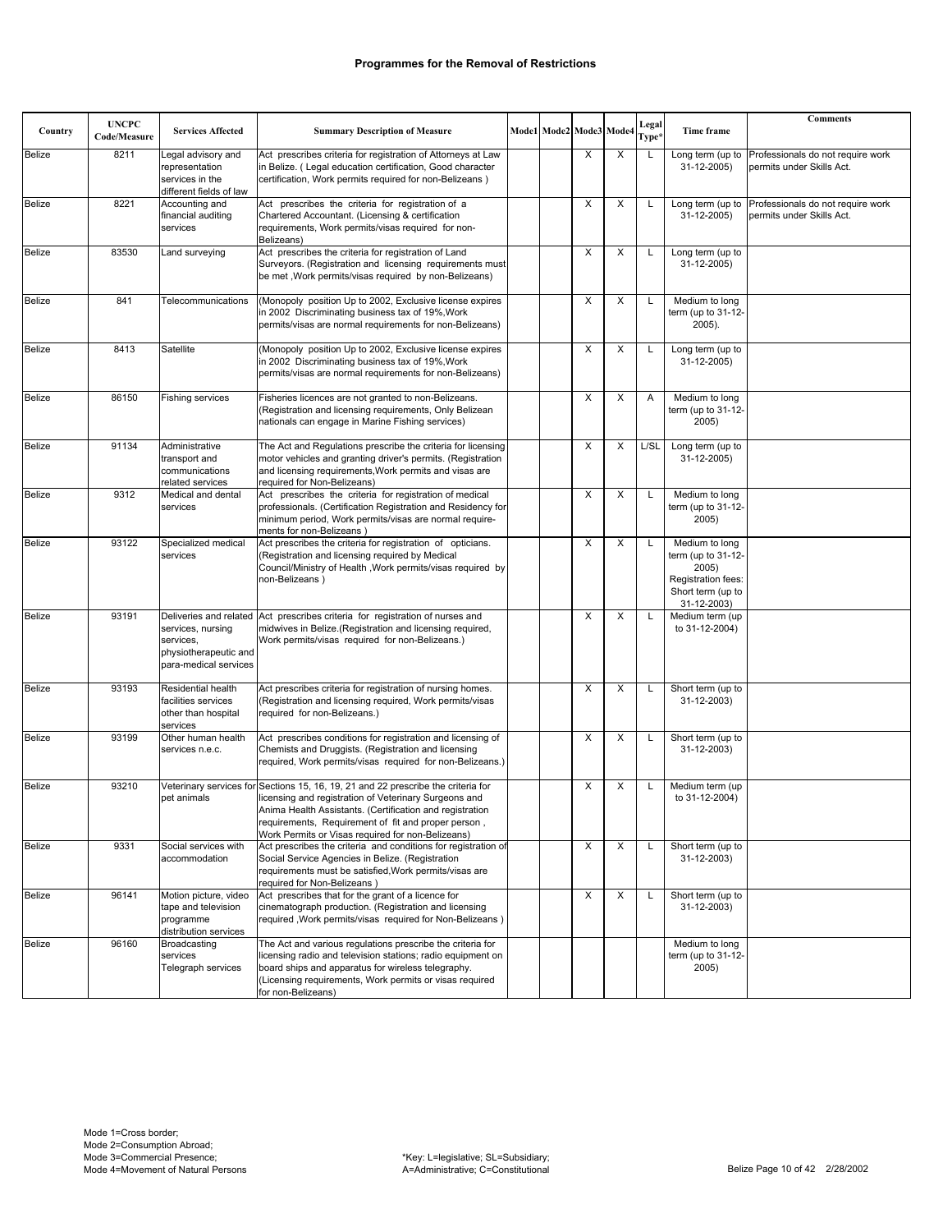| Country       | <b>UNCPC</b><br>Code/Measure | <b>Services Affected</b>                                                           | <b>Summary Description of Measure</b>                                                                                                                                                                                                                                                                              | Mode1 Mode2 Mode3 Mode4 |   |   | Legal<br>Type <sup>3</sup> | Time frame                                                                                              | <b>Comments</b>                                                |
|---------------|------------------------------|------------------------------------------------------------------------------------|--------------------------------------------------------------------------------------------------------------------------------------------------------------------------------------------------------------------------------------------------------------------------------------------------------------------|-------------------------|---|---|----------------------------|---------------------------------------------------------------------------------------------------------|----------------------------------------------------------------|
| Belize        | 8211                         | Legal advisory and<br>representation<br>services in the<br>different fields of law | Act prescribes criteria for registration of Attorneys at Law<br>in Belize. (Legal education certification, Good character<br>certification, Work permits required for non-Belizeans)                                                                                                                               |                         | X | X | L                          | Long term (up to<br>31-12-2005)                                                                         | Professionals do not require work<br>permits under Skills Act. |
| <b>Belize</b> | 8221                         | Accounting and<br>financial auditing<br>services                                   | Act prescribes the criteria for registration of a<br>Chartered Accountant. (Licensing & certification<br>requirements, Work permits/visas required for non-<br>Belizeans)                                                                                                                                          |                         | X | X | L                          | Long term (up to<br>31-12-2005)                                                                         | Professionals do not require work<br>permits under Skills Act. |
| <b>Belize</b> | 83530                        | Land surveying                                                                     | Act prescribes the criteria for registration of Land<br>Surveyors. (Registration and licensing requirements must<br>be met , Work permits/visas required by non-Belizeans)                                                                                                                                         |                         | X | X | Г                          | Long term (up to<br>31-12-2005)                                                                         |                                                                |
| Belize        | 841                          | Telecommunications                                                                 | (Monopoly position Up to 2002, Exclusive license expires<br>in 2002 Discriminating business tax of 19%, Work<br>permits/visas are normal requirements for non-Belizeans)                                                                                                                                           |                         | X | х |                            | Medium to long<br>term (up to 31-12-<br>2005).                                                          |                                                                |
| <b>Belize</b> | 8413                         | Satellite                                                                          | (Monopoly position Up to 2002, Exclusive license expires<br>in 2002 Discriminating business tax of 19%, Work<br>permits/visas are normal requirements for non-Belizeans)                                                                                                                                           |                         | X | X | L                          | Long term (up to<br>31-12-2005)                                                                         |                                                                |
| <b>Belize</b> | 86150                        | <b>Fishing services</b>                                                            | Fisheries licences are not granted to non-Belizeans.<br>(Registration and licensing requirements, Only Belizean<br>nationals can engage in Marine Fishing services)                                                                                                                                                |                         | Χ | X | Α                          | Medium to long<br>term (up to 31-12-<br>2005)                                                           |                                                                |
| <b>Belize</b> | 91134                        | Administrative<br>transport and<br>communications<br>related services              | The Act and Regulations prescribe the criteria for licensing<br>motor vehicles and granting driver's permits. (Registration<br>and licensing requirements, Work permits and visas are<br>required for Non-Belizeans)                                                                                               |                         | X | X | L/SL                       | Long term (up to<br>31-12-2005)                                                                         |                                                                |
| <b>Belize</b> | 9312                         | Medical and dental<br>services                                                     | Act prescribes the criteria for registration of medical<br>professionals. (Certification Registration and Residency for<br>minimum period, Work permits/visas are normal require-<br>ments for non-Belizeans)                                                                                                      |                         | X | X | L                          | Medium to long<br>term (up to 31-12-<br>2005)                                                           |                                                                |
| Belize        | 93122                        | Specialized medical<br>services                                                    | Act prescribes the criteria for registration of opticians.<br>(Registration and licensing required by Medical<br>Council/Ministry of Health, Work permits/visas required by<br>non-Belizeans)                                                                                                                      |                         | X | X |                            | Medium to long<br>term (up to 31-12-<br>2005)<br>Registration fees:<br>Short term (up to<br>31-12-2003) |                                                                |
| <b>Belize</b> | 93191                        | services, nursing<br>services,<br>physiotherapeutic and<br>para-medical services   | Deliveries and related Act prescribes criteria for registration of nurses and<br>midwives in Belize.(Registration and licensing required,<br>Work permits/visas required for non-Belizeans.)                                                                                                                       |                         | X | X | L                          | Medium term (up<br>to 31-12-2004)                                                                       |                                                                |
| <b>Belize</b> | 93193                        | Residential health<br>facilities services<br>other than hospital<br>services       | Act prescribes criteria for registration of nursing homes.<br>(Registration and licensing required, Work permits/visas<br>required for non-Belizeans.)                                                                                                                                                             |                         | X | X | L                          | Short term (up to<br>31-12-2003)                                                                        |                                                                |
| <b>Belize</b> | 93199                        | Other human health<br>services n.e.c.                                              | Act prescribes conditions for registration and licensing of<br>Chemists and Druggists. (Registration and licensing<br>required, Work permits/visas required for non-Belizeans.)                                                                                                                                    |                         | X | Х | L                          | Short term (up to<br>31-12-2003)                                                                        |                                                                |
| <b>Belize</b> | 93210                        | pet animals                                                                        | Veterinary services for Sections 15, 16, 19, 21 and 22 prescribe the criteria for<br>licensing and registration of Veterinary Surgeons and<br>Anima Health Assistants. (Certification and registration<br>requirements, Requirement of fit and proper person,<br>Work Permits or Visas required for non-Belizeans) |                         | X | х |                            | Medium term (up<br>to 31-12-2004)                                                                       |                                                                |
| <b>Belize</b> | 9331                         | Social services with<br>accommodation                                              | Act prescribes the criteria and conditions for registration of<br>Social Service Agencies in Belize. (Registration<br>requirements must be satisfied, Work permits/visas are<br>required for Non-Belizeans)                                                                                                        |                         | X | X |                            | Short term (up to<br>31-12-2003)                                                                        |                                                                |
| Belize        | 96141                        | Motion picture, video<br>tape and television<br>programme<br>distribution services | Act prescribes that for the grant of a licence for<br>cinematograph production. (Registration and licensing<br>required, Work permits/visas required for Non-Belizeans)                                                                                                                                            |                         | Х | Х | L                          | Short term (up to<br>31-12-2003)                                                                        |                                                                |
| Belize        | 96160                        | Broadcasting<br>services<br>Telegraph services                                     | The Act and various regulations prescribe the criteria for<br>licensing radio and television stations; radio equipment on<br>board ships and apparatus for wireless telegraphy.<br>(Licensing requirements, Work permits or visas required<br>for non-Belizeans)                                                   |                         |   |   |                            | Medium to long<br>term (up to 31-12-<br>2005)                                                           |                                                                |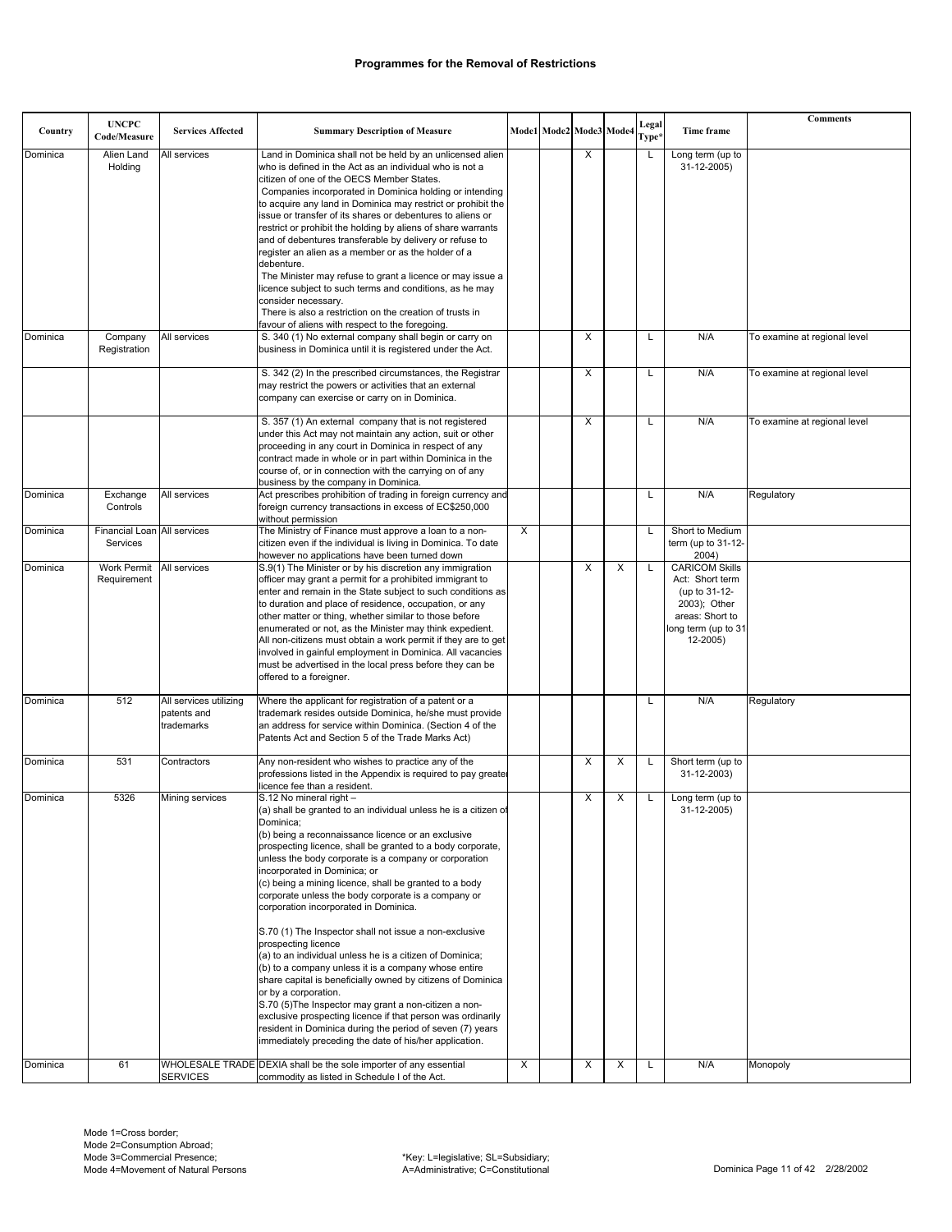|          |                                         |                                                     |                                                                                                                                                                                                                                                                                                                                                                                                                                                                                                                                                                                                                                                                                                                                                                                                                                                                                                                                                                                                                           |   |                         |   |   |                |                                                                                                                                 | <b>Comments</b>              |
|----------|-----------------------------------------|-----------------------------------------------------|---------------------------------------------------------------------------------------------------------------------------------------------------------------------------------------------------------------------------------------------------------------------------------------------------------------------------------------------------------------------------------------------------------------------------------------------------------------------------------------------------------------------------------------------------------------------------------------------------------------------------------------------------------------------------------------------------------------------------------------------------------------------------------------------------------------------------------------------------------------------------------------------------------------------------------------------------------------------------------------------------------------------------|---|-------------------------|---|---|----------------|---------------------------------------------------------------------------------------------------------------------------------|------------------------------|
| Country  | <b>UNCPC</b><br>Code/Measure            | <b>Services Affected</b>                            | <b>Summary Description of Measure</b>                                                                                                                                                                                                                                                                                                                                                                                                                                                                                                                                                                                                                                                                                                                                                                                                                                                                                                                                                                                     |   | Mode1 Mode2 Mode3 Mode4 |   |   | Legal<br>Type* | Time frame                                                                                                                      |                              |
| Dominica | Alien Land<br>Holding                   | All services                                        | Land in Dominica shall not be held by an unlicensed alien<br>who is defined in the Act as an individual who is not a<br>citizen of one of the OECS Member States.<br>Companies incorporated in Dominica holding or intending<br>to acquire any land in Dominica may restrict or prohibit the<br>issue or transfer of its shares or debentures to aliens or<br>restrict or prohibit the holding by aliens of share warrants<br>and of debentures transferable by delivery or refuse to<br>register an alien as a member or as the holder of a<br>debenture.<br>The Minister may refuse to grant a licence or may issue a<br>licence subject to such terms and conditions, as he may<br>consider necessary.<br>There is also a restriction on the creation of trusts in<br>favour of aliens with respect to the foregoing.                                                                                                                                                                                                  |   |                         | X |   | L              | Long term (up to<br>31-12-2005)                                                                                                 |                              |
| Dominica | Company<br>Registration                 | All services                                        | S. 340 (1) No external company shall begin or carry on<br>business in Dominica until it is registered under the Act.                                                                                                                                                                                                                                                                                                                                                                                                                                                                                                                                                                                                                                                                                                                                                                                                                                                                                                      |   |                         | X |   | L              | N/A                                                                                                                             | To examine at regional level |
|          |                                         |                                                     | S. 342 (2) In the prescribed circumstances, the Registrar<br>may restrict the powers or activities that an external<br>company can exercise or carry on in Dominica.                                                                                                                                                                                                                                                                                                                                                                                                                                                                                                                                                                                                                                                                                                                                                                                                                                                      |   |                         | X |   | L              | N/A                                                                                                                             | To examine at regional level |
|          |                                         |                                                     | S. 357 (1) An external company that is not registered<br>under this Act may not maintain any action, suit or other<br>proceeding in any court in Dominica in respect of any<br>contract made in whole or in part within Dominica in the<br>course of, or in connection with the carrying on of any<br>business by the company in Dominica.                                                                                                                                                                                                                                                                                                                                                                                                                                                                                                                                                                                                                                                                                |   |                         | X |   | L              | N/A                                                                                                                             | To examine at regional level |
| Dominica | Exchange<br>Controls                    | All services                                        | Act prescribes prohibition of trading in foreign currency and<br>foreign currency transactions in excess of EC\$250,000<br>without permission                                                                                                                                                                                                                                                                                                                                                                                                                                                                                                                                                                                                                                                                                                                                                                                                                                                                             |   |                         |   |   | L              | N/A                                                                                                                             | Regulatory                   |
| Dominica | Financial Loan All services<br>Services |                                                     | The Ministry of Finance must approve a loan to a non-<br>citizen even if the individual is living in Dominica. To date<br>however no applications have been turned down                                                                                                                                                                                                                                                                                                                                                                                                                                                                                                                                                                                                                                                                                                                                                                                                                                                   | X |                         |   |   | L              | Short to Medium<br>term (up to 31-12-<br>2004)                                                                                  |                              |
| Dominica | Work Permit<br>Requirement              | All services                                        | S.9(1) The Minister or by his discretion any immigration<br>officer may grant a permit for a prohibited immigrant to<br>enter and remain in the State subject to such conditions as<br>to duration and place of residence, occupation, or any<br>other matter or thing, whether similar to those before<br>enumerated or not, as the Minister may think expedient.<br>All non-citizens must obtain a work permit if they are to get<br>involved in gainful employment in Dominica. All vacancies<br>must be advertised in the local press before they can be<br>offered to a foreigner.                                                                                                                                                                                                                                                                                                                                                                                                                                   |   |                         | X | X | L              | <b>CARICOM Skills</b><br>Act: Short term<br>(up to 31-12-<br>2003); Other<br>areas: Short to<br>long term (up to 31<br>12-2005) |                              |
| Dominica | 512                                     | All services utilizing<br>patents and<br>trademarks | Where the applicant for registration of a patent or a<br>trademark resides outside Dominica, he/she must provide<br>an address for service within Dominica. (Section 4 of the<br>Patents Act and Section 5 of the Trade Marks Act)                                                                                                                                                                                                                                                                                                                                                                                                                                                                                                                                                                                                                                                                                                                                                                                        |   |                         |   |   | L              | N/A                                                                                                                             | Regulatory                   |
| Dominica | 531                                     | Contractors                                         | Any non-resident who wishes to practice any of the<br>professions listed in the Appendix is required to pay greater<br>licence fee than a resident.                                                                                                                                                                                                                                                                                                                                                                                                                                                                                                                                                                                                                                                                                                                                                                                                                                                                       |   |                         | X | х | L              | Short term (up to<br>31-12-2003)                                                                                                |                              |
| Dominica | 5326                                    | Mining services                                     | S.12 No mineral right -<br>(a) shall be granted to an individual unless he is a citizen of<br>Dominica:<br>(b) being a reconnaissance licence or an exclusive<br>prospecting licence, shall be granted to a body corporate,<br>unless the body corporate is a company or corporation<br>incorporated in Dominica; or<br>(c) being a mining licence, shall be granted to a body<br>corporate unless the body corporate is a company or<br>corporation incorporated in Dominica.<br>S.70 (1) The Inspector shall not issue a non-exclusive<br>prospecting licence<br>(a) to an individual unless he is a citizen of Dominica;<br>(b) to a company unless it is a company whose entire<br>share capital is beneficially owned by citizens of Dominica<br>or by a corporation.<br>S.70 (5) The Inspector may grant a non-citizen a non-<br>exclusive prospecting licence if that person was ordinarily<br>resident in Dominica during the period of seven (7) years<br>immediately preceding the date of his/her application. |   |                         | X | X | L              | Long term (up to<br>31-12-2005)                                                                                                 |                              |
| Dominica | 61                                      | <b>SERVICES</b>                                     | WHOLESALE TRADE DEXIA shall be the sole importer of any essential<br>commodity as listed in Schedule I of the Act.                                                                                                                                                                                                                                                                                                                                                                                                                                                                                                                                                                                                                                                                                                                                                                                                                                                                                                        | X |                         | Х | Х | L              | N/A                                                                                                                             | Monopoly                     |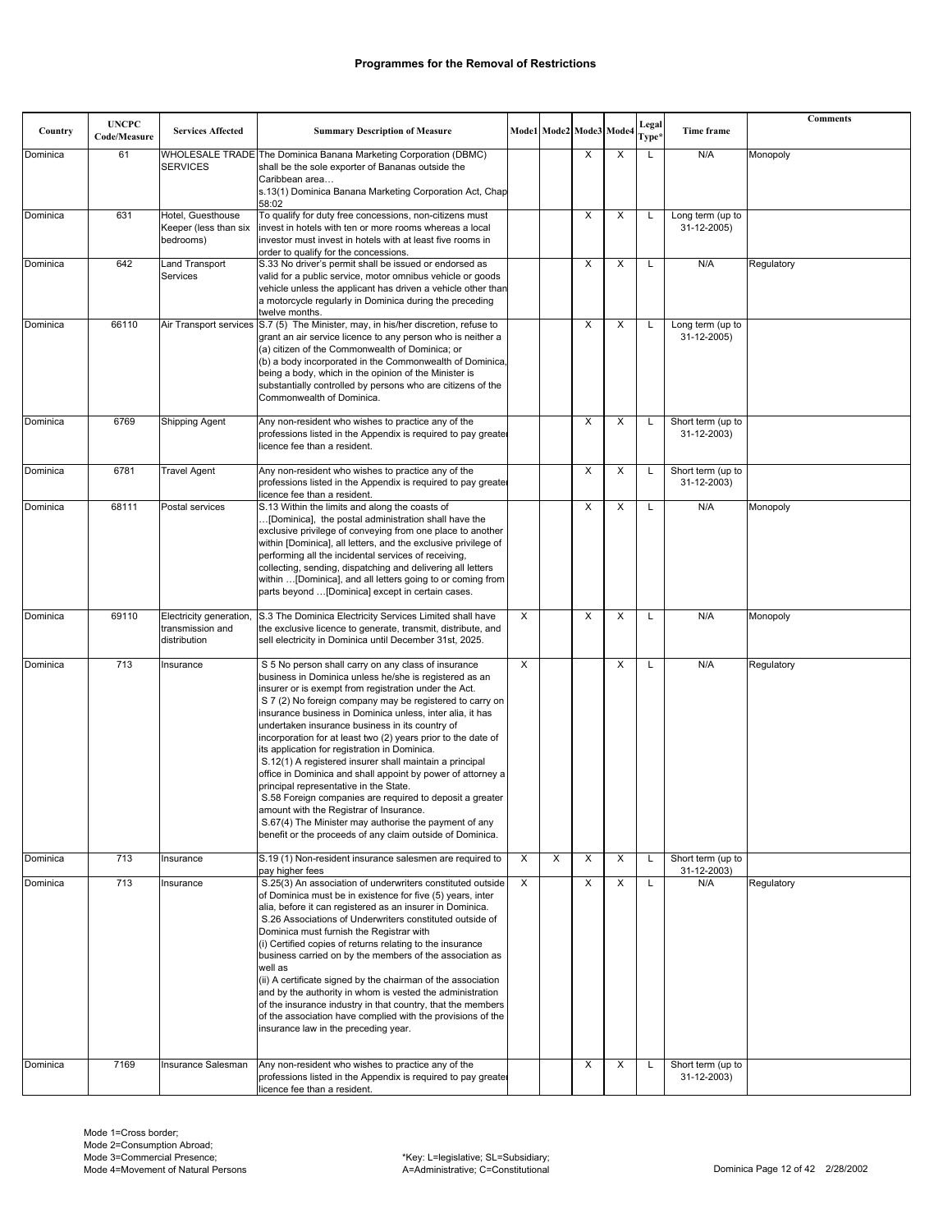| Country  | <b>UNCPC</b><br>Code/Measure | <b>Services Affected</b>                                    | <b>Summary Description of Measure</b>                                                                                                                                                                                                                                                                                                                                                                                                                                                                                                                                                                                                                                                                                                                                                                                                                                 |   |   | Mode1 Mode2 Mode3 Mode4 |   | Legal<br>Type <sup>,</sup> | Time frame                       | <b>Comments</b> |
|----------|------------------------------|-------------------------------------------------------------|-----------------------------------------------------------------------------------------------------------------------------------------------------------------------------------------------------------------------------------------------------------------------------------------------------------------------------------------------------------------------------------------------------------------------------------------------------------------------------------------------------------------------------------------------------------------------------------------------------------------------------------------------------------------------------------------------------------------------------------------------------------------------------------------------------------------------------------------------------------------------|---|---|-------------------------|---|----------------------------|----------------------------------|-----------------|
| Dominica | 61                           | <b>SERVICES</b>                                             | WHOLESALE TRADE The Dominica Banana Marketing Corporation (DBMC)<br>shall be the sole exporter of Bananas outside the<br>Caribbean area<br>s.13(1) Dominica Banana Marketing Corporation Act, Chap                                                                                                                                                                                                                                                                                                                                                                                                                                                                                                                                                                                                                                                                    |   |   | X                       | X | L                          | N/A                              | Monopoly        |
| Dominica | 631                          | Hotel, Guesthouse<br>Keeper (less than six<br>bedrooms)     | 58:02<br>To qualify for duty free concessions, non-citizens must<br>invest in hotels with ten or more rooms whereas a local<br>investor must invest in hotels with at least five rooms in                                                                                                                                                                                                                                                                                                                                                                                                                                                                                                                                                                                                                                                                             |   |   | X                       | X | Г                          | Long term (up to<br>31-12-2005)  |                 |
| Dominica | 642                          | Land Transport<br>Services                                  | order to qualify for the concessions.<br>S.33 No driver's permit shall be issued or endorsed as<br>valid for a public service, motor omnibus vehicle or goods<br>vehicle unless the applicant has driven a vehicle other than<br>a motorcycle regularly in Dominica during the preceding<br>twelve months.                                                                                                                                                                                                                                                                                                                                                                                                                                                                                                                                                            |   |   | X                       | X | Г                          | N/A                              | Regulatory      |
| Dominica | 66110                        |                                                             | Air Transport services S.7 (5) The Minister, may, in his/her discretion, refuse to<br>grant an air service licence to any person who is neither a<br>(a) citizen of the Commonwealth of Dominica; or<br>(b) a body incorporated in the Commonwealth of Dominica<br>being a body, which in the opinion of the Minister is<br>substantially controlled by persons who are citizens of the<br>Commonwealth of Dominica.                                                                                                                                                                                                                                                                                                                                                                                                                                                  |   |   | X                       | X | L                          | Long term (up to<br>31-12-2005)  |                 |
| Dominica | 6769                         | Shipping Agent                                              | Any non-resident who wishes to practice any of the<br>professions listed in the Appendix is required to pay greater<br>licence fee than a resident.                                                                                                                                                                                                                                                                                                                                                                                                                                                                                                                                                                                                                                                                                                                   |   |   | X                       | X | L                          | Short term (up to<br>31-12-2003) |                 |
| Dominica | 6781                         | <b>Travel Agent</b>                                         | Any non-resident who wishes to practice any of the<br>professions listed in the Appendix is required to pay greate<br>licence fee than a resident.                                                                                                                                                                                                                                                                                                                                                                                                                                                                                                                                                                                                                                                                                                                    |   |   | X                       | X | L                          | Short term (up to<br>31-12-2003) |                 |
| Dominica | 68111                        | Postal services                                             | S.13 Within the limits and along the coasts of<br>[Dominica], the postal administration shall have the<br>exclusive privilege of conveying from one place to another<br>within [Dominica], all letters, and the exclusive privilege of<br>performing all the incidental services of receiving,<br>collecting, sending, dispatching and delivering all letters<br>within  [Dominica], and all letters going to or coming from<br>parts beyond  [Dominica] except in certain cases.                                                                                                                                                                                                                                                                                                                                                                                     |   |   | X                       | X | Г                          | N/A                              | Monopoly        |
| Dominica | 69110                        | Electricity generation,<br>transmission and<br>distribution | S.3 The Dominica Electricity Services Limited shall have<br>the exclusive licence to generate, transmit, distribute, and<br>sell electricity in Dominica until December 31st, 2025.                                                                                                                                                                                                                                                                                                                                                                                                                                                                                                                                                                                                                                                                                   | X |   | Χ                       | X | L                          | N/A                              | Monopoly        |
| Dominica | 713                          | Insurance                                                   | S 5 No person shall carry on any class of insurance<br>business in Dominica unless he/she is registered as an<br>insurer or is exempt from registration under the Act.<br>S 7 (2) No foreign company may be registered to carry on<br>insurance business in Dominica unless, inter alia, it has<br>undertaken insurance business in its country of<br>incorporation for at least two (2) years prior to the date of<br>its application for registration in Dominica.<br>S.12(1) A registered insurer shall maintain a principal<br>office in Dominica and shall appoint by power of attorney a<br>principal representative in the State.<br>S.58 Foreign companies are required to deposit a greater<br>amount with the Registrar of Insurance.<br>S.67(4) The Minister may authorise the payment of any<br>benefit or the proceeds of any claim outside of Dominica. | X |   |                         | X | Г                          | N/A                              | Regulatory      |
| Dominica | 713                          | Insurance                                                   | S.19 (1) Non-resident insurance salesmen are required to<br>pay higher fees                                                                                                                                                                                                                                                                                                                                                                                                                                                                                                                                                                                                                                                                                                                                                                                           | X | Χ | X                       | Х | L                          | Short term (up to<br>31-12-2003) |                 |
| Dominica | 713                          | Insurance                                                   | S.25(3) An association of underwriters constituted outside<br>of Dominica must be in existence for five (5) years, inter<br>alia, before it can registered as an insurer in Dominica.<br>S.26 Associations of Underwriters constituted outside of<br>Dominica must furnish the Registrar with<br>(i) Certified copies of returns relating to the insurance<br>business carried on by the members of the association as<br>well as<br>(ii) A certificate signed by the chairman of the association<br>and by the authority in whom is vested the administration<br>of the insurance industry in that country, that the members<br>of the association have complied with the provisions of the<br>insurance law in the preceding year.                                                                                                                                  | X |   | X                       | X | L                          | N/A                              | Regulatory      |
| Dominica | 7169                         | Insurance Salesman                                          | Any non-resident who wishes to practice any of the<br>professions listed in the Appendix is required to pay greater<br>licence fee than a resident.                                                                                                                                                                                                                                                                                                                                                                                                                                                                                                                                                                                                                                                                                                                   |   |   | X                       | X | Г                          | Short term (up to<br>31-12-2003) |                 |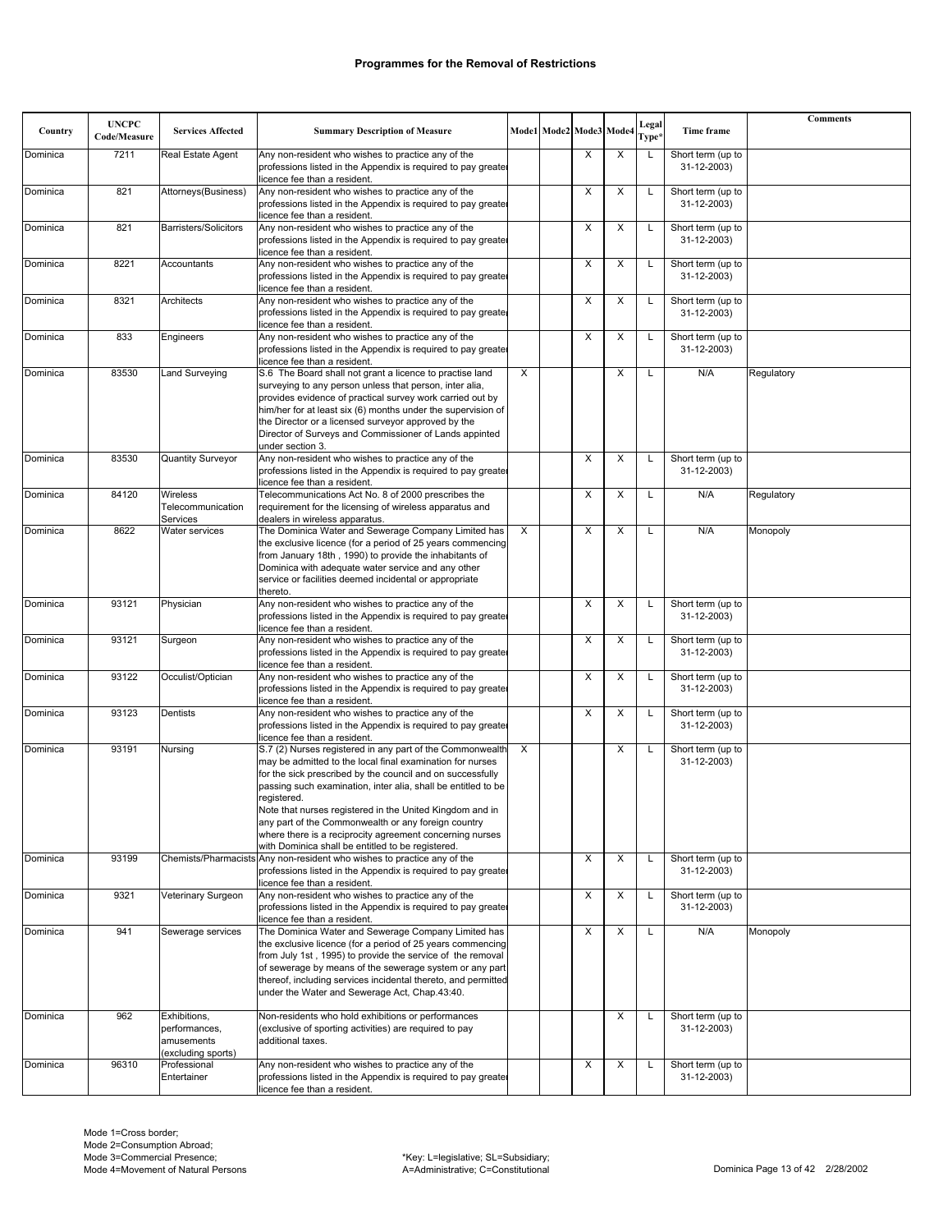| Country  | <b>UNCPC</b><br>Code/Measure | <b>Services Affected</b>                                          | <b>Summary Description of Measure</b>                                                                                                                                                                                                                                                                                                                                                                                                               |   | Mode1 Mode2 Mode3 Mode4 |   | Legal<br>Type* | Time frame                       | <b>Comments</b> |
|----------|------------------------------|-------------------------------------------------------------------|-----------------------------------------------------------------------------------------------------------------------------------------------------------------------------------------------------------------------------------------------------------------------------------------------------------------------------------------------------------------------------------------------------------------------------------------------------|---|-------------------------|---|----------------|----------------------------------|-----------------|
| Dominica | 7211                         | Real Estate Agent                                                 | Any non-resident who wishes to practice any of the                                                                                                                                                                                                                                                                                                                                                                                                  |   | X                       | X | L              | Short term (up to                |                 |
|          |                              |                                                                   | professions listed in the Appendix is required to pay greater<br>licence fee than a resident.                                                                                                                                                                                                                                                                                                                                                       |   |                         |   |                | 31-12-2003)                      |                 |
| Dominica | 821                          | Attorneys(Business)                                               | Any non-resident who wishes to practice any of the<br>professions listed in the Appendix is required to pay greater<br>licence fee than a resident.                                                                                                                                                                                                                                                                                                 |   | X                       | X | L              | Short term (up to<br>31-12-2003) |                 |
| Dominica | 821                          | <b>Barristers/Solicitors</b>                                      | Any non-resident who wishes to practice any of the<br>professions listed in the Appendix is required to pay greater                                                                                                                                                                                                                                                                                                                                 |   | X                       | X | L              | Short term (up to<br>31-12-2003) |                 |
| Dominica | 8221                         | Accountants                                                       | licence fee than a resident.<br>Any non-resident who wishes to practice any of the                                                                                                                                                                                                                                                                                                                                                                  |   | X                       | X | L              | Short term (up to                |                 |
|          |                              |                                                                   | professions listed in the Appendix is required to pay greater<br>licence fee than a resident.                                                                                                                                                                                                                                                                                                                                                       |   |                         |   |                | 31-12-2003)                      |                 |
| Dominica | 8321                         | Architects                                                        | Any non-resident who wishes to practice any of the<br>professions listed in the Appendix is required to pay greater<br>licence fee than a resident.                                                                                                                                                                                                                                                                                                 |   | X                       | Х | L              | Short term (up to<br>31-12-2003) |                 |
| Dominica | 833                          | Engineers                                                         | Any non-resident who wishes to practice any of the<br>professions listed in the Appendix is required to pay greater                                                                                                                                                                                                                                                                                                                                 |   | $\times$                | X | L              | Short term (up to<br>31-12-2003) |                 |
| Dominica | 83530                        | Land Surveying                                                    | licence fee than a resident.<br>S.6 The Board shall not grant a licence to practise land                                                                                                                                                                                                                                                                                                                                                            | X |                         | X |                | N/A                              | Regulatory      |
|          |                              |                                                                   | surveying to any person unless that person, inter alia,<br>provides evidence of practical survey work carried out by<br>him/her for at least six (6) months under the supervision of<br>the Director or a licensed surveyor approved by the<br>Director of Surveys and Commissioner of Lands appinted<br>under section 3.                                                                                                                           |   |                         |   |                |                                  |                 |
| Dominica | 83530                        | Quantity Surveyor                                                 | Any non-resident who wishes to practice any of the<br>professions listed in the Appendix is required to pay greater<br>licence fee than a resident.                                                                                                                                                                                                                                                                                                 |   | X                       | X | L              | Short term (up to<br>31-12-2003) |                 |
| Dominica | 84120                        | Wireless<br>Telecommunication<br>Services                         | Telecommunications Act No. 8 of 2000 prescribes the<br>requirement for the licensing of wireless apparatus and<br>dealers in wireless apparatus.                                                                                                                                                                                                                                                                                                    |   | X                       | X |                | N/A                              | Regulatory      |
| Dominica | 8622                         | Water services                                                    | The Dominica Water and Sewerage Company Limited has                                                                                                                                                                                                                                                                                                                                                                                                 | X | Х                       | X |                | N/A                              | Monopoly        |
|          |                              |                                                                   | the exclusive licence (for a period of 25 years commencing<br>from January 18th, 1990) to provide the inhabitants of<br>Dominica with adequate water service and any other<br>service or facilities deemed incidental or appropriate<br>thereto.                                                                                                                                                                                                    |   |                         |   |                |                                  |                 |
| Dominica | 93121                        | Physician                                                         | Any non-resident who wishes to practice any of the<br>professions listed in the Appendix is required to pay greater                                                                                                                                                                                                                                                                                                                                 |   | X                       | X | L              | Short term (up to<br>31-12-2003) |                 |
| Dominica | 93121                        | Surgeon                                                           | licence fee than a resident.<br>Any non-resident who wishes to practice any of the                                                                                                                                                                                                                                                                                                                                                                  |   | X                       | X | L              | Short term (up to                |                 |
|          |                              |                                                                   | professions listed in the Appendix is required to pay greater<br>licence fee than a resident.                                                                                                                                                                                                                                                                                                                                                       |   |                         |   |                | 31-12-2003)                      |                 |
| Dominica | 93122                        | Occulist/Optician                                                 | Any non-resident who wishes to practice any of the<br>professions listed in the Appendix is required to pay greater<br>licence fee than a resident.                                                                                                                                                                                                                                                                                                 |   | X                       | X | L              | Short term (up to<br>31-12-2003) |                 |
| Dominica | 93123                        | Dentists                                                          | Any non-resident who wishes to practice any of the<br>professions listed in the Appendix is required to pay greater<br>licence fee than a resident.                                                                                                                                                                                                                                                                                                 |   | X                       | X | L              | Short term (up to<br>31-12-2003) |                 |
| Dominica | 93191                        | Nursing                                                           | S.7 (2) Nurses registered in any part of the Commonwealth<br>may be admitted to the local final examination for nurses<br>for the sick prescribed by the council and on successfully<br>passing such examination, inter alia, shall be entitled to be<br>registered.<br>Note that nurses registered in the United Kingdom and in<br>any part of the Commonwealth or any foreign country<br>where there is a reciprocity agreement concerning nurses | X |                         | X | L              | Short term (up to<br>31-12-2003) |                 |
|          |                              |                                                                   | with Dominica shall be entitled to be registered.                                                                                                                                                                                                                                                                                                                                                                                                   |   |                         |   |                |                                  |                 |
| Dominica | 93199                        |                                                                   | Chemists/Pharmacists Any non-resident who wishes to practice any of the<br>professions listed in the Appendix is required to pay greater<br>licence fee than a resident.                                                                                                                                                                                                                                                                            |   | X                       | X | L              | Short term (up to<br>31-12-2003) |                 |
| Dominica | 9321                         | Veterinary Surgeon                                                | Any non-resident who wishes to practice any of the<br>professions listed in the Appendix is required to pay greater                                                                                                                                                                                                                                                                                                                                 |   | Х                       | Х | L              | Short term (up to<br>31-12-2003) |                 |
| Dominica | 941                          | Sewerage services                                                 | licence fee than a resident.<br>The Dominica Water and Sewerage Company Limited has<br>the exclusive licence (for a period of 25 years commencing<br>from July 1st, 1995) to provide the service of the removal<br>of sewerage by means of the sewerage system or any part<br>thereof, including services incidental thereto, and permitted<br>under the Water and Sewerage Act, Chap.43:40.                                                        |   | X                       | X | L              | N/A                              | Monopoly        |
| Dominica | 962                          | Exhibitions,<br>performances,<br>amusements<br>(excluding sports) | Non-residents who hold exhibitions or performances<br>(exclusive of sporting activities) are required to pay<br>additional taxes.                                                                                                                                                                                                                                                                                                                   |   |                         | X |                | Short term (up to<br>31-12-2003) |                 |
| Dominica | 96310                        | Professional<br>Entertainer                                       | Any non-resident who wishes to practice any of the<br>professions listed in the Appendix is required to pay greater<br>licence fee than a resident.                                                                                                                                                                                                                                                                                                 |   | X                       | X | L              | Short term (up to<br>31-12-2003) |                 |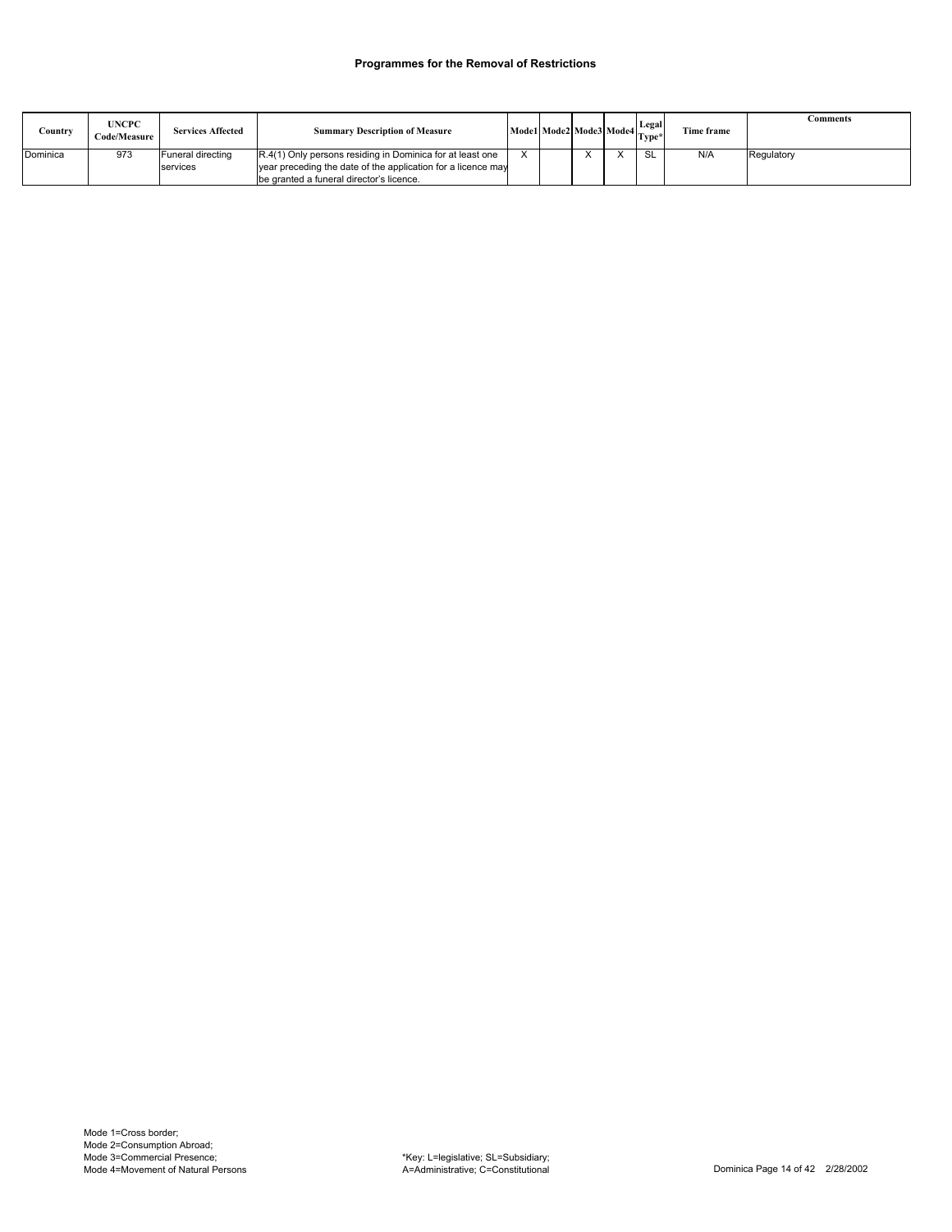| Country  | <b>UNCPC</b><br>Code/Measure | <b>Services Affected</b>      | <b>Summary Description of Measure</b>                                                                                                                                 |  | Model Mode2 Mode3 Mode4 Legal |     | Time frame | Comments   |
|----------|------------------------------|-------------------------------|-----------------------------------------------------------------------------------------------------------------------------------------------------------------------|--|-------------------------------|-----|------------|------------|
| Dominica | 973                          | Funeral directing<br>services | R.4(1) Only persons residing in Dominica for at least one<br>year preceding the date of the application for a licence may<br>be granted a funeral director's licence. |  |                               | -SI | N/A        | Regulatory |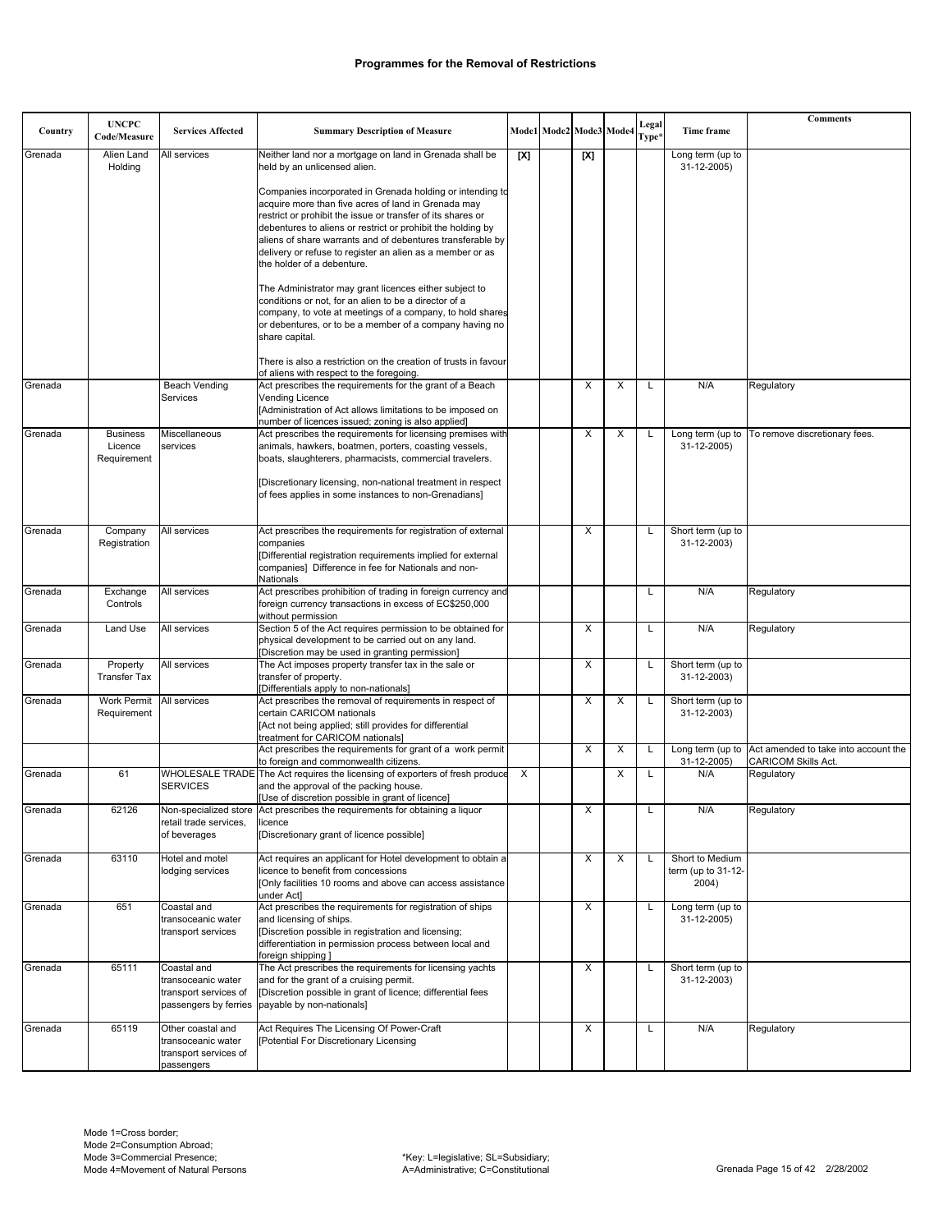| Country | <b>UNCPC</b><br>Code/Measure              | <b>Services Affected</b>                                                            | <b>Summary Description of Measure</b>                                                                                                                                                                                                                                                                        |     | Mode1 Mode2 Mode3 Mode4 |     |   | Legal<br>Type <sup>3</sup> | Time frame                                     | <b>Comments</b>                                                    |
|---------|-------------------------------------------|-------------------------------------------------------------------------------------|--------------------------------------------------------------------------------------------------------------------------------------------------------------------------------------------------------------------------------------------------------------------------------------------------------------|-----|-------------------------|-----|---|----------------------------|------------------------------------------------|--------------------------------------------------------------------|
| Grenada | Alien Land<br>Holding                     | All services                                                                        | Neither land nor a mortgage on land in Grenada shall be<br>held by an unlicensed alien.                                                                                                                                                                                                                      | [X] |                         | [X] |   |                            | Long term (up to<br>31-12-2005)                |                                                                    |
|         |                                           |                                                                                     | Companies incorporated in Grenada holding or intending to<br>acquire more than five acres of land in Grenada may<br>restrict or prohibit the issue or transfer of its shares or<br>debentures to aliens or restrict or prohibit the holding by<br>aliens of share warrants and of debentures transferable by |     |                         |     |   |                            |                                                |                                                                    |
|         |                                           |                                                                                     | delivery or refuse to register an alien as a member or as<br>the holder of a debenture.                                                                                                                                                                                                                      |     |                         |     |   |                            |                                                |                                                                    |
|         |                                           |                                                                                     | The Administrator may grant licences either subject to<br>conditions or not, for an alien to be a director of a<br>company, to vote at meetings of a company, to hold shares<br>or debentures, or to be a member of a company having no<br>share capital.                                                    |     |                         |     |   |                            |                                                |                                                                    |
|         |                                           |                                                                                     | There is also a restriction on the creation of trusts in favour<br>of aliens with respect to the foregoing.                                                                                                                                                                                                  |     |                         |     |   |                            |                                                |                                                                    |
| Grenada |                                           | <b>Beach Vending</b><br>Services                                                    | Act prescribes the requirements for the grant of a Beach<br>Vending Licence<br>[Administration of Act allows limitations to be imposed on<br>number of licences issued; zoning is also applied]                                                                                                              |     |                         | X   | X | L                          | N/A                                            | Regulatory                                                         |
| Grenada | <b>Business</b><br>Licence<br>Requirement | Miscellaneous<br>services                                                           | Act prescribes the requirements for licensing premises with<br>animals, hawkers, boatmen, porters, coasting vessels,<br>boats, slaughterers, pharmacists, commercial travelers.<br>[Discretionary licensing, non-national treatment in respect                                                               |     |                         | X   | X | L                          | Long term (up to<br>31-12-2005)                | To remove discretionary fees.                                      |
|         |                                           |                                                                                     | of fees applies in some instances to non-Grenadians]                                                                                                                                                                                                                                                         |     |                         |     |   |                            |                                                |                                                                    |
| Grenada | Company<br>Registration                   | All services                                                                        | Act prescribes the requirements for registration of external<br>companies<br>[Differential registration requirements implied for external<br>companies] Difference in fee for Nationals and non-<br>Nationals                                                                                                |     |                         | Χ   |   | L                          | Short term (up to<br>31-12-2003)               |                                                                    |
| Grenada | Exchange<br>Controls                      | All services                                                                        | Act prescribes prohibition of trading in foreign currency and<br>foreign currency transactions in excess of EC\$250,000<br>without permission                                                                                                                                                                |     |                         |     |   | L                          | N/A                                            | Regulatory                                                         |
| Grenada | Land Use                                  | All services                                                                        | Section 5 of the Act requires permission to be obtained for<br>physical development to be carried out on any land.<br>[Discretion may be used in granting permission]                                                                                                                                        |     |                         | X   |   | L                          | N/A                                            | Regulatory                                                         |
| Grenada | Property<br><b>Transfer Tax</b>           | All services                                                                        | The Act imposes property transfer tax in the sale or<br>transfer of property.<br>[Differentials apply to non-nationals]                                                                                                                                                                                      |     |                         | X   |   |                            | Short term (up to<br>31-12-2003)               |                                                                    |
| Grenada | <b>Work Permit</b><br>Requirement         | All services                                                                        | Act prescribes the removal of requirements in respect of<br>certain CARICOM nationals<br>[Act not being applied; still provides for differential<br>treatment for CARICOM nationals]                                                                                                                         |     |                         | X   | X | L                          | Short term (up to<br>31-12-2003)               |                                                                    |
|         |                                           |                                                                                     | Act prescribes the requirements for grant of a work permit<br>to foreign and commonwealth citizens.                                                                                                                                                                                                          |     |                         | X   | X | L                          | Long term (up to<br>31-12-2005)                | Act amended to take into account the<br><b>CARICOM Skills Act.</b> |
| Grenada | 61                                        | <b>SERVICES</b>                                                                     | WHOLESALE TRADE The Act requires the licensing of exporters of fresh produce<br>and the approval of the packing house.<br>[Use of discretion possible in grant of licence]                                                                                                                                   | X   |                         |     | X | L                          | N/A                                            | Regulatory                                                         |
| Grenada | 62126                                     | retail trade services,<br>of beverages                                              | Non-specialized store   Act prescribes the requirements for obtaining a liquor<br>licence<br>[Discretionary grant of licence possible]                                                                                                                                                                       |     |                         | X   |   | L                          | N/A                                            | Regulatory                                                         |
| Grenada | 63110                                     | Hotel and motel<br>lodging services                                                 | Act requires an applicant for Hotel development to obtain a<br>licence to benefit from concessions<br>[Only facilities 10 rooms and above can access assistance<br>under Act]                                                                                                                                |     |                         | X   | X | L                          | Short to Medium<br>term (up to 31-12-<br>2004) |                                                                    |
| Grenada | 651                                       | Coastal and<br>transoceanic water<br>transport services                             | Act prescribes the requirements for registration of ships<br>and licensing of ships.<br>[Discretion possible in registration and licensing;<br>differentiation in permission process between local and<br>foreign shipping ]                                                                                 |     |                         | Χ   |   | L                          | Long term (up to<br>31-12-2005)                |                                                                    |
| Grenada | 65111                                     | Coastal and<br>transoceanic water<br>transport services of<br>passengers by ferries | The Act prescribes the requirements for licensing yachts<br>and for the grant of a cruising permit.<br>[Discretion possible in grant of licence; differential fees<br>payable by non-nationals]                                                                                                              |     |                         | Х   |   | L                          | Short term (up to<br>31-12-2003)               |                                                                    |
| Grenada | 65119                                     | Other coastal and<br>transoceanic water<br>transport services of<br>passengers      | Act Requires The Licensing Of Power-Craft<br>[Potential For Discretionary Licensing                                                                                                                                                                                                                          |     |                         | Х   |   | L                          | N/A                                            | Regulatory                                                         |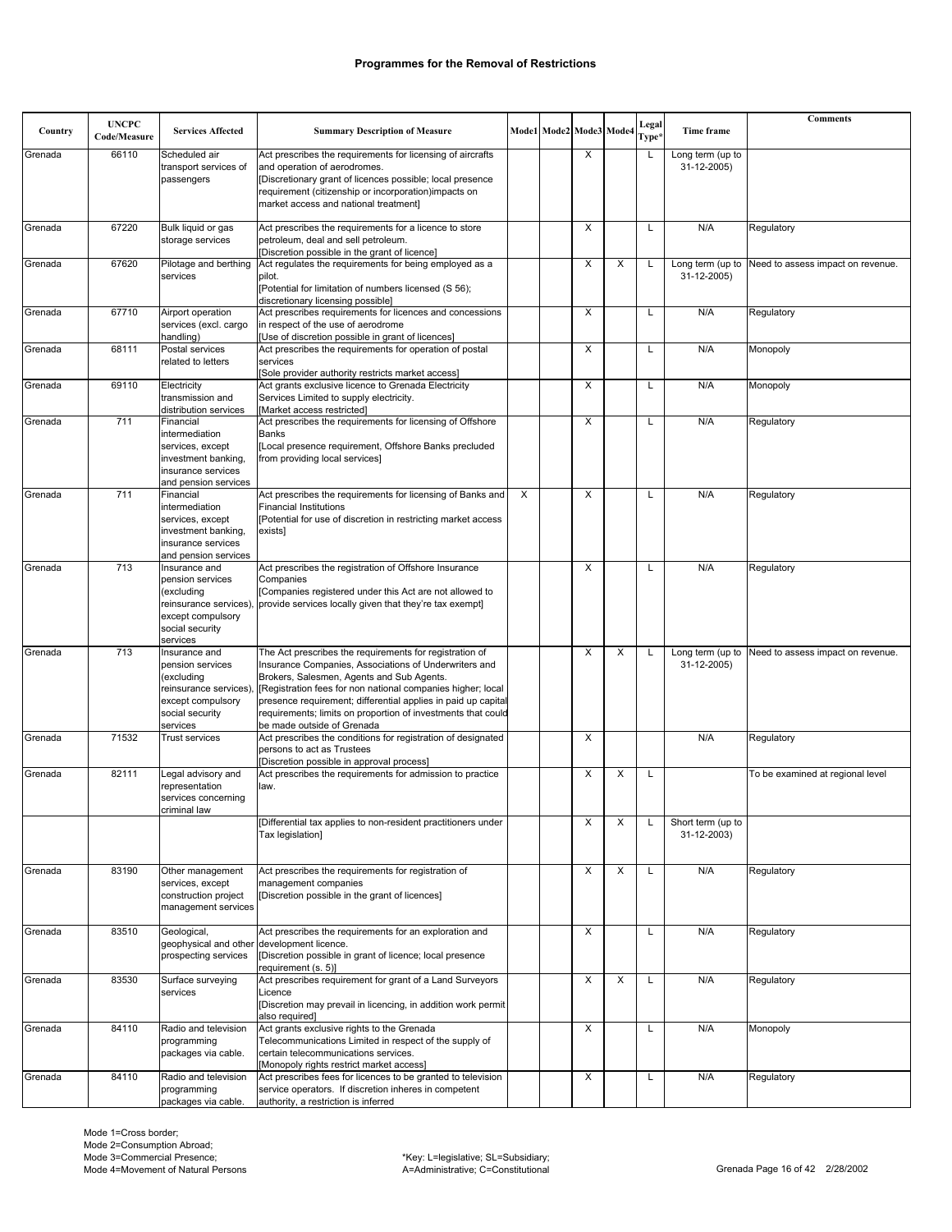| Country | <b>UNCPC</b><br>Code/Measure | <b>Services Affected</b>                                                                                                     | <b>Summary Description of Measure</b>                                                                                                                                                                                                                                                                                                                                                       |   | Mode1 Mode2 Mode3 Mode4 |   | Legal<br>Type* | Time frame                       | <b>Comments</b>                   |
|---------|------------------------------|------------------------------------------------------------------------------------------------------------------------------|---------------------------------------------------------------------------------------------------------------------------------------------------------------------------------------------------------------------------------------------------------------------------------------------------------------------------------------------------------------------------------------------|---|-------------------------|---|----------------|----------------------------------|-----------------------------------|
| Grenada | 66110                        | Scheduled air<br>transport services of<br>passengers                                                                         | Act prescribes the requirements for licensing of aircrafts<br>and operation of aerodromes.<br>[Discretionary grant of licences possible; local presence<br>requirement (citizenship or incorporation)impacts on<br>market access and national treatment]                                                                                                                                    |   | X                       |   | L              | Long term (up to<br>31-12-2005)  |                                   |
| Grenada | 67220                        | Bulk liquid or gas<br>storage services                                                                                       | Act prescribes the requirements for a licence to store<br>petroleum, deal and sell petroleum.<br>[Discretion possible in the grant of licence]                                                                                                                                                                                                                                              |   | X                       |   | Г              | N/A                              | Regulatory                        |
| Grenada | 67620                        | Pilotage and berthing<br>services                                                                                            | Act regulates the requirements for being employed as a<br>pilot.<br>[Potential for limitation of numbers licensed (S 56);<br>discretionary licensing possible]                                                                                                                                                                                                                              |   | X                       | X | L              | Long term (up to<br>31-12-2005)  | Need to assess impact on revenue. |
| Grenada | 67710                        | Airport operation<br>services (excl. cargo<br>handling)                                                                      | Act prescribes requirements for licences and concessions<br>in respect of the use of aerodrome<br>[Use of discretion possible in grant of licences]                                                                                                                                                                                                                                         |   | $\times$                |   | L              | N/A                              | Regulatory                        |
| Grenada | 68111                        | Postal services<br>related to letters                                                                                        | Act prescribes the requirements for operation of postal<br>services<br>[Sole provider authority restricts market access]                                                                                                                                                                                                                                                                    |   | X                       |   | Г              | N/A                              | Monopoly                          |
| Grenada | 69110                        | Electricity<br>transmission and<br>distribution services                                                                     | Act grants exclusive licence to Grenada Electricity<br>Services Limited to supply electricity.<br>[Market access restricted]                                                                                                                                                                                                                                                                |   | X                       |   | L              | N/A                              | Monopoly                          |
| Grenada | 711                          | Financial<br>intermediation<br>services, except<br>investment banking,<br>insurance services<br>and pension services         | Act prescribes the requirements for licensing of Offshore<br><b>Banks</b><br>[Local presence requirement, Offshore Banks precluded<br>from providing local services]                                                                                                                                                                                                                        |   | X                       |   | Г              | N/A                              | Regulatory                        |
| Grenada | 711                          | Financial<br>intermediation<br>services, except<br>investment banking,<br>insurance services<br>and pension services         | Act prescribes the requirements for licensing of Banks and<br><b>Financial Institutions</b><br>[Potential for use of discretion in restricting market access<br>exists]                                                                                                                                                                                                                     | X | X                       |   | L              | N/A                              | Regulatory                        |
| Grenada | 713                          | Insurance and<br>pension services<br>(excluding<br>reinsurance services)<br>except compulsory<br>social security<br>services | Act prescribes the registration of Offshore Insurance<br>Companies<br>[Companies registered under this Act are not allowed to<br>provide services locally given that they're tax exempt]                                                                                                                                                                                                    |   | X                       |   | L              | N/A                              | Regulatory                        |
| Grenada | 713                          | Insurance and<br>pension services<br>(excluding<br>reinsurance services)<br>except compulsory<br>social security<br>services | The Act prescribes the requirements for registration of<br>Insurance Companies, Associations of Underwriters and<br>Brokers, Salesmen, Agents and Sub Agents.<br>[Registration fees for non national companies higher; local<br>presence requirement; differential applies in paid up capital<br>requirements; limits on proportion of investments that could<br>be made outside of Grenada |   | X                       | X | L              | Long term (up to<br>31-12-2005)  | Need to assess impact on revenue. |
| Grenada | 71532                        | <b>Trust services</b>                                                                                                        | Act prescribes the conditions for registration of designated<br>persons to act as Trustees<br>Discretion possible in approval process]                                                                                                                                                                                                                                                      |   | X                       |   |                | N/A                              | Regulatory                        |
| Grenada | 82111                        | Legal advisory and<br>representation<br>services concerning<br>criminal law                                                  | Act prescribes the requirements for admission to practice<br>law.                                                                                                                                                                                                                                                                                                                           |   | X                       | X | Г              |                                  | To be examined at regional level  |
|         |                              |                                                                                                                              | [Differential tax applies to non-resident practitioners under<br>Tax legislation]                                                                                                                                                                                                                                                                                                           |   | X                       | X | L              | Short term (up to<br>31-12-2003) |                                   |
| Grenada | 83190                        | Other management<br>services, except<br>construction project<br>management services                                          | Act prescribes the requirements for registration of<br>management companies<br>[Discretion possible in the grant of licences]                                                                                                                                                                                                                                                               |   | Χ                       | X | L              | N/A                              | Regulatory                        |
| Grenada | 83510                        | Geological,<br>prospecting services                                                                                          | Act prescribes the requirements for an exploration and<br>geophysical and other development licence.<br>[Discretion possible in grant of licence; local presence<br>requirement (s. 5)]                                                                                                                                                                                                     |   | Χ                       |   | L              | N/A                              | Regulatory                        |
| Grenada | 83530                        | Surface surveying<br>services                                                                                                | Act prescribes requirement for grant of a Land Surveyors<br>Licence<br>[Discretion may prevail in licencing, in addition work permit<br>also required]                                                                                                                                                                                                                                      |   | X                       | X | L              | N/A                              | Regulatory                        |
| Grenada | 84110                        | Radio and television<br>programming<br>packages via cable.                                                                   | Act grants exclusive rights to the Grenada<br>Telecommunications Limited in respect of the supply of<br>certain telecommunications services.<br>[Monopoly rights restrict market access]                                                                                                                                                                                                    |   | X                       |   | L              | N/A                              | Monopoly                          |
| Grenada | 84110                        | Radio and television<br>programming<br>packages via cable.                                                                   | Act prescribes fees for licences to be granted to television<br>service operators. If discretion inheres in competent<br>authority, a restriction is inferred                                                                                                                                                                                                                               |   | Х                       |   | L              | N/A                              | Regulatory                        |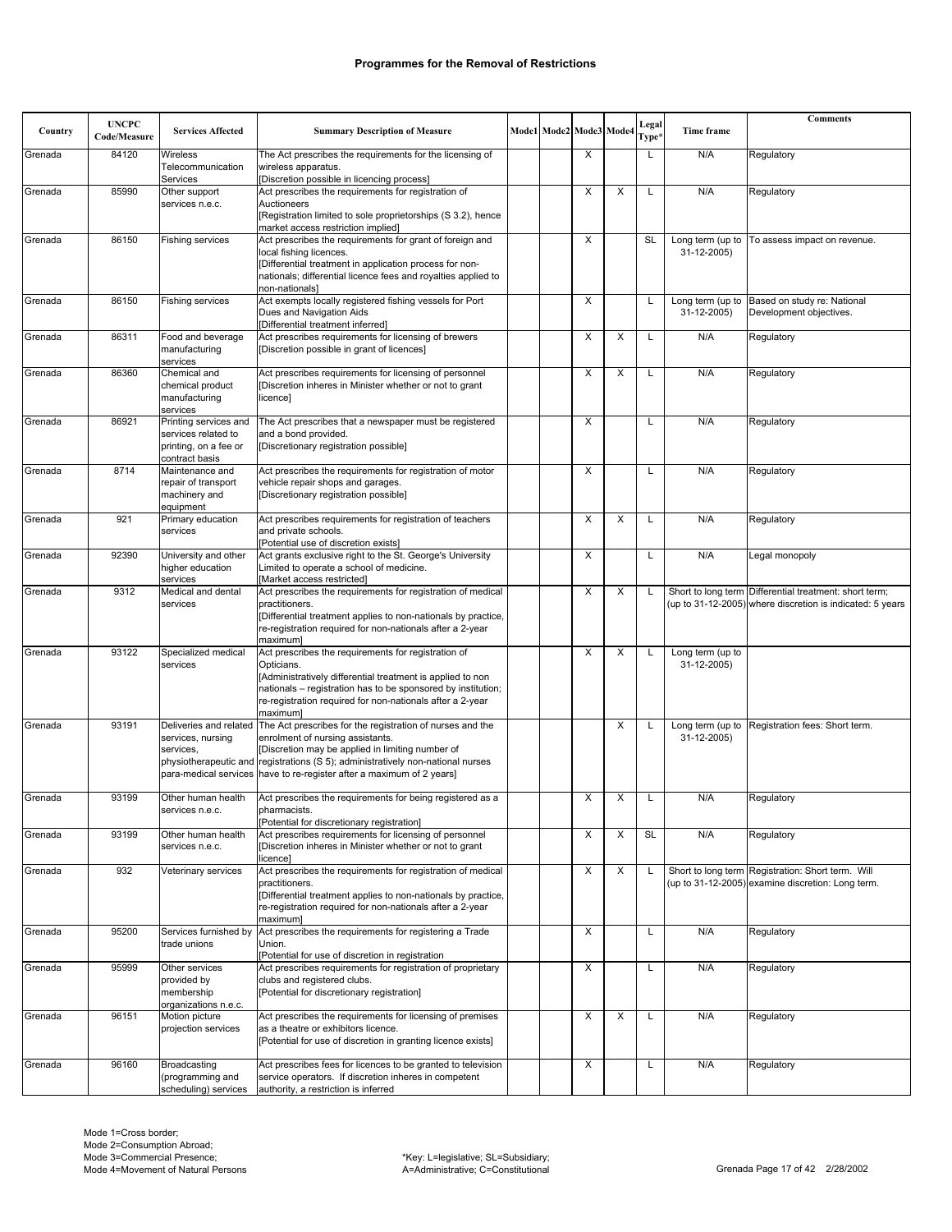|         | <b>UNCPC</b> |                                                   |                                                                                                                               |  |                         |   | Legal             |                                         | <b>Comments</b>                                                                                        |
|---------|--------------|---------------------------------------------------|-------------------------------------------------------------------------------------------------------------------------------|--|-------------------------|---|-------------------|-----------------------------------------|--------------------------------------------------------------------------------------------------------|
| Country | Code/Measure | <b>Services Affected</b>                          | <b>Summary Description of Measure</b>                                                                                         |  | Mode1 Mode2 Mode3 Mode4 |   | Type <sup>,</sup> | Time frame                              |                                                                                                        |
| Grenada | 84120        | <b>Wireless</b><br>Telecommunication<br>Services  | The Act prescribes the requirements for the licensing of<br>wireless apparatus.<br>[Discretion possible in licencing process] |  | X                       |   | L                 | N/A                                     | Regulatory                                                                                             |
| Grenada | 85990        | Other support                                     | Act prescribes the requirements for registration of                                                                           |  | X                       | X |                   | N/A                                     | Regulatory                                                                                             |
|         |              | services n.e.c.                                   | Auctioneers<br>[Registration limited to sole proprietorships (S 3.2), hence<br>market access restriction implied]             |  |                         |   |                   |                                         |                                                                                                        |
| Grenada | 86150        | <b>Fishing services</b>                           | Act prescribes the requirements for grant of foreign and                                                                      |  | X                       |   | SL                | Long term (up to                        | To assess impact on revenue.                                                                           |
|         |              |                                                   | local fishing licences.<br>[Differential treatment in application process for non-                                            |  |                         |   |                   | 31-12-2005)                             |                                                                                                        |
|         |              |                                                   | nationals; differential licence fees and royalties applied to<br>non-nationals]                                               |  |                         |   |                   |                                         |                                                                                                        |
| Grenada | 86150        | Fishing services                                  | Act exempts locally registered fishing vessels for Port<br>Dues and Navigation Aids<br>[Differential treatment inferred]      |  | X                       |   | L                 | Long term (up to<br>31-12-2005)         | Based on study re: National<br>Development objectives.                                                 |
| Grenada | 86311        | Food and beverage<br>manufacturing<br>services    | Act prescribes requirements for licensing of brewers<br>[Discretion possible in grant of licences]                            |  | X                       | X | L                 | N/A                                     | Regulatory                                                                                             |
| Grenada | 86360        | Chemical and                                      | Act prescribes requirements for licensing of personnel                                                                        |  | X                       | X |                   | N/A                                     | Regulatory                                                                                             |
|         |              | chemical product<br>manufacturing<br>services     | [Discretion inheres in Minister whether or not to grant<br>licence]                                                           |  |                         |   |                   |                                         |                                                                                                        |
| Grenada | 86921        | Printing services and<br>services related to      | The Act prescribes that a newspaper must be registered<br>and a bond provided.                                                |  | X                       |   | L                 | N/A                                     | Regulatory                                                                                             |
|         |              | printing, on a fee or<br>contract basis           | [Discretionary registration possible]                                                                                         |  |                         |   |                   |                                         |                                                                                                        |
| Grenada | 8714         | Maintenance and                                   | Act prescribes the requirements for registration of motor                                                                     |  | X                       |   | L                 | N/A                                     | Regulatory                                                                                             |
|         |              | repair of transport<br>machinery and<br>equipment | vehicle repair shops and garages.<br>[Discretionary registration possible]                                                    |  |                         |   |                   |                                         |                                                                                                        |
| Grenada | 921          | Primary education                                 | Act prescribes requirements for registration of teachers                                                                      |  | X                       | X | L                 | N/A                                     | Regulatory                                                                                             |
|         |              | services                                          | and private schools.<br>[Potential use of discretion exists]                                                                  |  |                         |   |                   |                                         |                                                                                                        |
| Grenada | 92390        | University and other                              | Act grants exclusive right to the St. George's University                                                                     |  | X                       |   | L                 | N/A                                     | Legal monopoly                                                                                         |
|         |              | higher education<br>services                      | Limited to operate a school of medicine.<br>[Market access restricted]                                                        |  |                         |   |                   |                                         |                                                                                                        |
| Grenada | 9312         | Medical and dental                                | Act prescribes the requirements for registration of medical                                                                   |  | X                       | X | L.                |                                         | Short to long term Differential treatment: short term;                                                 |
|         |              | services                                          | practitioners.<br>[Differential treatment applies to non-nationals by practice,                                               |  |                         |   |                   |                                         | (up to 31-12-2005) where discretion is indicated: 5 years                                              |
|         |              |                                                   | re-registration required for non-nationals after a 2-year<br>maximuml                                                         |  |                         |   |                   |                                         |                                                                                                        |
| Grenada | 93122        | Specialized medical<br>services                   | Act prescribes the requirements for registration of<br>Opticians.                                                             |  | Х                       | X |                   | Long term (up to<br>31-12-2005)         |                                                                                                        |
|         |              |                                                   | [Administratively differential treatment is applied to non                                                                    |  |                         |   |                   |                                         |                                                                                                        |
|         |              |                                                   | nationals - registration has to be sponsored by institution;                                                                  |  |                         |   |                   |                                         |                                                                                                        |
|         |              |                                                   | re-registration required for non-nationals after a 2-year<br>maximuml                                                         |  |                         |   |                   |                                         |                                                                                                        |
| Grenada | 93191        | services, nursing                                 | Deliveries and related The Act prescribes for the registration of nurses and the<br>enrolment of nursing assistants.          |  |                         | X | L                 | Long term (up to $\vert$<br>31-12-2005) | Registration fees: Short term.                                                                         |
|         |              | services.                                         | [Discretion may be applied in limiting number of                                                                              |  |                         |   |                   |                                         |                                                                                                        |
|         |              |                                                   | physiotherapeutic and registrations (S 5); administratively non-national nurses                                               |  |                         |   |                   |                                         |                                                                                                        |
|         |              |                                                   | para-medical services have to re-register after a maximum of 2 years]                                                         |  |                         |   |                   |                                         |                                                                                                        |
| Grenada | 93199        | Other human health                                | Act prescribes the requirements for being registered as a                                                                     |  | Х                       | Х |                   | N/A                                     | Regulatory                                                                                             |
|         |              | services n.e.c.                                   | pharmacists.<br>[Potential for discretionary registration]                                                                    |  |                         |   |                   |                                         |                                                                                                        |
| Grenada | 93199        | Other human health                                | Act prescribes requirements for licensing of personnel                                                                        |  | X                       | X | <b>SL</b>         | N/A                                     | Regulatory                                                                                             |
|         |              | services n.e.c.                                   | [Discretion inheres in Minister whether or not to grant<br>licence]                                                           |  |                         |   |                   |                                         |                                                                                                        |
| Grenada | 932          | Veterinary services                               | Act prescribes the requirements for registration of medical<br>practitioners.                                                 |  | X                       | X |                   |                                         | Short to long term Registration: Short term. Will<br>(up to 31-12-2005) examine discretion: Long term. |
|         |              |                                                   | [Differential treatment applies to non-nationals by practice,                                                                 |  |                         |   |                   |                                         |                                                                                                        |
|         |              |                                                   | re-registration required for non-nationals after a 2-year<br>maximuml                                                         |  |                         |   |                   |                                         |                                                                                                        |
| Grenada | 95200        | Services furnished by                             | Act prescribes the requirements for registering a Trade                                                                       |  | Χ                       |   | L                 | N/A                                     | Regulatory                                                                                             |
|         |              | trade unions                                      | Union.<br>[Potential for use of discretion in registration                                                                    |  |                         |   |                   |                                         |                                                                                                        |
| Grenada | 95999        | Other services                                    | Act prescribes requirements for registration of proprietary                                                                   |  | X                       |   | L                 | N/A                                     | Regulatory                                                                                             |
|         |              | provided by<br>membership                         | clubs and registered clubs.<br>[Potential for discretionary registration]                                                     |  |                         |   |                   |                                         |                                                                                                        |
|         |              | organizations n.e.c.                              |                                                                                                                               |  |                         |   |                   |                                         |                                                                                                        |
| Grenada | 96151        | Motion picture                                    | Act prescribes the requirements for licensing of premises                                                                     |  | Х                       | X | L                 | N/A                                     | Regulatory                                                                                             |
|         |              | projection services                               | as a theatre or exhibitors licence.<br>[Potential for use of discretion in granting licence exists]                           |  |                         |   |                   |                                         |                                                                                                        |
|         |              |                                                   |                                                                                                                               |  |                         |   |                   |                                         |                                                                                                        |
| Grenada | 96160        | Broadcasting<br>(programming and                  | Act prescribes fees for licences to be granted to television<br>service operators. If discretion inheres in competent         |  | X                       |   | L                 | N/A                                     | Regulatory                                                                                             |
|         |              | scheduling) services                              | authority, a restriction is inferred                                                                                          |  |                         |   |                   |                                         |                                                                                                        |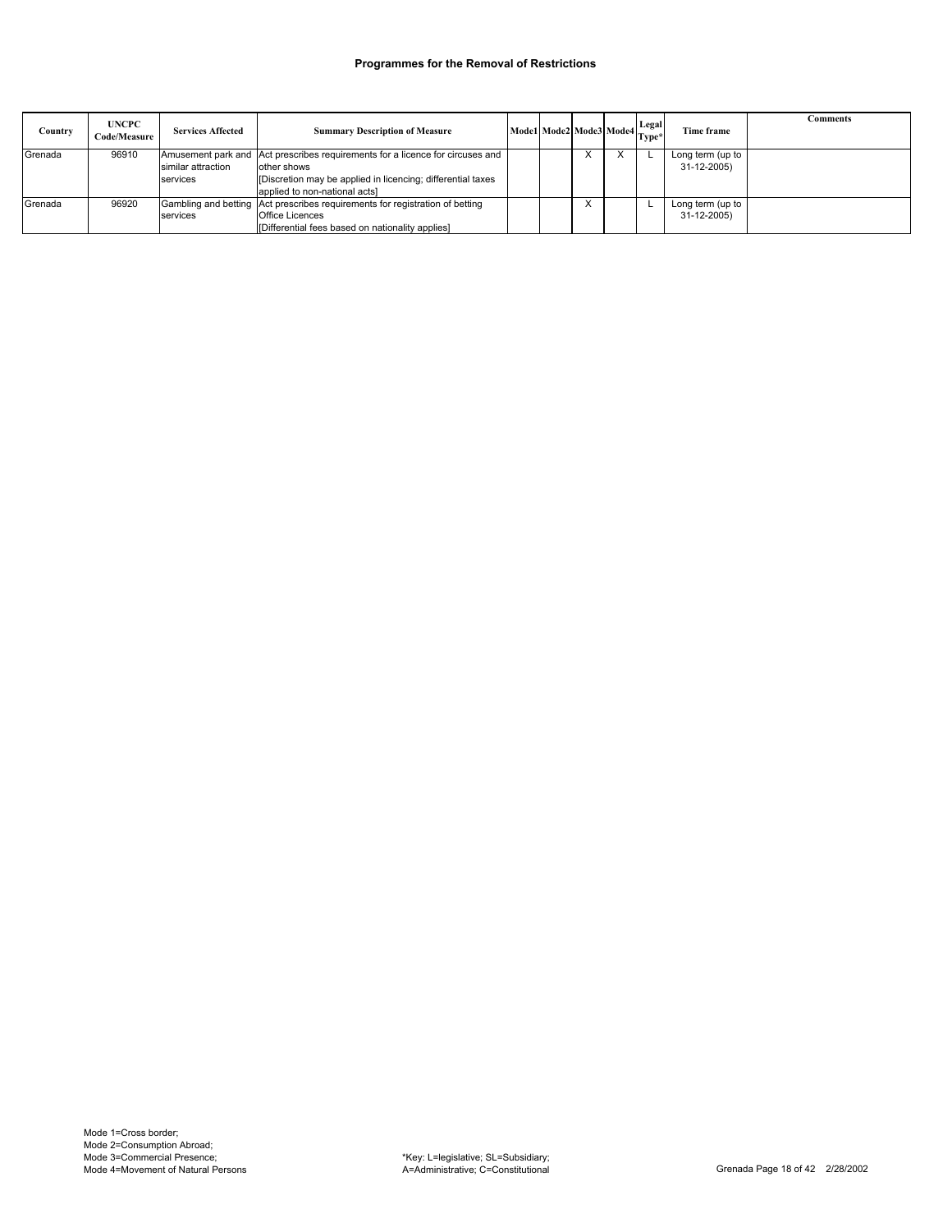| Country | <b>UNCPC</b><br><b>Code/Measure</b> | <b>Services Affected</b>       | <b>Summary Description of Measure</b>                                                                                                                                                        |  |   | Mode1 Mode2 Mode3 Mode4 Legal | Time frame                           | Comments |
|---------|-------------------------------------|--------------------------------|----------------------------------------------------------------------------------------------------------------------------------------------------------------------------------------------|--|---|-------------------------------|--------------------------------------|----------|
| Grenada | 96910                               | similar attraction<br>services | Amusement park and Act prescribes requirements for a licence for circuses and<br>other shows<br>[Discretion may be applied in licencing; differential taxes<br>applied to non-national acts] |  | X | $\times$                      | Long term (up to<br>$31 - 12 - 2005$ |          |
| Grenada | 96920                               | services                       | Gambling and betting Act prescribes requirements for registration of betting<br><b>Office Licences</b><br>[Differential fees based on nationality applies]                                   |  |   |                               | Long term (up to<br>31-12-2005)      |          |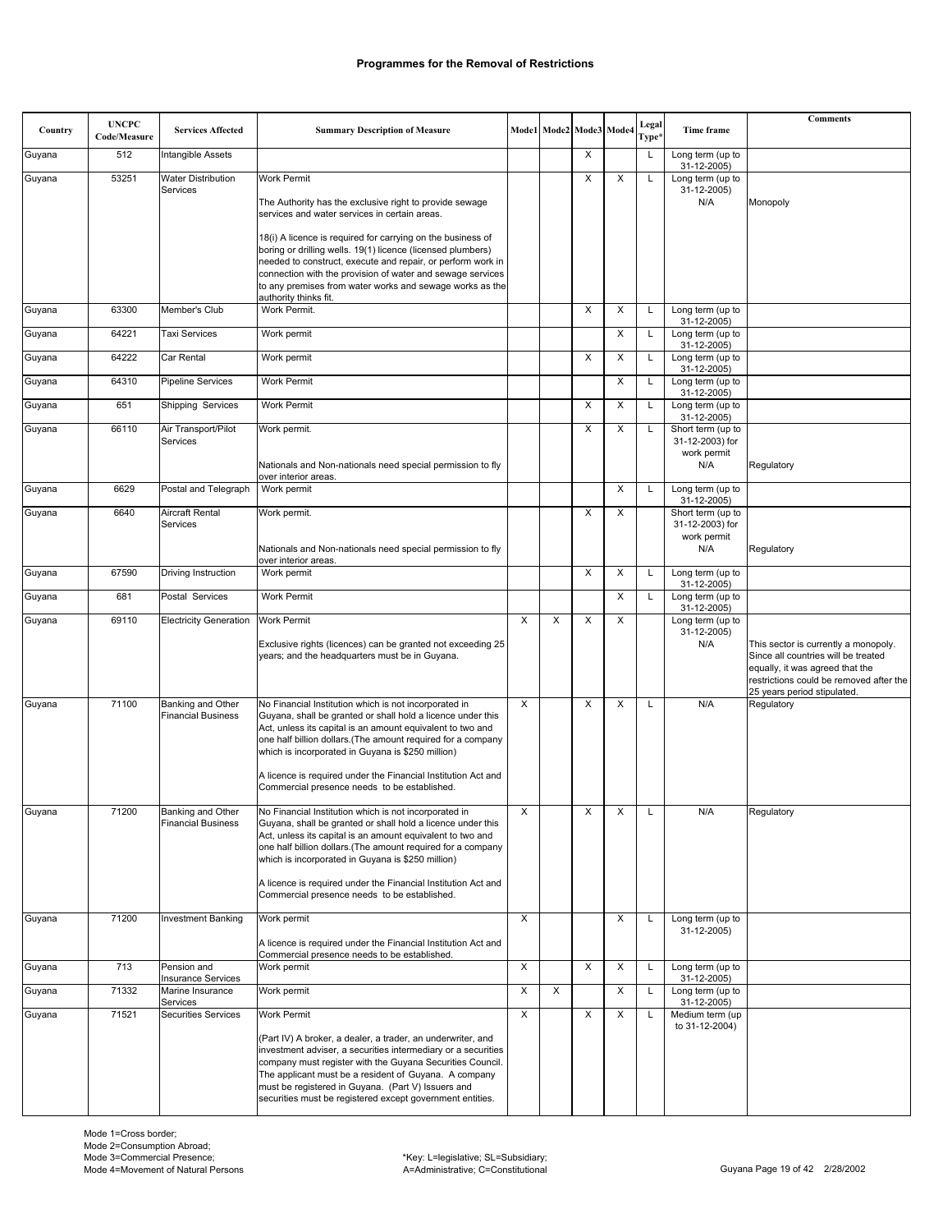| Country | <b>UNCPC</b> | <b>Services Affected</b>                       | <b>Summary Description of Measure</b>                                                                                        |   |   | Mode1 Mode2 Mode3 Mode4 |   | Legal        | Time frame                       | <b>Comments</b>                                                             |
|---------|--------------|------------------------------------------------|------------------------------------------------------------------------------------------------------------------------------|---|---|-------------------------|---|--------------|----------------------------------|-----------------------------------------------------------------------------|
|         | Code/Measure |                                                |                                                                                                                              |   |   |                         |   | Type*        |                                  |                                                                             |
| Guyana  | 512          | Intangible Assets                              |                                                                                                                              |   |   | X                       |   | $\mathsf{L}$ | Long term (up to<br>31-12-2005)  |                                                                             |
| Guyana  | 53251        | <b>Water Distribution</b><br>Services          | <b>Work Permit</b>                                                                                                           |   |   | X                       | X | L            | Long term (up to<br>31-12-2005)  |                                                                             |
|         |              |                                                | The Authority has the exclusive right to provide sewage<br>services and water services in certain areas.                     |   |   |                         |   |              | N/A                              | Monopoly                                                                    |
|         |              |                                                |                                                                                                                              |   |   |                         |   |              |                                  |                                                                             |
|         |              |                                                | 18(i) A licence is required for carrying on the business of<br>boring or drilling wells. 19(1) licence (licensed plumbers)   |   |   |                         |   |              |                                  |                                                                             |
|         |              |                                                | needed to construct, execute and repair, or perform work in<br>connection with the provision of water and sewage services    |   |   |                         |   |              |                                  |                                                                             |
|         |              |                                                | to any premises from water works and sewage works as the<br>authority thinks fit.                                            |   |   |                         |   |              |                                  |                                                                             |
| Guyana  | 63300        | Member's Club                                  | Work Permit.                                                                                                                 |   |   | X                       | X | L            | Long term (up to                 |                                                                             |
| Guyana  | 64221        | <b>Taxi Services</b>                           | Work permit                                                                                                                  |   |   |                         | X | L            | 31-12-2005)<br>Long term (up to  |                                                                             |
| Guyana  | 64222        | Car Rental                                     | Work permit                                                                                                                  |   |   | X                       | X | L            | 31-12-2005)<br>Long term (up to  |                                                                             |
| Guyana  | 64310        | <b>Pipeline Services</b>                       | <b>Work Permit</b>                                                                                                           |   |   |                         | X | L            | 31-12-2005)<br>Long term (up to  |                                                                             |
| Guyana  | 651          | Shipping Services                              | Work Permit                                                                                                                  |   |   | X                       | X | L            | 31-12-2005)<br>Long term (up to  |                                                                             |
| Guyana  | 66110        | Air Transport/Pilot                            | Work permit.                                                                                                                 |   |   | Х                       | X | L            | 31-12-2005)<br>Short term (up to |                                                                             |
|         |              | Services                                       |                                                                                                                              |   |   |                         |   |              | 31-12-2003) for<br>work permit   |                                                                             |
|         |              |                                                | Nationals and Non-nationals need special permission to fly<br>over interior areas.                                           |   |   |                         |   |              | N/A                              | Regulatory                                                                  |
| Guyana  | 6629         | Postal and Telegraph                           | Work permit                                                                                                                  |   |   |                         | X | L            | Long term (up to<br>31-12-2005)  |                                                                             |
| Guyana  | 6640         | Aircraft Rental                                | Work permit.                                                                                                                 |   |   | X                       | X |              | Short term (up to                |                                                                             |
|         |              | Services                                       |                                                                                                                              |   |   |                         |   |              | 31-12-2003) for<br>work permit   |                                                                             |
|         |              |                                                | Nationals and Non-nationals need special permission to fly<br>over interior areas.                                           |   |   |                         |   |              | N/A                              | Regulatory                                                                  |
| Guyana  | 67590        | Driving Instruction                            | Work permit                                                                                                                  |   |   | X                       | X | L            | Long term (up to<br>31-12-2005)  |                                                                             |
| Guyana  | 681          | Postal Services                                | Work Permit                                                                                                                  |   |   |                         | X | L            | Long term (up to<br>31-12-2005)  |                                                                             |
| Guyana  | 69110        | <b>Electricity Generation</b>                  | <b>Work Permit</b>                                                                                                           | X | X | X                       | X |              | Long term (up to<br>31-12-2005)  |                                                                             |
|         |              |                                                | Exclusive rights (licences) can be granted not exceeding 25<br>years; and the headquarters must be in Guyana.                |   |   |                         |   |              | N/A                              | This sector is currently a monopoly.<br>Since all countries will be treated |
|         |              |                                                |                                                                                                                              |   |   |                         |   |              |                                  | equally, it was agreed that the                                             |
|         |              |                                                |                                                                                                                              |   |   |                         |   |              |                                  | restrictions could be removed after the<br>25 years period stipulated.      |
| Guyana  | 71100        | Banking and Other<br><b>Financial Business</b> | No Financial Institution which is not incorporated in<br>Guyana, shall be granted or shall hold a licence under this         | X |   | X                       | X | L            | N/A                              | Regulatory                                                                  |
|         |              |                                                | Act, unless its capital is an amount equivalent to two and<br>one half billion dollars. (The amount required for a company   |   |   |                         |   |              |                                  |                                                                             |
|         |              |                                                | which is incorporated in Guyana is \$250 million)                                                                            |   |   |                         |   |              |                                  |                                                                             |
|         |              |                                                | A licence is required under the Financial Institution Act and                                                                |   |   |                         |   |              |                                  |                                                                             |
|         |              |                                                | Commercial presence needs to be established.                                                                                 |   |   |                         |   |              |                                  |                                                                             |
| Guyana  | 71200        | Banking and Other<br><b>Financial Business</b> | No Financial Institution which is not incorporated in<br>Guyana, shall be granted or shall hold a licence under this         | х |   | Х                       | X | L            | N/A                              | Regulatory                                                                  |
|         |              |                                                | Act, unless its capital is an amount equivalent to two and<br>one half billion dollars. (The amount required for a company   |   |   |                         |   |              |                                  |                                                                             |
|         |              |                                                | which is incorporated in Guyana is \$250 million)                                                                            |   |   |                         |   |              |                                  |                                                                             |
|         |              |                                                | A licence is required under the Financial Institution Act and<br>Commercial presence needs to be established.                |   |   |                         |   |              |                                  |                                                                             |
| Guyana  | 71200        | <b>Investment Banking</b>                      | Work permit                                                                                                                  | X |   |                         | X | L            | Long term (up to                 |                                                                             |
|         |              |                                                | A licence is required under the Financial Institution Act and                                                                |   |   |                         |   |              | 31-12-2005)                      |                                                                             |
| Guyana  | 713          | Pension and                                    | Commercial presence needs to be established.<br>Work permit                                                                  | X |   | X                       | X | L            | Long term (up to                 |                                                                             |
| Guyana  | 71332        | <b>Insurance Services</b><br>Marine Insurance  | Work permit                                                                                                                  | X | X |                         | X | L            | 31-12-2005)<br>Long term (up to  |                                                                             |
| Guyana  | 71521        | Services<br><b>Securities Services</b>         | Work Permit                                                                                                                  | X |   | Χ                       | X | L            | 31-12-2005)<br>Medium term (up   |                                                                             |
|         |              |                                                |                                                                                                                              |   |   |                         |   |              | to 31-12-2004)                   |                                                                             |
|         |              |                                                | (Part IV) A broker, a dealer, a trader, an underwriter, and<br>investment adviser, a securities intermediary or a securities |   |   |                         |   |              |                                  |                                                                             |
|         |              |                                                | company must register with the Guyana Securities Council.<br>The applicant must be a resident of Guyana. A company           |   |   |                         |   |              |                                  |                                                                             |
|         |              |                                                | must be registered in Guyana. (Part V) Issuers and                                                                           |   |   |                         |   |              |                                  |                                                                             |
|         |              |                                                | securities must be registered except government entities.                                                                    |   |   |                         |   |              |                                  |                                                                             |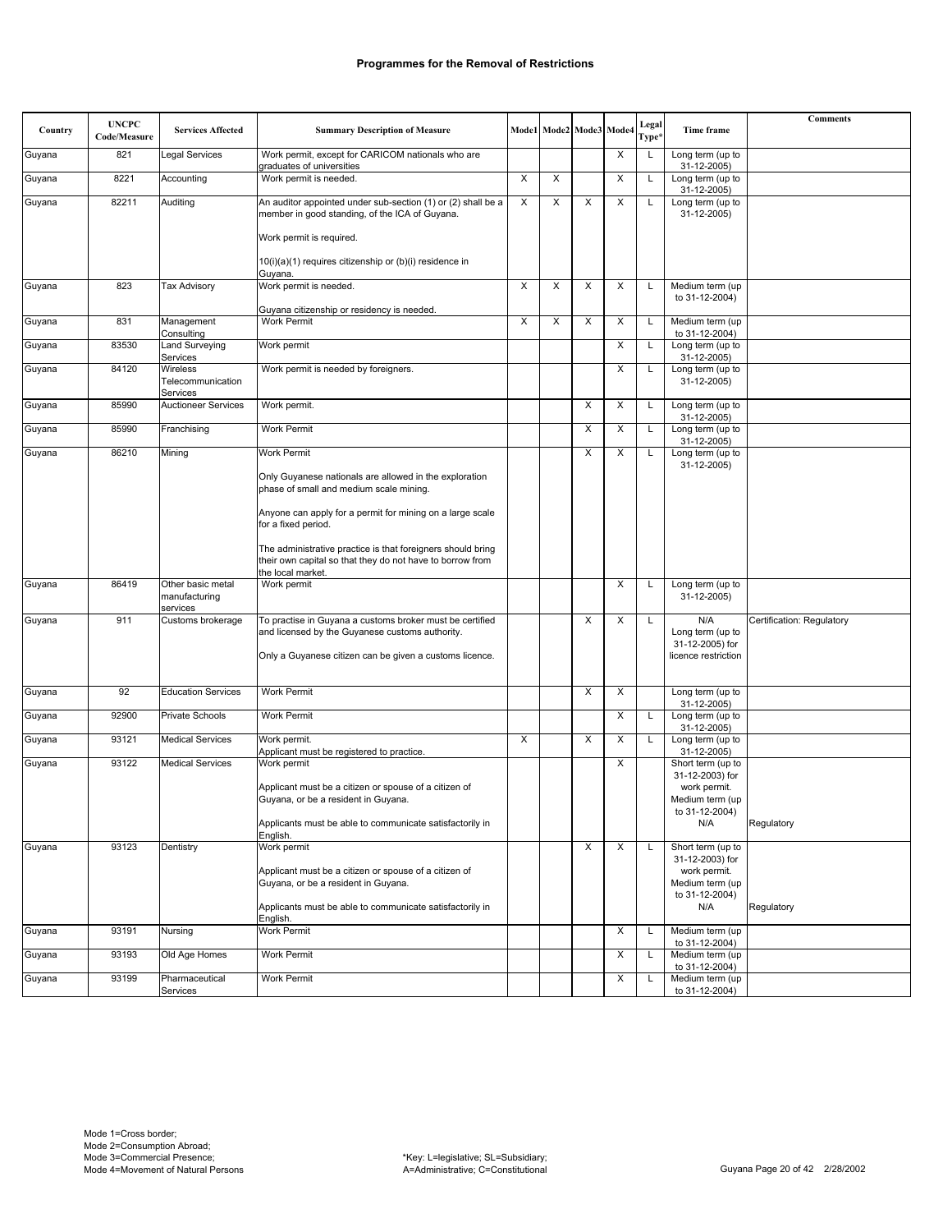| Country | <b>UNCPC</b><br>Code/Measure | <b>Services Affected</b>                       | <b>Summary Description of Measure</b>                                                                                                         |   |   | Mode1 Mode2 Mode3 Mode4 |   | Legal<br>Type* | Time frame                                         | <b>Comments</b>           |
|---------|------------------------------|------------------------------------------------|-----------------------------------------------------------------------------------------------------------------------------------------------|---|---|-------------------------|---|----------------|----------------------------------------------------|---------------------------|
| Guyana  | 821                          | Legal Services                                 | Work permit, except for CARICOM nationals who are                                                                                             |   |   |                         | Χ | L              | Long term (up to                                   |                           |
| Guyana  | 8221                         | Accounting                                     | graduates of universities<br>Work permit is needed.                                                                                           | X | X |                         | X | Г              | 31-12-2005)<br>Long term (up to                    |                           |
| Guyana  | 82211                        | Auditing                                       | An auditor appointed under sub-section (1) or (2) shall be a<br>member in good standing, of the ICA of Guyana.                                | X | X | X                       | X | L              | 31-12-2005)<br>Long term (up to<br>31-12-2005)     |                           |
|         |                              |                                                | Work permit is required.                                                                                                                      |   |   |                         |   |                |                                                    |                           |
|         |                              |                                                | $10(i)(a)(1)$ requires citizenship or $(b)(i)$ residence in<br>Guyana.                                                                        |   |   |                         |   |                |                                                    |                           |
| Guyana  | 823                          | <b>Tax Advisory</b>                            | Work permit is needed.                                                                                                                        | X | X | X                       | X | L              | Medium term (up<br>to 31-12-2004)                  |                           |
| Guyana  | 831                          | Management                                     | Guyana citizenship or residency is needed.<br><b>Work Permit</b>                                                                              | X | X | X                       | X | L              | Medium term (up                                    |                           |
| Guyana  | 83530                        | Consulting<br>Land Surveying                   | Work permit                                                                                                                                   |   |   |                         | X | L              | to 31-12-2004)<br>Long term (up to                 |                           |
| Guyana  | 84120                        | Services<br>Wireless                           | Work permit is needed by foreigners.                                                                                                          |   |   |                         | X | L              | 31-12-2005)<br>Long term (up to                    |                           |
|         |                              | Telecommunication<br>Services                  |                                                                                                                                               |   |   |                         |   |                | 31-12-2005)                                        |                           |
| Guyana  | 85990                        | <b>Auctioneer Services</b>                     | Work permit.                                                                                                                                  |   |   | X                       | X | L              | Long term (up to<br>31-12-2005)                    |                           |
| Guyana  | 85990                        | Franchising                                    | <b>Work Permit</b>                                                                                                                            |   |   | X                       | X | L              | Long term (up to<br>31-12-2005)                    |                           |
| Guyana  | 86210                        | Mining                                         | <b>Work Permit</b>                                                                                                                            |   |   | X                       | X | L              | Long term (up to<br>31-12-2005)                    |                           |
|         |                              |                                                | Only Guyanese nationals are allowed in the exploration<br>phase of small and medium scale mining.                                             |   |   |                         |   |                |                                                    |                           |
|         |                              |                                                | Anyone can apply for a permit for mining on a large scale<br>for a fixed period.                                                              |   |   |                         |   |                |                                                    |                           |
|         |                              |                                                | The administrative practice is that foreigners should bring<br>their own capital so that they do not have to borrow from<br>the local market. |   |   |                         |   |                |                                                    |                           |
| Guyana  | 86419                        | Other basic metal<br>manufacturing<br>services | Work permit                                                                                                                                   |   |   |                         | X | L              | Long term (up to<br>31-12-2005)                    |                           |
| Guyana  | 911                          | Customs brokerage                              | To practise in Guyana a customs broker must be certified<br>and licensed by the Guyanese customs authority.                                   |   |   | X                       | X | L              | N/A<br>Long term (up to                            | Certification: Regulatory |
|         |                              |                                                | Only a Guyanese citizen can be given a customs licence.                                                                                       |   |   |                         |   |                | 31-12-2005) for<br>licence restriction             |                           |
| Guyana  | 92                           | <b>Education Services</b>                      | Work Permit                                                                                                                                   |   |   | X                       | X |                | Long term (up to                                   |                           |
| Guyana  | 92900                        | Private Schools                                | <b>Work Permit</b>                                                                                                                            |   |   |                         | Χ | L              | 31-12-2005)<br>Long term (up to                    |                           |
| Guyana  | 93121                        | <b>Medical Services</b>                        | Work permit.                                                                                                                                  | X |   | X                       | X | L              | 31-12-2005)<br>Long term (up to                    |                           |
| Guyana  | 93122                        | <b>Medical Services</b>                        | Applicant must be registered to practice.<br>Work permit                                                                                      |   |   |                         | X |                | 31-12-2005)<br>Short term (up to                   |                           |
|         |                              |                                                | Applicant must be a citizen or spouse of a citizen of<br>Guyana, or be a resident in Guyana.                                                  |   |   |                         |   |                | 31-12-2003) for<br>work permit.<br>Medium term (up |                           |
|         |                              |                                                | Applicants must be able to communicate satisfactorily in<br>English.                                                                          |   |   |                         |   |                | to 31-12-2004)<br>N/A                              | Regulatory                |
| Guyana  | 93123                        | Dentistry                                      | Work permit                                                                                                                                   |   |   | X                       | X | L              | Short term (up to<br>31-12-2003) for               |                           |
|         |                              |                                                | Applicant must be a citizen or spouse of a citizen of<br>Guyana, or be a resident in Guyana.                                                  |   |   |                         |   |                | work permit.<br>Medium term (up<br>to 31-12-2004)  |                           |
|         |                              |                                                | Applicants must be able to communicate satisfactorily in<br>English.                                                                          |   |   |                         |   |                | N/A                                                | Regulatory                |
| Guyana  | 93191                        | Nursing                                        | Work Permit                                                                                                                                   |   |   |                         | X | L              | Medium term (up<br>to 31-12-2004)                  |                           |
| Guyana  | 93193                        | Old Age Homes                                  | Work Permit                                                                                                                                   |   |   |                         | X | L              | Medium term (up<br>to 31-12-2004)                  |                           |
| Guyana  | 93199                        | Pharmaceutical<br>Services                     | Work Permit                                                                                                                                   |   |   |                         | X | L              | Medium term (up<br>to 31-12-2004)                  |                           |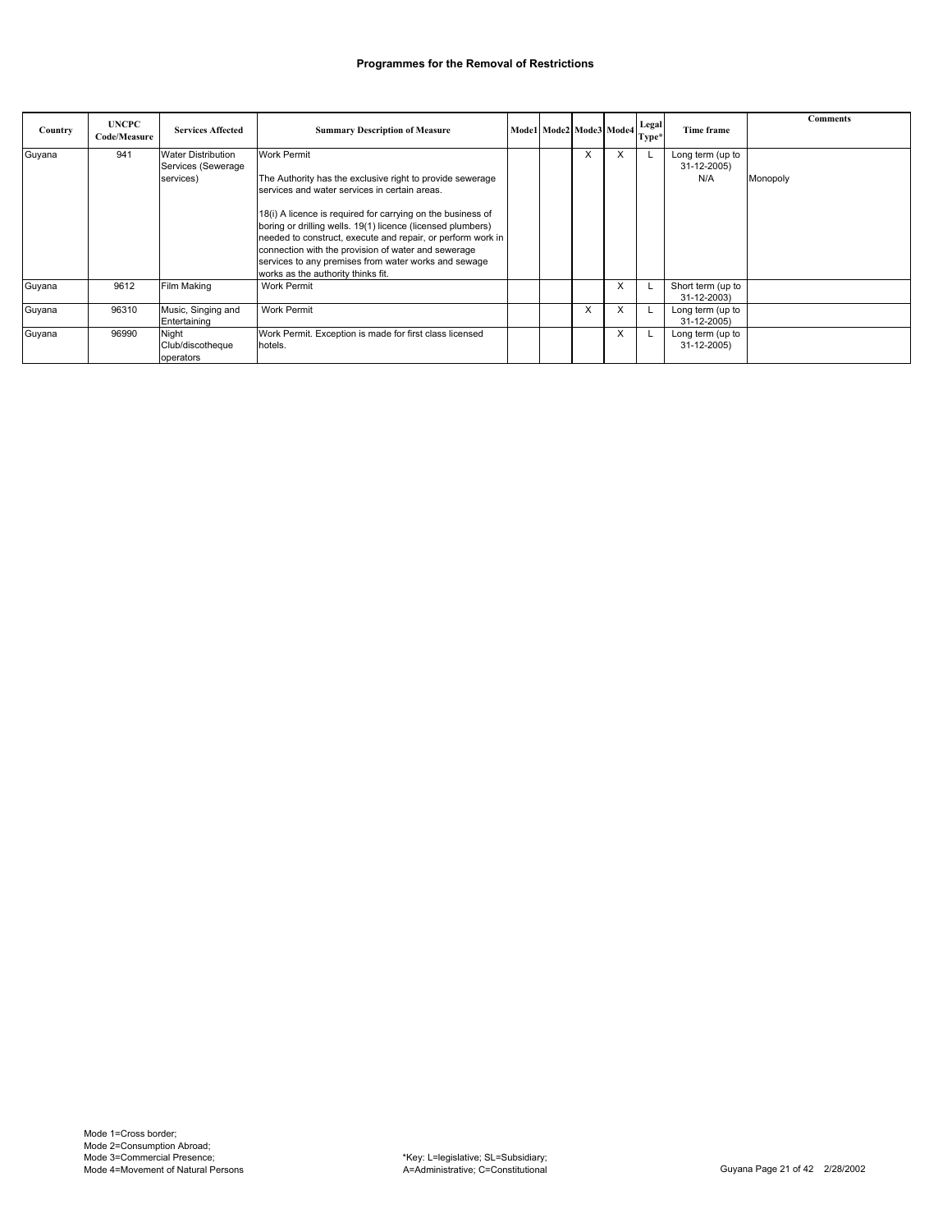| Country | <b>UNCPC</b><br>Code/Measure | <b>Services Affected</b>                                     | <b>Summary Description of Measure</b>                                                                                                                                                                                                                                                                                                                                                                                                                                              | $\pmb{\text{Model}\text{}\big \text{Mode2}\big \text{Mode3}\big \text{Mode4}\big } \begin{array}{l}\text{Legal} \\ \text{\_}\end{array}$ |   |   | Type* | Time frame                             | <b>Comments</b> |
|---------|------------------------------|--------------------------------------------------------------|------------------------------------------------------------------------------------------------------------------------------------------------------------------------------------------------------------------------------------------------------------------------------------------------------------------------------------------------------------------------------------------------------------------------------------------------------------------------------------|------------------------------------------------------------------------------------------------------------------------------------------|---|---|-------|----------------------------------------|-----------------|
| Guyana  | 941                          | <b>Water Distribution</b><br>Services (Sewerage<br>services) | <b>Work Permit</b><br>The Authority has the exclusive right to provide sewerage<br>services and water services in certain areas.<br>18(i) A licence is required for carrying on the business of<br>boring or drilling wells. 19(1) licence (licensed plumbers)<br>needed to construct, execute and repair, or perform work in<br>connection with the provision of water and sewerage<br>services to any premises from water works and sewage<br>works as the authority thinks fit. |                                                                                                                                          | ⋏ | X |       | Long term (up to<br>31-12-2005)<br>N/A | Monopoly        |
| Guyana  | 9612                         | Film Making                                                  | Work Permit                                                                                                                                                                                                                                                                                                                                                                                                                                                                        |                                                                                                                                          |   | X |       | Short term (up to<br>31-12-2003)       |                 |
| Guyana  | 96310                        | Music, Singing and<br>Entertaining                           | Work Permit                                                                                                                                                                                                                                                                                                                                                                                                                                                                        |                                                                                                                                          | X | X |       | Long term (up to<br>31-12-2005)        |                 |
| Guyana  | 96990                        | Night<br>Club/discotheque<br>operators                       | Work Permit. Exception is made for first class licensed<br>hotels.                                                                                                                                                                                                                                                                                                                                                                                                                 |                                                                                                                                          |   | X |       | Long term (up to<br>31-12-2005)        |                 |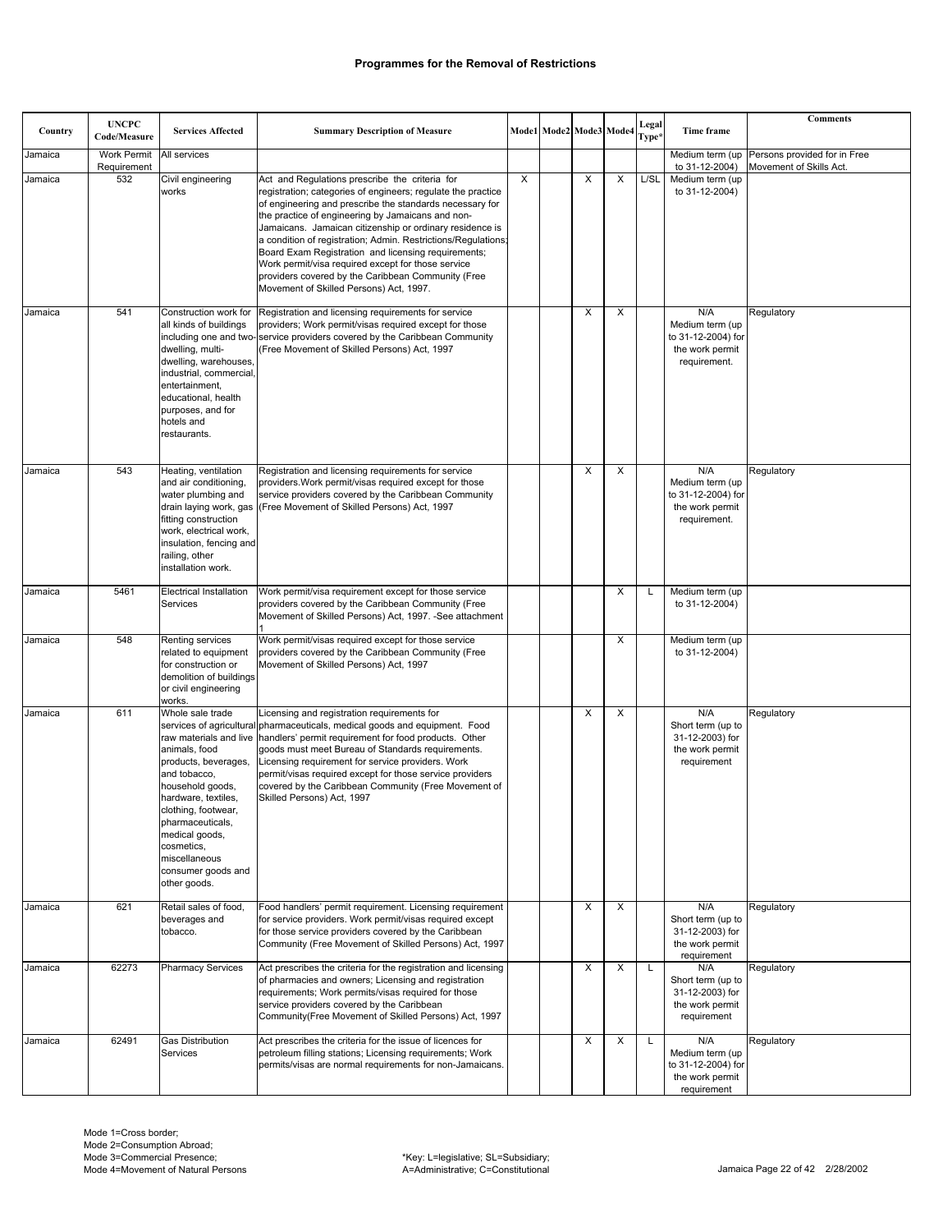|         |                              |                                                                                                                                                                                                                                                        |                                                                                                                                                                                                                                                                                                                                                                                                                                                                                                                                                                            |   |                         |          |          |                |                                                                                 | <b>Comments</b>                                                         |
|---------|------------------------------|--------------------------------------------------------------------------------------------------------------------------------------------------------------------------------------------------------------------------------------------------------|----------------------------------------------------------------------------------------------------------------------------------------------------------------------------------------------------------------------------------------------------------------------------------------------------------------------------------------------------------------------------------------------------------------------------------------------------------------------------------------------------------------------------------------------------------------------------|---|-------------------------|----------|----------|----------------|---------------------------------------------------------------------------------|-------------------------------------------------------------------------|
| Country | <b>UNCPC</b><br>Code/Measure | <b>Services Affected</b>                                                                                                                                                                                                                               | <b>Summary Description of Measure</b>                                                                                                                                                                                                                                                                                                                                                                                                                                                                                                                                      |   | Mode1 Mode2 Mode3 Mode4 |          |          | Legal<br>Type* | <b>Time frame</b>                                                               |                                                                         |
| Jamaica | Work Permit<br>Requirement   | All services                                                                                                                                                                                                                                           |                                                                                                                                                                                                                                                                                                                                                                                                                                                                                                                                                                            |   |                         |          |          |                | to 31-12-2004)                                                                  | Medium term (up Persons provided for in Free<br>Movement of Skills Act. |
| Jamaica | 532                          | Civil engineering<br>works                                                                                                                                                                                                                             | Act and Regulations prescribe the criteria for<br>registration; categories of engineers; regulate the practice<br>of engineering and prescribe the standards necessary for<br>the practice of engineering by Jamaicans and non-<br>Jamaicans. Jamaican citizenship or ordinary residence is<br>a condition of registration; Admin. Restrictions/Regulations;<br>Board Exam Registration and licensing requirements;<br>Work permit/visa required except for those service<br>providers covered by the Caribbean Community (Free<br>Movement of Skilled Persons) Act, 1997. | X |                         | X        | X        | L/SL           | Medium term (up<br>to 31-12-2004)                                               |                                                                         |
| Jamaica | 541                          | Construction work for<br>all kinds of buildings<br>dwelling, multi-<br>dwelling, warehouses,<br>industrial, commercial,<br>entertainment,<br>educational, health<br>purposes, and for<br>hotels and<br>restaurants.                                    | Registration and licensing requirements for service<br>providers; Work permit/visas required except for those<br>including one and two-service providers covered by the Caribbean Community<br>(Free Movement of Skilled Persons) Act, 1997                                                                                                                                                                                                                                                                                                                                |   |                         | $\times$ | X        |                | N/A<br>Medium term (up<br>to 31-12-2004) for<br>the work permit<br>requirement. | Regulatory                                                              |
| Jamaica | 543                          | Heating, ventilation<br>and air conditioning,<br>water plumbing and<br>fitting construction<br>work, electrical work,<br>insulation, fencing and<br>railing, other<br>installation work.                                                               | Registration and licensing requirements for service<br>providers. Work permit/visas required except for those<br>service providers covered by the Caribbean Community<br>drain laying work, gas (Free Movement of Skilled Persons) Act, 1997                                                                                                                                                                                                                                                                                                                               |   |                         | X        | X        |                | N/A<br>Medium term (up<br>to 31-12-2004) for<br>the work permit<br>requirement. | Regulatory                                                              |
| Jamaica | 5461                         | <b>Electrical Installation</b><br>Services                                                                                                                                                                                                             | Work permit/visa requirement except for those service<br>providers covered by the Caribbean Community (Free<br>Movement of Skilled Persons) Act, 1997. -See attachment                                                                                                                                                                                                                                                                                                                                                                                                     |   |                         |          | X        |                | Medium term (up<br>to 31-12-2004)                                               |                                                                         |
| Jamaica | 548                          | Renting services<br>related to equipment<br>for construction or<br>demolition of buildings<br>or civil engineering<br>works.                                                                                                                           | Work permit/visas required except for those service<br>providers covered by the Caribbean Community (Free<br>Movement of Skilled Persons) Act, 1997                                                                                                                                                                                                                                                                                                                                                                                                                        |   |                         |          | X        |                | Medium term (up<br>to 31-12-2004)                                               |                                                                         |
| Jamaica | 611                          | Whole sale trade<br>animals, food<br>products, beverages,<br>and tobacco,<br>household goods,<br>hardware, textiles,<br>clothing, footwear,<br>pharmaceuticals,<br>medical goods,<br>cosmetics.<br>miscellaneous<br>consumer goods and<br>other goods. | Licensing and registration requirements for<br>services of agricultural pharmaceuticals, medical goods and equipment. Food<br>raw materials and live   handlers' permit requirement for food products. Other<br>goods must meet Bureau of Standards requirements.<br>Licensing requirement for service providers. Work<br>permit/visas required except for those service providers<br>covered by the Caribbean Community (Free Movement of<br>Skilled Persons) Act, 1997                                                                                                   |   |                         | X        | X        |                | N/A<br>Short term (up to<br>31-12-2003) for<br>the work permit<br>requirement   | Regulatory                                                              |
| Jamaica | 621                          | Retail sales of food,<br>beverages and<br>tobacco.                                                                                                                                                                                                     | Food handlers' permit requirement. Licensing requirement<br>for service providers. Work permit/visas required except<br>for those service providers covered by the Caribbean<br>Community (Free Movement of Skilled Persons) Act, 1997                                                                                                                                                                                                                                                                                                                                     |   |                         | X        | X        |                | N/A<br>Short term (up to<br>31-12-2003) for<br>the work permit<br>requirement   | Regulatory                                                              |
| Jamaica | 62273                        | <b>Pharmacy Services</b>                                                                                                                                                                                                                               | Act prescribes the criteria for the registration and licensing<br>of pharmacies and owners; Licensing and registration<br>requirements; Work permits/visas required for those<br>service providers covered by the Caribbean<br>Community(Free Movement of Skilled Persons) Act, 1997                                                                                                                                                                                                                                                                                       |   |                         | X        | X        | L              | N/A<br>Short term (up to<br>31-12-2003) for<br>the work permit<br>requirement   | Regulatory                                                              |
| Jamaica | 62491                        | <b>Gas Distribution</b><br>Services                                                                                                                                                                                                                    | Act prescribes the criteria for the issue of licences for<br>petroleum filling stations; Licensing requirements; Work<br>permits/visas are normal requirements for non-Jamaicans.                                                                                                                                                                                                                                                                                                                                                                                          |   |                         | $\times$ | $\times$ | L              | N/A<br>Medium term (up<br>to 31-12-2004) for<br>the work permit<br>requirement  | Regulatory                                                              |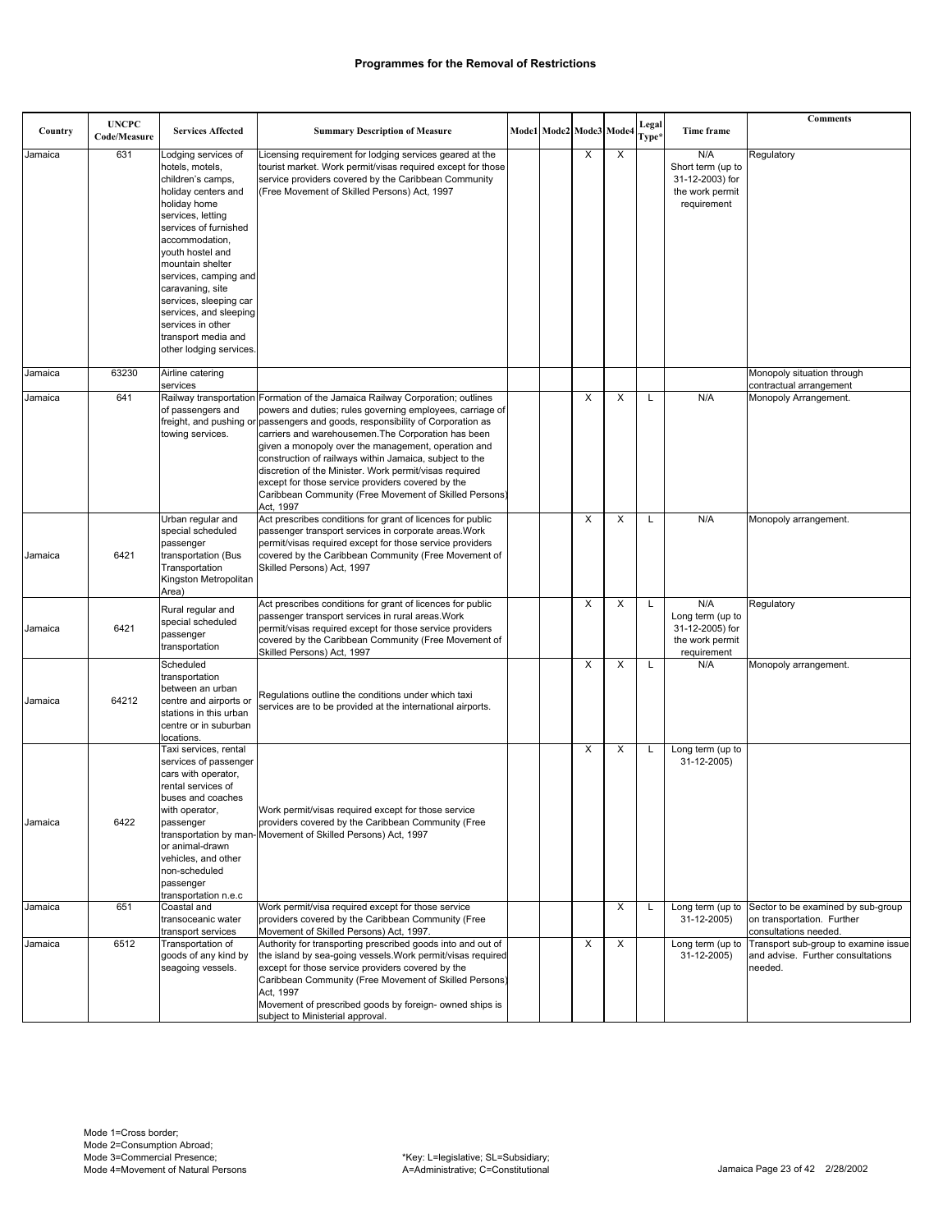| Country | <b>UNCPC</b><br>Code/Measure | <b>Services Affected</b>                                                                                                                                                                                                                                                                                                                                                           | <b>Summary Description of Measure</b>                                                                                                                                                                                                                                                                                                                                                                                                                                                                                                                                                       |  | Mode1 Mode2 Mode3 Mode4 |   | Legal<br>Type* | Time frame                                                                    | <b>Comments</b>                                                                           |
|---------|------------------------------|------------------------------------------------------------------------------------------------------------------------------------------------------------------------------------------------------------------------------------------------------------------------------------------------------------------------------------------------------------------------------------|---------------------------------------------------------------------------------------------------------------------------------------------------------------------------------------------------------------------------------------------------------------------------------------------------------------------------------------------------------------------------------------------------------------------------------------------------------------------------------------------------------------------------------------------------------------------------------------------|--|-------------------------|---|----------------|-------------------------------------------------------------------------------|-------------------------------------------------------------------------------------------|
| Jamaica | 631                          | Lodging services of<br>hotels, motels,<br>children's camps,<br>holiday centers and<br>holiday home<br>services, letting<br>services of furnished<br>accommodation,<br>youth hostel and<br>mountain shelter<br>services, camping and<br>caravaning, site<br>services, sleeping car<br>services, and sleeping<br>services in other<br>transport media and<br>other lodging services. | Licensing requirement for lodging services geared at the<br>tourist market. Work permit/visas required except for those<br>service providers covered by the Caribbean Community<br>(Free Movement of Skilled Persons) Act, 1997                                                                                                                                                                                                                                                                                                                                                             |  | X                       | X |                | N/A<br>Short term (up to<br>31-12-2003) for<br>the work permit<br>requirement | Regulatory                                                                                |
| Jamaica | 63230                        | Airline catering<br>services                                                                                                                                                                                                                                                                                                                                                       |                                                                                                                                                                                                                                                                                                                                                                                                                                                                                                                                                                                             |  |                         |   |                |                                                                               | Monopoly situation through<br>contractual arrangement                                     |
| Jamaica | 641                          | of passengers and<br>towing services.                                                                                                                                                                                                                                                                                                                                              | Railway transportation Formation of the Jamaica Railway Corporation; outlines<br>powers and duties; rules governing employees, carriage of<br>freight, and pushing or passengers and goods, responsibility of Corporation as<br>carriers and warehousemen. The Corporation has been<br>given a monopoly over the management, operation and<br>construction of railways within Jamaica, subject to the<br>discretion of the Minister. Work permit/visas required<br>except for those service providers covered by the<br>Caribbean Community (Free Movement of Skilled Persons)<br>Act, 1997 |  | X                       | X | L              | N/A                                                                           | Monopoly Arrangement.                                                                     |
| Jamaica | 6421                         | Urban regular and<br>special scheduled<br>passenger<br>transportation (Bus<br>Transportation<br>Kingston Metropolitan<br>Area)                                                                                                                                                                                                                                                     | Act prescribes conditions for grant of licences for public<br>passenger transport services in corporate areas. Work<br>permit/visas required except for those service providers<br>covered by the Caribbean Community (Free Movement of<br>Skilled Persons) Act, 1997                                                                                                                                                                                                                                                                                                                       |  | X                       | X | L              | N/A                                                                           | Monopoly arrangement.                                                                     |
| Jamaica | 6421                         | Rural regular and<br>special scheduled<br>passenger<br>transportation                                                                                                                                                                                                                                                                                                              | Act prescribes conditions for grant of licences for public<br>passenger transport services in rural areas. Work<br>permit/visas required except for those service providers<br>covered by the Caribbean Community (Free Movement of<br>Skilled Persons) Act, 1997                                                                                                                                                                                                                                                                                                                           |  | X                       | X | L              | N/A<br>Long term (up to<br>31-12-2005) for<br>the work permit<br>requirement  | Regulatory                                                                                |
| Jamaica | 64212                        | Scheduled<br>transportation<br>between an urban<br>centre and airports or<br>stations in this urban<br>centre or in suburban<br>locations.                                                                                                                                                                                                                                         | Regulations outline the conditions under which taxi<br>services are to be provided at the international airports.                                                                                                                                                                                                                                                                                                                                                                                                                                                                           |  | X                       | X | L              | N/A                                                                           | Monopoly arrangement.                                                                     |
| Jamaica | 6422                         | Taxi services, rental<br>services of passenger<br>cars with operator,<br>rental services of<br>buses and coaches<br>with operator,<br>passenger<br>or animal-drawn<br>vehicles, and other<br>non-scheduled<br>passenger<br>transportation n.e.c                                                                                                                                    | Work permit/visas required except for those service<br>providers covered by the Caribbean Community (Free<br>transportation by man-Movement of Skilled Persons) Act, 1997                                                                                                                                                                                                                                                                                                                                                                                                                   |  | X                       | X | L              | Long term (up to<br>31-12-2005)                                               |                                                                                           |
| Jamaica | 651                          | Coastal and<br>transoceanic water<br>transport services                                                                                                                                                                                                                                                                                                                            | Work permit/visa required except for those service<br>providers covered by the Caribbean Community (Free<br>Movement of Skilled Persons) Act, 1997.                                                                                                                                                                                                                                                                                                                                                                                                                                         |  |                         | X | Г              | Long term (up to<br>31-12-2005)                                               | Sector to be examined by sub-group<br>on transportation. Further<br>consultations needed. |
| Jamaica | 6512                         | Transportation of<br>goods of any kind by<br>seagoing vessels.                                                                                                                                                                                                                                                                                                                     | Authority for transporting prescribed goods into and out of<br>the island by sea-going vessels. Work permit/visas required<br>except for those service providers covered by the<br>Caribbean Community (Free Movement of Skilled Persons)<br>Act, 1997<br>Movement of prescribed goods by foreign- owned ships is<br>subject to Ministerial approval.                                                                                                                                                                                                                                       |  | X                       | X |                | Long term (up to<br>31-12-2005)                                               | Transport sub-group to examine issue<br>and advise. Further consultations<br>needed.      |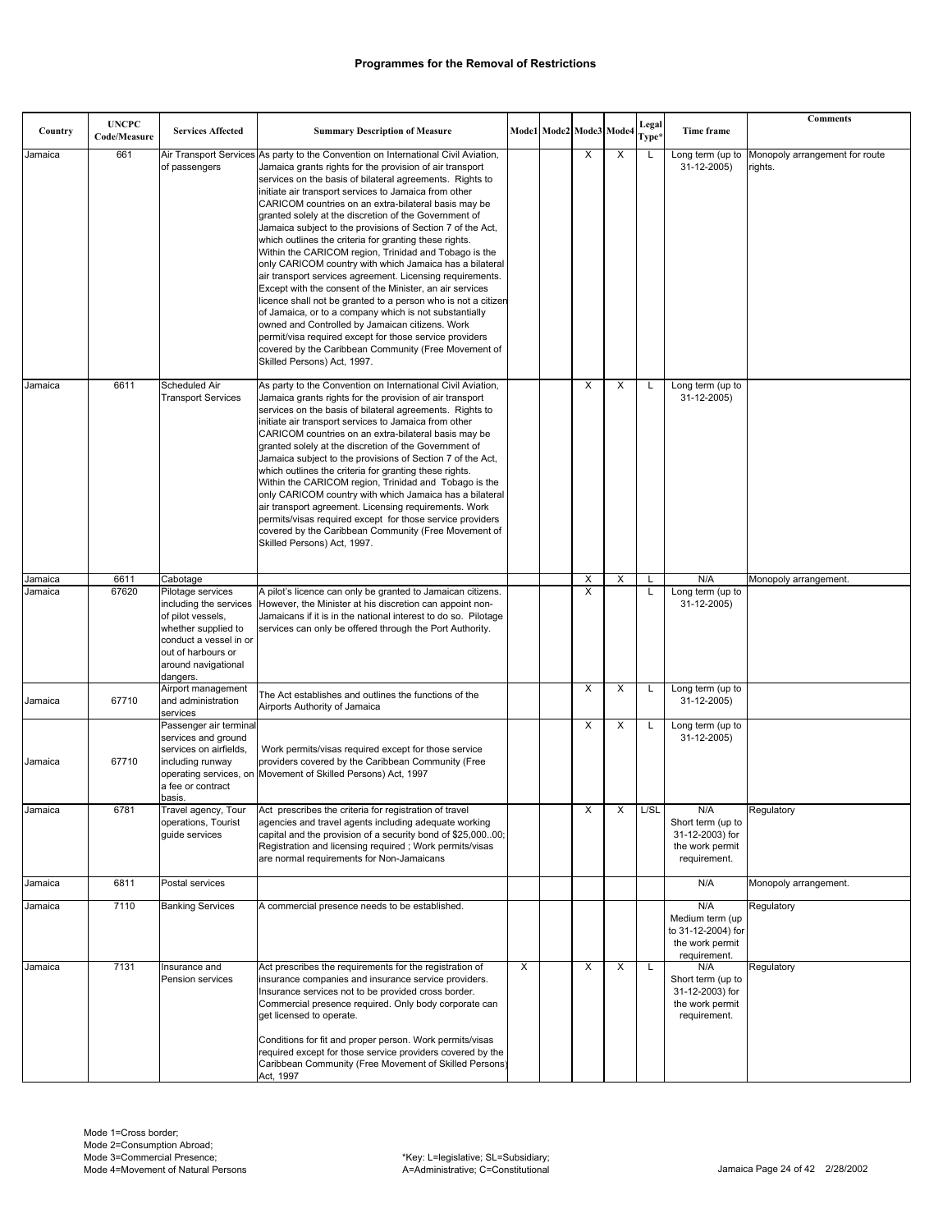| Country | <b>UNCPC</b><br>Code/Measure | <b>Services Affected</b>                                                                                                                                                   | <b>Summary Description of Measure</b>                                                                                                                                                                                                                                                                                                                                                                                                                                                                                                                                                                                                                                                                                                                                                                                                                                                                                                                                                                                                                              |   | Mode1 Mode2 Mode3 Mode4 |   |   | Legal<br>Type* | Time frame                                                                      | <b>Comments</b>                           |
|---------|------------------------------|----------------------------------------------------------------------------------------------------------------------------------------------------------------------------|--------------------------------------------------------------------------------------------------------------------------------------------------------------------------------------------------------------------------------------------------------------------------------------------------------------------------------------------------------------------------------------------------------------------------------------------------------------------------------------------------------------------------------------------------------------------------------------------------------------------------------------------------------------------------------------------------------------------------------------------------------------------------------------------------------------------------------------------------------------------------------------------------------------------------------------------------------------------------------------------------------------------------------------------------------------------|---|-------------------------|---|---|----------------|---------------------------------------------------------------------------------|-------------------------------------------|
| Jamaica | 661                          | Air Transport Services<br>of passengers                                                                                                                                    | As party to the Convention on International Civil Aviation,<br>Jamaica grants rights for the provision of air transport<br>services on the basis of bilateral agreements. Rights to<br>initiate air transport services to Jamaica from other<br>CARICOM countries on an extra-bilateral basis may be<br>granted solely at the discretion of the Government of<br>Jamaica subject to the provisions of Section 7 of the Act,<br>which outlines the criteria for granting these rights.<br>Within the CARICOM region, Trinidad and Tobago is the<br>only CARICOM country with which Jamaica has a bilateral<br>air transport services agreement. Licensing requirements.<br>Except with the consent of the Minister, an air services<br>licence shall not be granted to a person who is not a citizen<br>of Jamaica, or to a company which is not substantially<br>owned and Controlled by Jamaican citizens. Work<br>permit/visa required except for those service providers<br>covered by the Caribbean Community (Free Movement of<br>Skilled Persons) Act, 1997. |   |                         | X | X | L              | Long term (up to<br>31-12-2005)                                                 | Monopoly arrangement for route<br>rights. |
| Jamaica | 6611                         | Scheduled Air<br><b>Transport Services</b>                                                                                                                                 | As party to the Convention on International Civil Aviation,<br>Jamaica grants rights for the provision of air transport<br>services on the basis of bilateral agreements. Rights to<br>initiate air transport services to Jamaica from other<br>CARICOM countries on an extra-bilateral basis may be<br>granted solely at the discretion of the Government of<br>Jamaica subject to the provisions of Section 7 of the Act,<br>which outlines the criteria for granting these rights.<br>Within the CARICOM region, Trinidad and Tobago is the<br>only CARICOM country with which Jamaica has a bilateral<br>air transport agreement. Licensing requirements. Work<br>permits/visas required except for those service providers<br>covered by the Caribbean Community (Free Movement of<br>Skilled Persons) Act, 1997.                                                                                                                                                                                                                                             |   |                         | X | X | L              | Long term (up to<br>31-12-2005)                                                 |                                           |
| Jamaica | 6611                         | Cabotage                                                                                                                                                                   |                                                                                                                                                                                                                                                                                                                                                                                                                                                                                                                                                                                                                                                                                                                                                                                                                                                                                                                                                                                                                                                                    |   |                         | X | X |                | N/A                                                                             | Monopoly arrangement.                     |
| Jamaica | 67620                        | Pilotage services<br>including the services<br>of pilot vessels,<br>whether supplied to<br>conduct a vessel in or<br>out of harbours or<br>around navigational<br>dangers. | A pilot's licence can only be granted to Jamaican citizens.<br>However, the Minister at his discretion can appoint non-<br>Jamaicans if it is in the national interest to do so. Pilotage<br>services can only be offered through the Port Authority.                                                                                                                                                                                                                                                                                                                                                                                                                                                                                                                                                                                                                                                                                                                                                                                                              |   |                         | X |   | Г              | Long term (up to<br>31-12-2005)                                                 |                                           |
| Jamaica | 67710                        | Airport management<br>and administration<br>services                                                                                                                       | The Act establishes and outlines the functions of the<br>Airports Authority of Jamaica                                                                                                                                                                                                                                                                                                                                                                                                                                                                                                                                                                                                                                                                                                                                                                                                                                                                                                                                                                             |   |                         | X | X | L              | Long term (up to<br>31-12-2005)                                                 |                                           |
| Jamaica | 67710                        | Passenger air terminal<br>services and ground<br>services on airfields,<br>including runway<br>a fee or contract<br>basis.                                                 | Work permits/visas required except for those service<br>providers covered by the Caribbean Community (Free<br>operating services, on Movement of Skilled Persons) Act, 1997                                                                                                                                                                                                                                                                                                                                                                                                                                                                                                                                                                                                                                                                                                                                                                                                                                                                                        |   |                         | X | X | L              | Long term (up to<br>31-12-2005)                                                 |                                           |
| Jamaica | 6781                         | Travel agency, Tour<br>operations, Tourist<br>quide services                                                                                                               | Act prescribes the criteria for registration of travel<br>agencies and travel agents including adequate working<br>capital and the provision of a security bond of \$25,00000;<br>Registration and licensing required; Work permits/visas<br>are normal requirements for Non-Jamaicans                                                                                                                                                                                                                                                                                                                                                                                                                                                                                                                                                                                                                                                                                                                                                                             |   |                         | Х | X | L/SL           | N/A<br>Short term (up to<br>31-12-2003) for<br>the work permit<br>requirement.  | Regulatory                                |
| Jamaica | 6811                         | Postal services                                                                                                                                                            |                                                                                                                                                                                                                                                                                                                                                                                                                                                                                                                                                                                                                                                                                                                                                                                                                                                                                                                                                                                                                                                                    |   |                         |   |   |                | N/A                                                                             | Monopoly arrangement.                     |
| Jamaica | 7110                         | <b>Banking Services</b>                                                                                                                                                    | A commercial presence needs to be established.                                                                                                                                                                                                                                                                                                                                                                                                                                                                                                                                                                                                                                                                                                                                                                                                                                                                                                                                                                                                                     |   |                         |   |   |                | N/A<br>Medium term (up<br>to 31-12-2004) for<br>the work permit<br>requirement. | Regulatory                                |
| Jamaica | 7131                         | Insurance and<br>Pension services                                                                                                                                          | Act prescribes the requirements for the registration of<br>insurance companies and insurance service providers.<br>Insurance services not to be provided cross border.<br>Commercial presence required. Only body corporate can<br>get licensed to operate.<br>Conditions for fit and proper person. Work permits/visas<br>required except for those service providers covered by the<br>Caribbean Community (Free Movement of Skilled Persons)<br>Act, 1997                                                                                                                                                                                                                                                                                                                                                                                                                                                                                                                                                                                                       | X |                         | X | X | Г              | N/A<br>Short term (up to<br>31-12-2003) for<br>the work permit<br>requirement.  | Regulatory                                |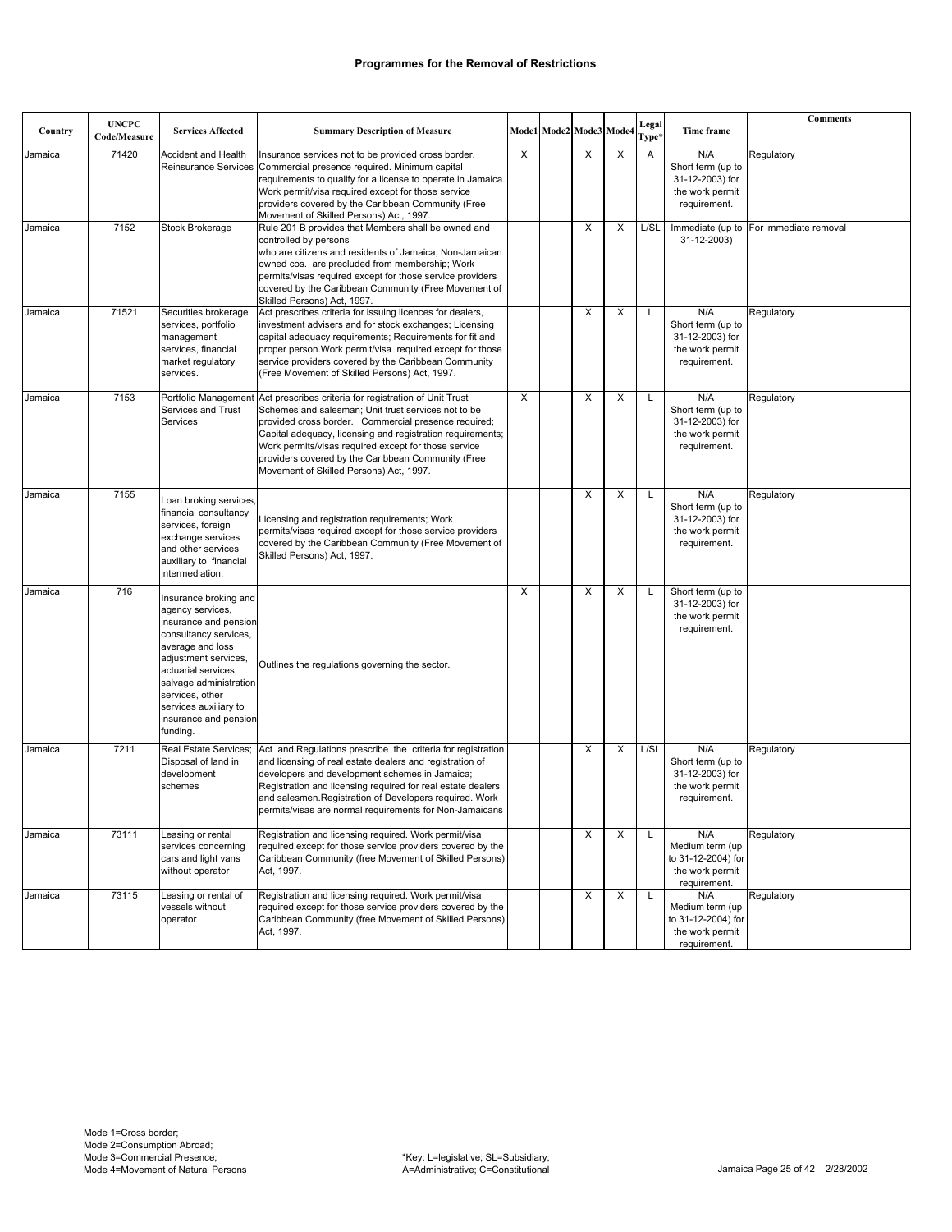|         | <b>UNCPC</b> |                                                                                                                                                                                                                                                                           |                                                                                                                                                                                                                                                                                                                                                                                              |   |                         |   |   | Legal             |                                                                                 | <b>Comments</b>                        |
|---------|--------------|---------------------------------------------------------------------------------------------------------------------------------------------------------------------------------------------------------------------------------------------------------------------------|----------------------------------------------------------------------------------------------------------------------------------------------------------------------------------------------------------------------------------------------------------------------------------------------------------------------------------------------------------------------------------------------|---|-------------------------|---|---|-------------------|---------------------------------------------------------------------------------|----------------------------------------|
| Country | Code/Measure | <b>Services Affected</b>                                                                                                                                                                                                                                                  | <b>Summary Description of Measure</b>                                                                                                                                                                                                                                                                                                                                                        |   | Mode1 Mode2 Mode3 Mode4 |   |   | Type <sup>3</sup> | Time frame                                                                      |                                        |
| Jamaica | 71420        | Accident and Health                                                                                                                                                                                                                                                       | Insurance services not to be provided cross border.<br>Reinsurance Services Commercial presence required. Minimum capital<br>requirements to qualify for a license to operate in Jamaica.<br>Work permit/visa required except for those service<br>providers covered by the Caribbean Community (Free<br>Movement of Skilled Persons) Act, 1997.                                             | Χ |                         | X | X | Α                 | N/A<br>Short term (up to<br>31-12-2003) for<br>the work permit<br>requirement.  | Regulatory                             |
| Jamaica | 7152         | Stock Brokerage                                                                                                                                                                                                                                                           | Rule 201 B provides that Members shall be owned and<br>controlled by persons<br>who are citizens and residents of Jamaica; Non-Jamaican<br>owned cos. are precluded from membership; Work<br>permits/visas required except for those service providers<br>covered by the Caribbean Community (Free Movement of<br>Skilled Persons) Act, 1997.                                                |   |                         | X | X | L/SL              | 31-12-2003)                                                                     | Immediate (up to For immediate removal |
| Jamaica | 71521        | Securities brokerage<br>services, portfolio<br>management<br>services, financial<br>market regulatory<br>services.                                                                                                                                                        | Act prescribes criteria for issuing licences for dealers,<br>investment advisers and for stock exchanges; Licensing<br>capital adequacy requirements; Requirements for fit and<br>proper person. Work permit/visa required except for those<br>service providers covered by the Caribbean Community<br>(Free Movement of Skilled Persons) Act, 1997.                                         |   |                         | X | X | L                 | N/A<br>Short term (up to<br>31-12-2003) for<br>the work permit<br>requirement.  | Regulatory                             |
| Jamaica | 7153         | Portfolio Managemen<br>Services and Trust<br>Services                                                                                                                                                                                                                     | Act prescribes criteria for registration of Unit Trust<br>Schemes and salesman; Unit trust services not to be<br>provided cross border. Commercial presence required;<br>Capital adequacy, licensing and registration requirements;<br>Work permits/visas required except for those service<br>providers covered by the Caribbean Community (Free<br>Movement of Skilled Persons) Act, 1997. | X |                         | X | X | L                 | N/A<br>Short term (up to<br>31-12-2003) for<br>the work permit<br>requirement.  | Regulatory                             |
| Jamaica | 7155         | Loan broking services,<br>financial consultancy<br>services, foreign<br>exchange services<br>and other services<br>auxiliary to financial<br>intermediation.                                                                                                              | Licensing and registration requirements; Work<br>permits/visas required except for those service providers<br>covered by the Caribbean Community (Free Movement of<br>Skilled Persons) Act, 1997.                                                                                                                                                                                            |   |                         | X | X | L                 | N/A<br>Short term (up to<br>31-12-2003) for<br>the work permit<br>requirement.  | Regulatory                             |
| Jamaica | 716          | Insurance broking and<br>agency services,<br>insurance and pension<br>consultancy services,<br>average and loss<br>adjustment services,<br>actuarial services.<br>salvage administration<br>services, other<br>services auxiliary to<br>insurance and pension<br>funding. | Outlines the regulations governing the sector.                                                                                                                                                                                                                                                                                                                                               | X |                         | X | X | L                 | Short term (up to<br>31-12-2003) for<br>the work permit<br>requirement.         |                                        |
| Jamaica | 7211         | Real Estate Services;<br>Disposal of land in<br>development<br>schemes                                                                                                                                                                                                    | Act and Regulations prescribe the criteria for registration<br>and licensing of real estate dealers and registration of<br>developers and development schemes in Jamaica;<br>Registration and licensing required for real estate dealers<br>and salesmen. Registration of Developers required. Work<br>permits/visas are normal requirements for Non-Jamaicans                               |   |                         | X | X | L/SL              | N/A<br>Short term (up to<br>31-12-2003) for<br>the work permit<br>requirement.  | Regulatory                             |
| Jamaica | 73111        | Leasing or rental<br>services concerning<br>cars and light vans<br>without operator                                                                                                                                                                                       | Registration and licensing reguired. Work permit/visa<br>required except for those service providers covered by the<br>Caribbean Community (free Movement of Skilled Persons)<br>Act, 1997.                                                                                                                                                                                                  |   |                         | X | х | L                 | N/A<br>Medium term (up<br>to 31-12-2004) for<br>the work permit<br>requirement. | Regulatory                             |
| Jamaica | 73115        | Leasing or rental of<br>vessels without<br>operator                                                                                                                                                                                                                       | Registration and licensing required. Work permit/visa<br>required except for those service providers covered by the<br>Caribbean Community (free Movement of Skilled Persons)<br>Act, 1997.                                                                                                                                                                                                  |   |                         | X | X | L                 | N/A<br>Medium term (up<br>to 31-12-2004) for<br>the work permit<br>requirement. | Regulatory                             |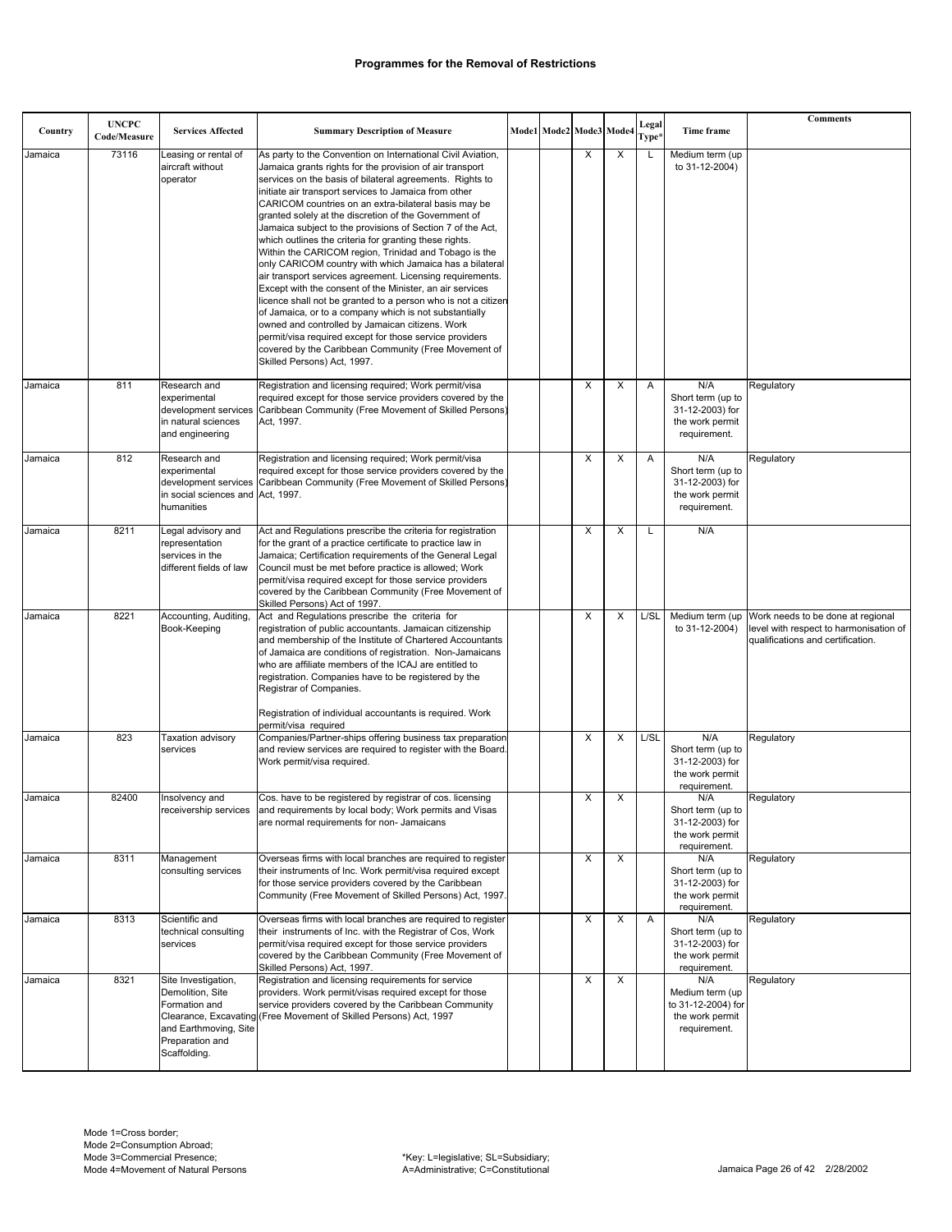| Country | <b>UNCPC</b><br>Code/Measure | <b>Services Affected</b>                                                                                             | <b>Summary Description of Measure</b>                                                                                                                                                                                                                                                                                                                                                                                                                                                                                                                                                                                                                                                                                                                                                                                                                                                                                                                                                                                                                              |  | Mode1 Mode2 Mode3 Mode4 |                         | Legal<br>Type* | Time frame                                                                      | <b>Comments</b>                                                                                                  |
|---------|------------------------------|----------------------------------------------------------------------------------------------------------------------|--------------------------------------------------------------------------------------------------------------------------------------------------------------------------------------------------------------------------------------------------------------------------------------------------------------------------------------------------------------------------------------------------------------------------------------------------------------------------------------------------------------------------------------------------------------------------------------------------------------------------------------------------------------------------------------------------------------------------------------------------------------------------------------------------------------------------------------------------------------------------------------------------------------------------------------------------------------------------------------------------------------------------------------------------------------------|--|-------------------------|-------------------------|----------------|---------------------------------------------------------------------------------|------------------------------------------------------------------------------------------------------------------|
| Jamaica | 73116                        | Leasing or rental of<br>aircraft without<br>operator                                                                 | As party to the Convention on International Civil Aviation,<br>Jamaica grants rights for the provision of air transport<br>services on the basis of bilateral agreements. Rights to<br>initiate air transport services to Jamaica from other<br>CARICOM countries on an extra-bilateral basis may be<br>granted solely at the discretion of the Government of<br>Jamaica subject to the provisions of Section 7 of the Act,<br>which outlines the criteria for granting these rights.<br>Within the CARICOM region, Trinidad and Tobago is the<br>only CARICOM country with which Jamaica has a bilateral<br>air transport services agreement. Licensing requirements.<br>Except with the consent of the Minister, an air services<br>licence shall not be granted to a person who is not a citizen<br>of Jamaica, or to a company which is not substantially<br>owned and controlled by Jamaican citizens. Work<br>permit/visa required except for those service providers<br>covered by the Caribbean Community (Free Movement of<br>Skilled Persons) Act, 1997. |  | X                       | X                       | L              | Medium term (up<br>to 31-12-2004)                                               |                                                                                                                  |
| Jamaica | 811                          | Research and<br>experimental<br>in natural sciences<br>and engineering                                               | Registration and licensing required; Work permit/visa<br>required except for those service providers covered by the<br>development services Caribbean Community (Free Movement of Skilled Persons)<br>Act. 1997.                                                                                                                                                                                                                                                                                                                                                                                                                                                                                                                                                                                                                                                                                                                                                                                                                                                   |  | X                       | X                       | A              | N/A<br>Short term (up to<br>31-12-2003) for<br>the work permit<br>requirement.  | Regulatory                                                                                                       |
| Jamaica | 812                          | Research and<br>experimental<br>in social sciences and Act, 1997.<br>humanities                                      | Registration and licensing required; Work permit/visa<br>required except for those service providers covered by the<br>development services Caribbean Community (Free Movement of Skilled Persons)                                                                                                                                                                                                                                                                                                                                                                                                                                                                                                                                                                                                                                                                                                                                                                                                                                                                 |  | X                       | X                       | Α              | N/A<br>Short term (up to<br>31-12-2003) for<br>the work permit<br>requirement.  | Regulatory                                                                                                       |
| Jamaica | 8211                         | Legal advisory and<br>representation<br>services in the<br>different fields of law                                   | Act and Regulations prescribe the criteria for registration<br>for the grant of a practice certificate to practice law in<br>Jamaica; Certification requirements of the General Legal<br>Council must be met before practice is allowed; Work<br>permit/visa required except for those service providers<br>covered by the Caribbean Community (Free Movement of<br>Skilled Persons) Act of 1997.                                                                                                                                                                                                                                                                                                                                                                                                                                                                                                                                                                                                                                                                  |  | X                       | X                       | Г              | N/A                                                                             |                                                                                                                  |
| Jamaica | 8221                         | Accounting, Auditing,<br>Book-Keeping                                                                                | Act and Regulations prescribe the criteria for<br>registration of public accountants. Jamaican citizenship<br>and membership of the Institute of Chartered Accountants<br>of Jamaica are conditions of registration. Non-Jamaicans<br>who are affiliate members of the ICAJ are entitled to<br>registration. Companies have to be registered by the<br>Registrar of Companies.<br>Registration of individual accountants is required. Work                                                                                                                                                                                                                                                                                                                                                                                                                                                                                                                                                                                                                         |  | X                       | X                       | L/SL           | Medium term (up<br>to 31-12-2004)                                               | Work needs to be done at regional<br>level with respect to harmonisation of<br>qualifications and certification. |
| Jamaica | 823                          | Taxation advisory<br>services                                                                                        | permit/visa required<br>Companies/Partner-ships offering business tax preparation<br>and review services are required to register with the Board.<br>Work permit/visa required.                                                                                                                                                                                                                                                                                                                                                                                                                                                                                                                                                                                                                                                                                                                                                                                                                                                                                    |  | X                       | X                       | L/SL           | N/A<br>Short term (up to<br>31-12-2003) for<br>the work permit<br>requirement.  | Regulatory                                                                                                       |
| Jamaica | 82400                        | Insolvency and                                                                                                       | Cos. have to be registered by registrar of cos. licensing<br>receivership services and requirements by local body; Work permits and Visas<br>are normal requirements for non- Jamaicans                                                                                                                                                                                                                                                                                                                                                                                                                                                                                                                                                                                                                                                                                                                                                                                                                                                                            |  | X                       | X                       |                | N/A<br>Short term (up to<br>31-12-2003) for<br>the work permit<br>requirement.  | Regulatory                                                                                                       |
| Jamaica | 8311                         | Management<br>consulting services                                                                                    | Overseas firms with local branches are required to register<br>their instruments of Inc. Work permit/visa required except<br>for those service providers covered by the Caribbean<br>Community (Free Movement of Skilled Persons) Act, 1997.                                                                                                                                                                                                                                                                                                                                                                                                                                                                                                                                                                                                                                                                                                                                                                                                                       |  | X                       | $\overline{\mathsf{x}}$ |                | N/A<br>Short term (up to<br>31-12-2003) for<br>the work permit<br>requirement.  | Regulatory                                                                                                       |
| Jamaica | 8313                         | Scientific and<br>technical consulting<br>services                                                                   | Overseas firms with local branches are required to register<br>their instruments of Inc. with the Registrar of Cos, Work<br>permit/visa required except for those service providers<br>covered by the Caribbean Community (Free Movement of<br>Skilled Persons) Act, 1997.                                                                                                                                                                                                                                                                                                                                                                                                                                                                                                                                                                                                                                                                                                                                                                                         |  | X                       | X                       | Α              | N/A<br>Short term (up to<br>31-12-2003) for<br>the work permit<br>requirement.  | Regulatory                                                                                                       |
| Jamaica | 8321                         | Site Investigation,<br>Demolition, Site<br>Formation and<br>and Earthmoving, Site<br>Preparation and<br>Scaffolding. | Registration and licensing requirements for service<br>providers. Work permit/visas required except for those<br>service providers covered by the Caribbean Community<br>Clearance, Excavating (Free Movement of Skilled Persons) Act, 1997                                                                                                                                                                                                                                                                                                                                                                                                                                                                                                                                                                                                                                                                                                                                                                                                                        |  | X                       | X                       |                | N/A<br>Medium term (up<br>to 31-12-2004) for<br>the work permit<br>requirement. | Regulatory                                                                                                       |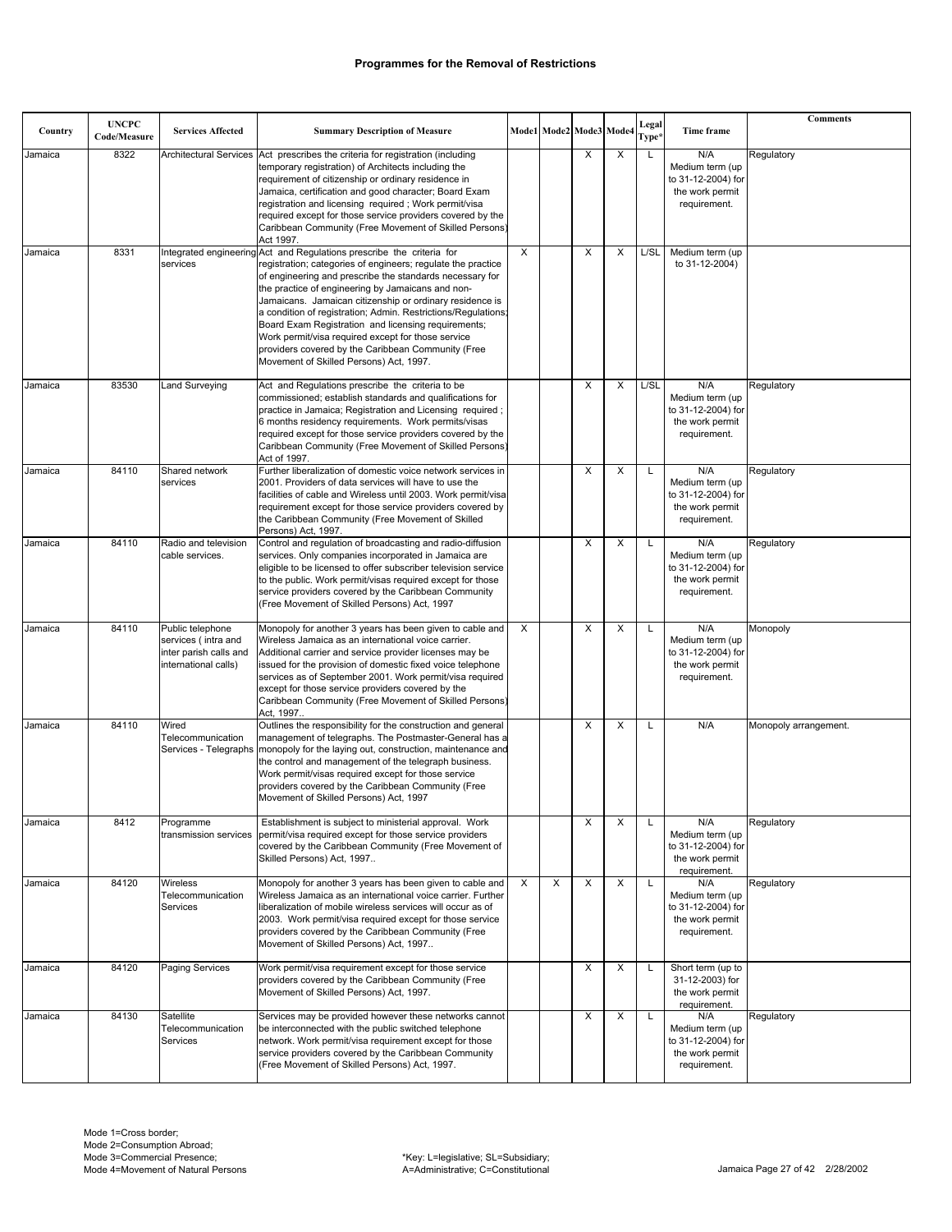| Country | <b>UNCPC</b><br>Code/Measure | <b>Services Affected</b>                                                                  | <b>Summary Description of Measure</b>                                                                                                                                                                                                                                                                                                                                                                                                                                                                                                                                                             |                         | Mode1 Mode2 Mode3 Mode |   |   | Legal<br>Type* | Time frame                                                                      | Comments              |
|---------|------------------------------|-------------------------------------------------------------------------------------------|---------------------------------------------------------------------------------------------------------------------------------------------------------------------------------------------------------------------------------------------------------------------------------------------------------------------------------------------------------------------------------------------------------------------------------------------------------------------------------------------------------------------------------------------------------------------------------------------------|-------------------------|------------------------|---|---|----------------|---------------------------------------------------------------------------------|-----------------------|
| Jamaica | 8322                         |                                                                                           | Architectural Services Act prescribes the criteria for registration (including<br>temporary registration) of Architects including the<br>requirement of citizenship or ordinary residence in<br>Jamaica, certification and good character; Board Exam<br>registration and licensing required; Work permit/visa<br>required except for those service providers covered by the<br>Caribbean Community (Free Movement of Skilled Persons)<br>Act 1997.                                                                                                                                               |                         |                        | X | X | L              | N/A<br>Medium term (up<br>to 31-12-2004) for<br>the work permit<br>requirement. | Regulatory            |
| Jamaica | 8331                         | services                                                                                  | Integrated engineering Act and Regulations prescribe the criteria for<br>registration; categories of engineers; regulate the practice<br>of engineering and prescribe the standards necessary for<br>the practice of engineering by Jamaicans and non-<br>Jamaicans. Jamaican citizenship or ordinary residence is<br>a condition of registration; Admin. Restrictions/Regulations;<br>Board Exam Registration and licensing requirements;<br>Work permit/visa required except for those service<br>providers covered by the Caribbean Community (Free<br>Movement of Skilled Persons) Act, 1997. | $\overline{\mathsf{x}}$ |                        | X | X | L/SL           | Medium term (up<br>to 31-12-2004)                                               |                       |
| Jamaica | 83530                        | Land Surveying                                                                            | Act and Regulations prescribe the criteria to be<br>commissioned; establish standards and qualifications for<br>practice in Jamaica; Registration and Licensing required;<br>6 months residency requirements. Work permits/visas<br>required except for those service providers covered by the<br>Caribbean Community (Free Movement of Skilled Persons)<br>Act of 1997.                                                                                                                                                                                                                          |                         |                        | X | X | L/SL           | N/A<br>Medium term (up<br>to 31-12-2004) for<br>the work permit<br>requirement. | Regulatory            |
| Jamaica | 84110                        | Shared network<br>services                                                                | Further liberalization of domestic voice network services in<br>2001. Providers of data services will have to use the<br>facilities of cable and Wireless until 2003. Work permit/visa<br>requirement except for those service providers covered by<br>the Caribbean Community (Free Movement of Skilled<br>Persons) Act, 1997.                                                                                                                                                                                                                                                                   |                         |                        | X | X | L              | N/A<br>Medium term (up<br>to 31-12-2004) for<br>the work permit<br>requirement. | Regulatory            |
| Jamaica | 84110                        | Radio and television<br>cable services.                                                   | Control and regulation of broadcasting and radio-diffusion<br>services. Only companies incorporated in Jamaica are<br>eligible to be licensed to offer subscriber television service<br>to the public. Work permit/visas required except for those<br>service providers covered by the Caribbean Community<br>(Free Movement of Skilled Persons) Act, 1997                                                                                                                                                                                                                                        |                         |                        | X | X | L              | N/A<br>Medium term (up<br>to 31-12-2004) for<br>the work permit<br>requirement. | Regulatory            |
| Jamaica | 84110                        | Public telephone<br>services (intra and<br>inter parish calls and<br>international calls) | Monopoly for another 3 years has been given to cable and<br>Wireless Jamaica as an international voice carrier.<br>Additional carrier and service provider licenses may be<br>issued for the provision of domestic fixed voice telephone<br>services as of September 2001. Work permit/visa required<br>except for those service providers covered by the<br>Caribbean Community (Free Movement of Skilled Persons)<br>Act, 1997                                                                                                                                                                  | X                       |                        | X | X | L              | N/A<br>Medium term (up<br>to 31-12-2004) for<br>the work permit<br>requirement. | Monopoly              |
| Jamaica | 84110                        | Wired<br>Telecommunication                                                                | Outlines the responsibility for the construction and general<br>management of telegraphs. The Postmaster-General has a<br>Services - Telegraphs   monopoly for the laying out, construction, maintenance and<br>the control and management of the telegraph business.<br>Work permit/visas required except for those service<br>providers covered by the Caribbean Community (Free<br>Movement of Skilled Persons) Act, 1997                                                                                                                                                                      |                         |                        | X | X | L              | N/A                                                                             | Monopoly arrangement. |
| Jamaica | 8412                         | Programme<br>transmission services                                                        | Establishment is subject to ministerial approval. Work<br>permit/visa required except for those service providers<br>covered by the Caribbean Community (Free Movement of<br>Skilled Persons) Act, 1997                                                                                                                                                                                                                                                                                                                                                                                           |                         |                        | X | X | L              | N/A<br>Medium term (up<br>to 31-12-2004) for<br>the work permit<br>requirement. | Regulatory            |
| Jamaica | 84120                        | Wireless<br>Telecommunication<br>Services                                                 | Monopoly for another 3 years has been given to cable and<br>Wireless Jamaica as an international voice carrier. Further<br>liberalization of mobile wireless services will occur as of<br>2003. Work permit/visa required except for those service<br>providers covered by the Caribbean Community (Free<br>Movement of Skilled Persons) Act, 1997                                                                                                                                                                                                                                                | X                       | X                      | X | X | L              | N/A<br>Medium term (up<br>to 31-12-2004) for<br>the work permit<br>requirement. | Regulatory            |
| Jamaica | 84120                        | Paging Services                                                                           | Work permit/visa requirement except for those service<br>providers covered by the Caribbean Community (Free<br>Movement of Skilled Persons) Act, 1997.                                                                                                                                                                                                                                                                                                                                                                                                                                            |                         |                        | X | X | L              | Short term (up to<br>31-12-2003) for<br>the work permit<br>requirement.         |                       |
| Jamaica | 84130                        | Satellite<br>Telecommunication<br>Services                                                | Services may be provided however these networks cannot<br>be interconnected with the public switched telephone<br>network. Work permit/visa requirement except for those<br>service providers covered by the Caribbean Community<br>(Free Movement of Skilled Persons) Act, 1997.                                                                                                                                                                                                                                                                                                                 |                         |                        | X | X | L              | N/A<br>Medium term (up<br>to 31-12-2004) for<br>the work permit<br>requirement. | Regulatory            |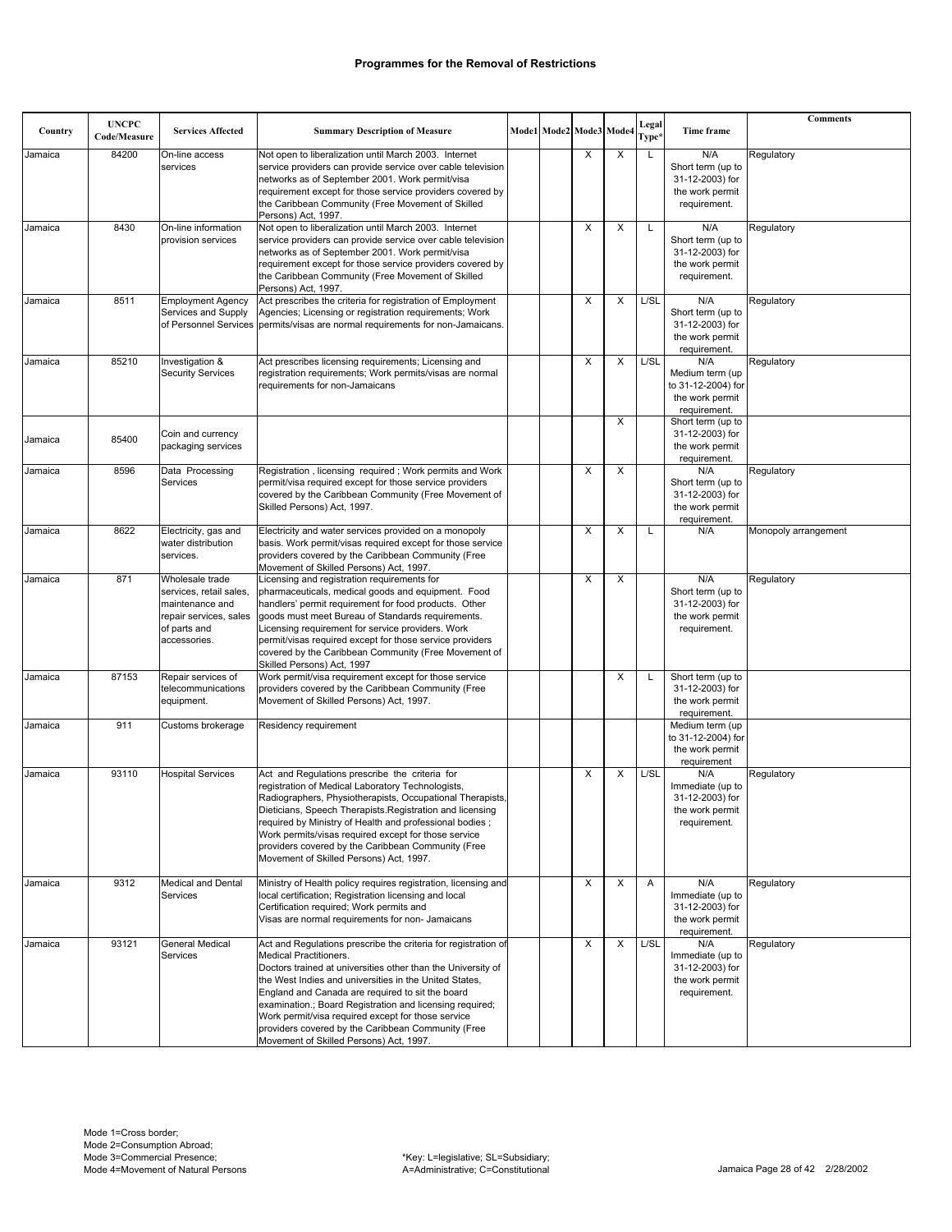| Country | <b>UNCPC</b><br>Code/Measure | <b>Services Affected</b>                                                                                                | <b>Summary Description of Measure</b>                                                                                                                                                                                                                                                                                                                                                                                                                                                            | Mode1 Mode2 Mode3 |   | Mode4 | Legal<br>Type* | Time frame                                                                      | <b>Comments</b>      |
|---------|------------------------------|-------------------------------------------------------------------------------------------------------------------------|--------------------------------------------------------------------------------------------------------------------------------------------------------------------------------------------------------------------------------------------------------------------------------------------------------------------------------------------------------------------------------------------------------------------------------------------------------------------------------------------------|-------------------|---|-------|----------------|---------------------------------------------------------------------------------|----------------------|
| Jamaica | 84200                        | On-line access<br>services                                                                                              | Not open to liberalization until March 2003. Internet<br>service providers can provide service over cable television<br>networks as of September 2001. Work permit/visa<br>requirement except for those service providers covered by<br>the Caribbean Community (Free Movement of Skilled<br>Persons) Act, 1997.                                                                                                                                                                                 |                   | X | X     | L              | N/A<br>Short term (up to<br>31-12-2003) for<br>the work permit<br>requirement.  | Regulatory           |
| Jamaica | 8430                         | On-line information<br>provision services                                                                               | Not open to liberalization until March 2003. Internet<br>service providers can provide service over cable television<br>networks as of September 2001. Work permit/visa<br>requirement except for those service providers covered by<br>the Caribbean Community (Free Movement of Skilled<br>Persons) Act, 1997.                                                                                                                                                                                 |                   | X | х     | L              | N/A<br>Short term (up to<br>31-12-2003) for<br>the work permit<br>requirement.  | Regulatory           |
| Jamaica | 8511                         | <b>Employment Agency</b><br>Services and Supply                                                                         | Act prescribes the criteria for registration of Employment<br>Agencies; Licensing or registration requirements; Work<br>of Personnel Services permits/visas are normal requirements for non-Jamaicans.                                                                                                                                                                                                                                                                                           |                   | X | X     | L/SL           | N/A<br>Short term (up to<br>31-12-2003) for<br>the work permit<br>requirement.  | Regulatory           |
| Jamaica | 85210                        | Investigation &<br><b>Security Services</b>                                                                             | Act prescribes licensing requirements; Licensing and<br>registration requirements; Work permits/visas are normal<br>requirements for non-Jamaicans                                                                                                                                                                                                                                                                                                                                               |                   | X | X     | L/SL           | N/A<br>Medium term (up<br>to 31-12-2004) for<br>the work permit<br>requirement. | Regulatory           |
| Jamaica | 85400                        | Coin and currency<br>packaging services                                                                                 |                                                                                                                                                                                                                                                                                                                                                                                                                                                                                                  |                   |   | X     |                | Short term (up to<br>31-12-2003) for<br>the work permit<br>requirement.         |                      |
| Jamaica | 8596                         | Data Processing<br>Services                                                                                             | Registration, licensing required; Work permits and Work<br>permit/visa required except for those service providers<br>covered by the Caribbean Community (Free Movement of<br>Skilled Persons) Act, 1997.                                                                                                                                                                                                                                                                                        |                   | X | X     |                | N/A<br>Short term (up to<br>31-12-2003) for<br>the work permit<br>requirement.  | Regulatory           |
| Jamaica | 8622                         | Electricity, gas and<br>water distribution<br>services.                                                                 | Electricity and water services provided on a monopoly<br>basis. Work permit/visas required except for those service<br>providers covered by the Caribbean Community (Free<br>Movement of Skilled Persons) Act, 1997.                                                                                                                                                                                                                                                                             |                   | X | х     | L              | N/A                                                                             | Monopoly arrangement |
| Jamaica | 871                          | Wholesale trade<br>services, retail sales,<br>maintenance and<br>repair services, sales<br>of parts and<br>accessories. | Licensing and registration requirements for<br>pharmaceuticals, medical goods and equipment. Food<br>handlers' permit requirement for food products. Other<br>goods must meet Bureau of Standards requirements.<br>Licensing requirement for service providers. Work<br>permit/visas required except for those service providers<br>covered by the Caribbean Community (Free Movement of<br>Skilled Persons) Act, 1997                                                                           |                   | X | X     |                | N/A<br>Short term (up to<br>31-12-2003) for<br>the work permit<br>requirement.  | Regulatory           |
| Jamaica | 87153                        | Repair services of<br>telecommunications<br>equipment.                                                                  | Work permit/visa requirement except for those service<br>providers covered by the Caribbean Community (Free<br>Movement of Skilled Persons) Act, 1997.                                                                                                                                                                                                                                                                                                                                           |                   |   | X     | L              | Short term (up to<br>31-12-2003) for<br>the work permit<br>requirement.         |                      |
| Jamaica | 911                          | Customs brokerage                                                                                                       | Residency requirement                                                                                                                                                                                                                                                                                                                                                                                                                                                                            |                   |   |       |                | Medium term (up<br>to 31-12-2004) for<br>the work permit<br>requirement         |                      |
| Jamaica | 93110                        | <b>Hospital Services</b>                                                                                                | Act and Regulations prescribe the criteria for<br>registration of Medical Laboratory Technologists,<br>Radiographers, Physiotherapists, Occupational Therapists,<br>Dieticians, Speech Therapists.Registration and licensing<br>required by Ministry of Health and professional bodies;<br>Work permits/visas required except for those service<br>providers covered by the Caribbean Community (Free<br>Movement of Skilled Persons) Act, 1997.                                                 |                   | X | х     | L/SL           | N/A<br>Immediate (up to<br>31-12-2003) for<br>the work permit<br>requirement.   | Regulatory           |
| Jamaica | 9312                         | <b>Medical and Dental</b><br>Services                                                                                   | Ministry of Health policy requires registration, licensing and<br>local certification; Registration licensing and local<br>Certification required; Work permits and<br>Visas are normal requirements for non- Jamaicans                                                                                                                                                                                                                                                                          |                   | X | X     | A              | N/A<br>Immediate (up to<br>31-12-2003) for<br>the work permit<br>requirement.   | Regulatory           |
| Jamaica | 93121                        | <b>General Medical</b><br>Services                                                                                      | Act and Regulations prescribe the criteria for registration of<br><b>Medical Practitioners.</b><br>Doctors trained at universities other than the University of<br>the West Indies and universities in the United States.<br>England and Canada are required to sit the board<br>examination.; Board Registration and licensing required;<br>Work permit/visa required except for those service<br>providers covered by the Caribbean Community (Free<br>Movement of Skilled Persons) Act, 1997. |                   | X | X     | L/SL           | N/A<br>Immediate (up to<br>31-12-2003) for<br>the work permit<br>requirement.   | Regulatory           |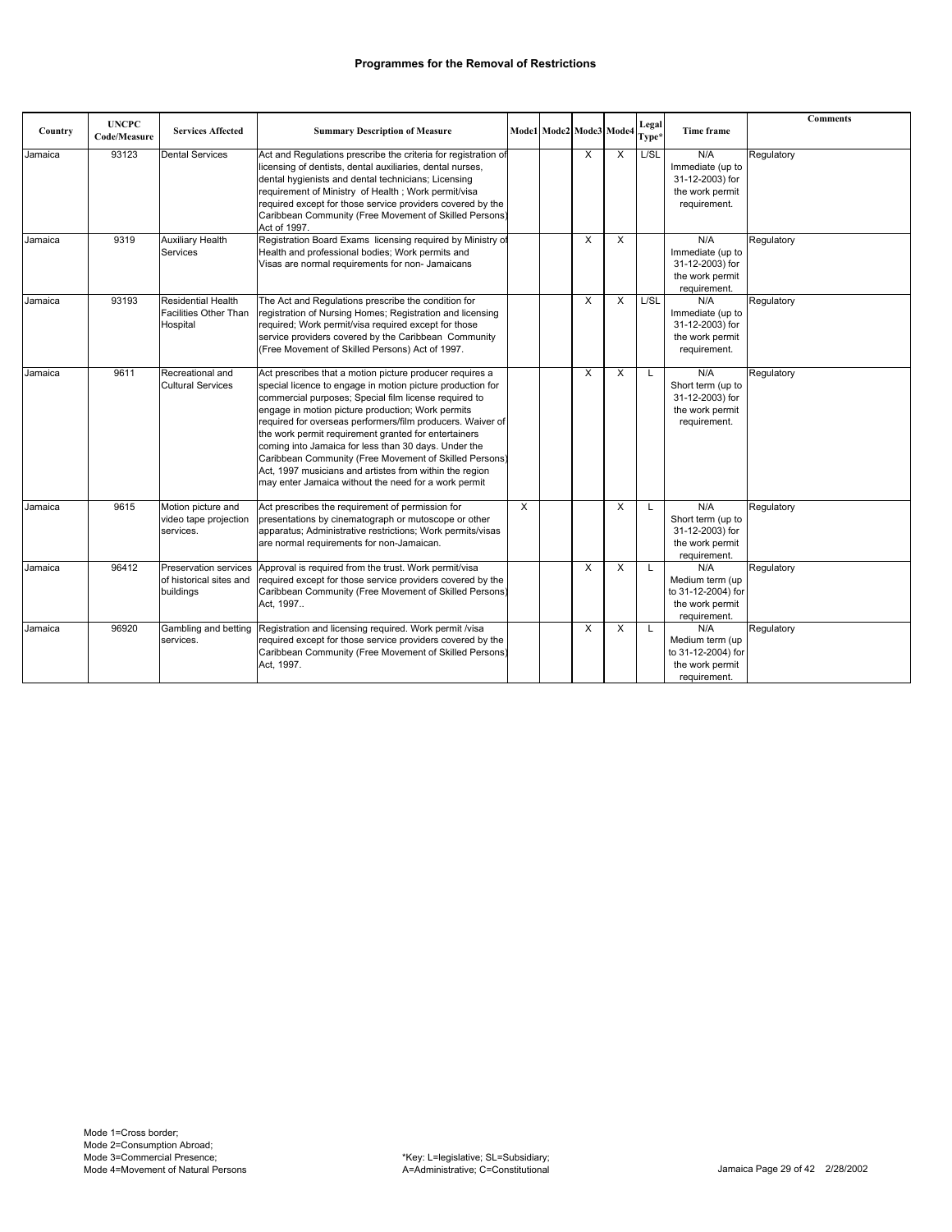|         | <b>UNCPC</b> |                                                                       |                                                                                                                                                                                                                                                                                                                                                                                                                                                                                                                                                                                                 |   |                         |              |   | Legal |                                                                                 | <b>Comments</b> |
|---------|--------------|-----------------------------------------------------------------------|-------------------------------------------------------------------------------------------------------------------------------------------------------------------------------------------------------------------------------------------------------------------------------------------------------------------------------------------------------------------------------------------------------------------------------------------------------------------------------------------------------------------------------------------------------------------------------------------------|---|-------------------------|--------------|---|-------|---------------------------------------------------------------------------------|-----------------|
| Country | Code/Measure | <b>Services Affected</b>                                              | <b>Summary Description of Measure</b>                                                                                                                                                                                                                                                                                                                                                                                                                                                                                                                                                           |   | Mode1 Mode2 Mode3 Mode4 |              |   | Type* | Time frame                                                                      |                 |
| Jamaica | 93123        | <b>Dental Services</b>                                                | Act and Regulations prescribe the criteria for registration of<br>licensing of dentists, dental auxiliaries, dental nurses,<br>dental hygienists and dental technicians; Licensing<br>requirement of Ministry of Health; Work permit/visa<br>required except for those service providers covered by the<br>Caribbean Community (Free Movement of Skilled Persons)<br>Act of 1997.                                                                                                                                                                                                               |   |                         | $\mathsf{x}$ | X | L/SL  | N/A<br>Immediate (up to<br>31-12-2003) for<br>the work permit<br>requirement.   | Regulatory      |
| Jamaica | 9319         | <b>Auxiliary Health</b><br>Services                                   | Registration Board Exams licensing required by Ministry of<br>Health and professional bodies; Work permits and<br>Visas are normal requirements for non- Jamaicans                                                                                                                                                                                                                                                                                                                                                                                                                              |   |                         | X            | X |       | N/A<br>Immediate (up to<br>31-12-2003) for<br>the work permit<br>requirement.   | Regulatory      |
| Jamaica | 93193        | <b>Residential Health</b><br><b>Facilities Other Than</b><br>Hospital | The Act and Regulations prescribe the condition for<br>registration of Nursing Homes; Registration and licensing<br>required; Work permit/visa required except for those<br>service providers covered by the Caribbean Community<br>(Free Movement of Skilled Persons) Act of 1997.                                                                                                                                                                                                                                                                                                             |   |                         | X            | X | L/SL  | N/A<br>Immediate (up to<br>31-12-2003) for<br>the work permit<br>requirement.   | Regulatory      |
| Jamaica | 9611         | Recreational and<br><b>Cultural Services</b>                          | Act prescribes that a motion picture producer requires a<br>special licence to engage in motion picture production for<br>commercial purposes; Special film license required to<br>engage in motion picture production; Work permits<br>required for overseas performers/film producers. Waiver of<br>the work permit requirement granted for entertainers<br>coming into Jamaica for less than 30 days. Under the<br>Caribbean Community (Free Movement of Skilled Persons)<br>Act, 1997 musicians and artistes from within the region<br>may enter Jamaica without the need for a work permit |   |                         | X            | X | L     | N/A<br>Short term (up to<br>31-12-2003) for<br>the work permit<br>requirement.  | Regulatory      |
| Jamaica | 9615         | Motion picture and<br>video tape projection<br>services.              | Act prescribes the requirement of permission for<br>presentations by cinematograph or mutoscope or other<br>apparatus; Administrative restrictions; Work permits/visas<br>are normal requirements for non-Jamaican.                                                                                                                                                                                                                                                                                                                                                                             | X |                         |              | X | L     | N/A<br>Short term (up to<br>31-12-2003) for<br>the work permit<br>requirement.  | Regulatory      |
| Jamaica | 96412        | of historical sites and<br>buildings                                  | Preservation services Approval is required from the trust. Work permit/visa<br>required except for those service providers covered by the<br>Caribbean Community (Free Movement of Skilled Persons)<br>Act. 1997                                                                                                                                                                                                                                                                                                                                                                                |   |                         | X            | X | L     | N/A<br>Medium term (up<br>to 31-12-2004) for<br>the work permit<br>requirement. | Regulatory      |
| Jamaica | 96920        | services.                                                             | Gambling and betting Registration and licensing required. Work permit /visa<br>required except for those service providers covered by the<br>Caribbean Community (Free Movement of Skilled Persons)<br>Act. 1997.                                                                                                                                                                                                                                                                                                                                                                               |   |                         | X            | X | L     | N/A<br>Medium term (up<br>to 31-12-2004) for<br>the work permit<br>requirement. | Regulatory      |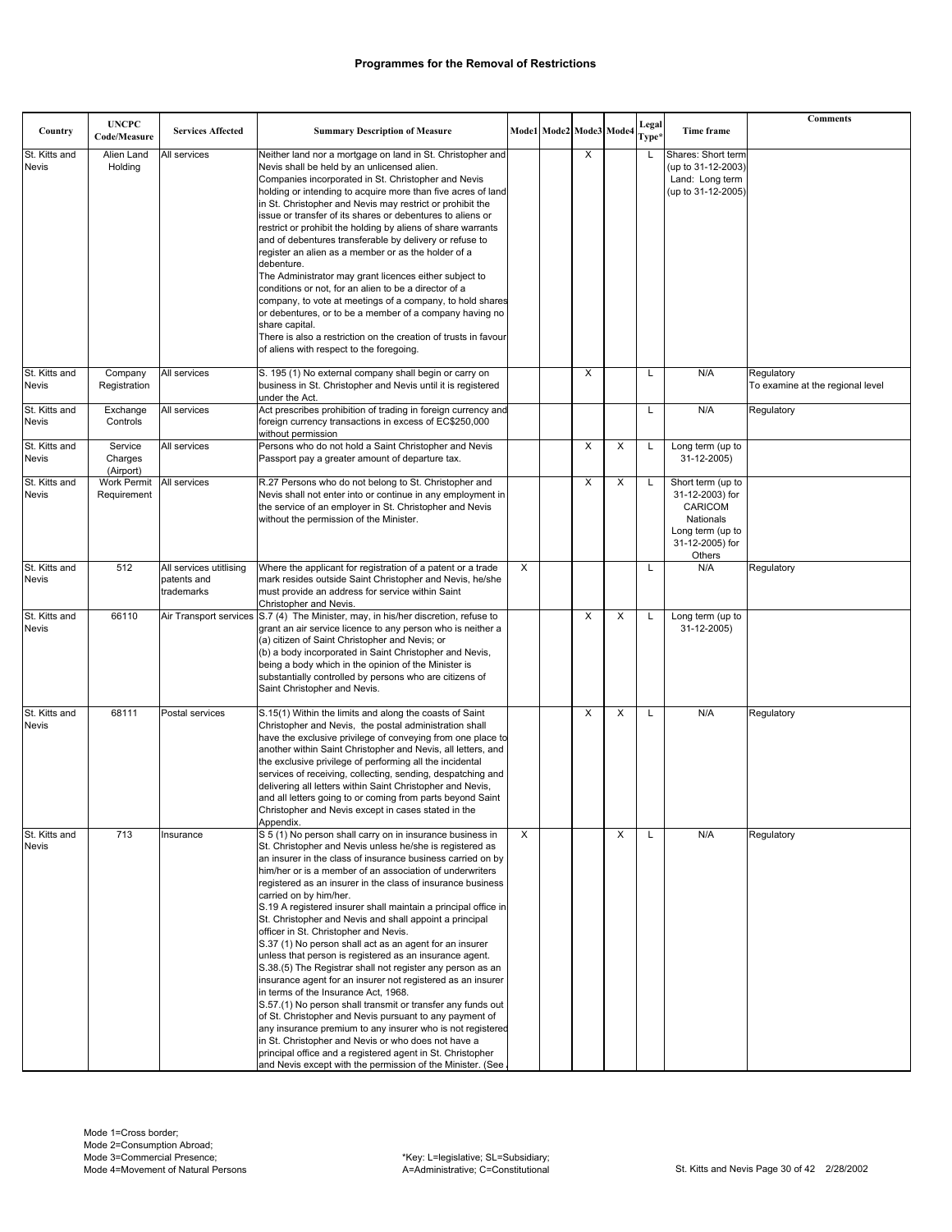|                               |                                   |                                                      |                                                                                                                                                                                                                                                                                                                                                                                                                                                                                                                                                                                                                                                                                                                                                                                                                                                                                                                                                                                                                                                                                                                                                                                        |   |                         |   |   |                |                                                                                                                      | Comments                                       |
|-------------------------------|-----------------------------------|------------------------------------------------------|----------------------------------------------------------------------------------------------------------------------------------------------------------------------------------------------------------------------------------------------------------------------------------------------------------------------------------------------------------------------------------------------------------------------------------------------------------------------------------------------------------------------------------------------------------------------------------------------------------------------------------------------------------------------------------------------------------------------------------------------------------------------------------------------------------------------------------------------------------------------------------------------------------------------------------------------------------------------------------------------------------------------------------------------------------------------------------------------------------------------------------------------------------------------------------------|---|-------------------------|---|---|----------------|----------------------------------------------------------------------------------------------------------------------|------------------------------------------------|
| Country                       | <b>UNCPC</b><br>Code/Measure      | <b>Services Affected</b>                             | <b>Summary Description of Measure</b>                                                                                                                                                                                                                                                                                                                                                                                                                                                                                                                                                                                                                                                                                                                                                                                                                                                                                                                                                                                                                                                                                                                                                  |   | Mode1 Mode2 Mode3 Mode4 |   |   | Legal<br>Type* | Time frame                                                                                                           |                                                |
| St. Kitts and<br><b>Nevis</b> | Alien Land<br>Holding             | All services                                         | Neither land nor a mortgage on land in St. Christopher and<br>Nevis shall be held by an unlicensed alien.<br>Companies incorporated in St. Christopher and Nevis                                                                                                                                                                                                                                                                                                                                                                                                                                                                                                                                                                                                                                                                                                                                                                                                                                                                                                                                                                                                                       |   |                         | X |   | L              | Shares: Short term<br>(up to 31-12-2003)<br>Land: Long term                                                          |                                                |
|                               |                                   |                                                      | holding or intending to acquire more than five acres of land<br>in St. Christopher and Nevis may restrict or prohibit the<br>issue or transfer of its shares or debentures to aliens or                                                                                                                                                                                                                                                                                                                                                                                                                                                                                                                                                                                                                                                                                                                                                                                                                                                                                                                                                                                                |   |                         |   |   |                | (up to 31-12-2005)                                                                                                   |                                                |
|                               |                                   |                                                      | restrict or prohibit the holding by aliens of share warrants<br>and of debentures transferable by delivery or refuse to<br>register an alien as a member or as the holder of a                                                                                                                                                                                                                                                                                                                                                                                                                                                                                                                                                                                                                                                                                                                                                                                                                                                                                                                                                                                                         |   |                         |   |   |                |                                                                                                                      |                                                |
|                               |                                   |                                                      | debenture.<br>The Administrator may grant licences either subject to<br>conditions or not, for an alien to be a director of a                                                                                                                                                                                                                                                                                                                                                                                                                                                                                                                                                                                                                                                                                                                                                                                                                                                                                                                                                                                                                                                          |   |                         |   |   |                |                                                                                                                      |                                                |
|                               |                                   |                                                      | company, to vote at meetings of a company, to hold shares<br>or debentures, or to be a member of a company having no<br>share capital.                                                                                                                                                                                                                                                                                                                                                                                                                                                                                                                                                                                                                                                                                                                                                                                                                                                                                                                                                                                                                                                 |   |                         |   |   |                |                                                                                                                      |                                                |
|                               |                                   |                                                      | There is also a restriction on the creation of trusts in favour<br>of aliens with respect to the foregoing.                                                                                                                                                                                                                                                                                                                                                                                                                                                                                                                                                                                                                                                                                                                                                                                                                                                                                                                                                                                                                                                                            |   |                         |   |   |                |                                                                                                                      |                                                |
| St. Kitts and<br><b>Nevis</b> | Company<br>Registration           | All services                                         | S. 195 (1) No external company shall begin or carry on<br>business in St. Christopher and Nevis until it is registered<br>under the Act.                                                                                                                                                                                                                                                                                                                                                                                                                                                                                                                                                                                                                                                                                                                                                                                                                                                                                                                                                                                                                                               |   |                         | X |   | L              | N/A                                                                                                                  | Regulatory<br>To examine at the regional level |
| St. Kitts and<br>Nevis        | Exchange<br>Controls              | All services                                         | Act prescribes prohibition of trading in foreign currency and<br>foreign currency transactions in excess of EC\$250,000<br>without permission                                                                                                                                                                                                                                                                                                                                                                                                                                                                                                                                                                                                                                                                                                                                                                                                                                                                                                                                                                                                                                          |   |                         |   |   |                | N/A                                                                                                                  | Regulatory                                     |
| St. Kitts and<br><b>Nevis</b> | Service<br>Charges<br>(Airport)   | All services                                         | Persons who do not hold a Saint Christopher and Nevis<br>Passport pay a greater amount of departure tax.                                                                                                                                                                                                                                                                                                                                                                                                                                                                                                                                                                                                                                                                                                                                                                                                                                                                                                                                                                                                                                                                               |   |                         | X | Х |                | Long term (up to<br>31-12-2005)                                                                                      |                                                |
| St. Kitts and<br>Nevis        | <b>Work Permit</b><br>Requirement | All services                                         | R.27 Persons who do not belong to St. Christopher and<br>Nevis shall not enter into or continue in any employment in<br>the service of an employer in St. Christopher and Nevis<br>without the permission of the Minister.                                                                                                                                                                                                                                                                                                                                                                                                                                                                                                                                                                                                                                                                                                                                                                                                                                                                                                                                                             |   |                         | X | X | L              | Short term (up to<br>31-12-2003) for<br>CARICOM<br><b>Nationals</b><br>Long term (up to<br>31-12-2005) for<br>Others |                                                |
| St. Kitts and<br><b>Nevis</b> | 512                               | All services utitlising<br>patents and<br>trademarks | Where the applicant for registration of a patent or a trade<br>mark resides outside Saint Christopher and Nevis, he/she<br>must provide an address for service within Saint<br>Christopher and Nevis.                                                                                                                                                                                                                                                                                                                                                                                                                                                                                                                                                                                                                                                                                                                                                                                                                                                                                                                                                                                  | X |                         |   |   |                | N/A                                                                                                                  | Regulatory                                     |
| St. Kitts and<br><b>Nevis</b> | 66110                             |                                                      | Air Transport services S.7 (4) The Minister, may, in his/her discretion, refuse to<br>grant an air service licence to any person who is neither a<br>(a) citizen of Saint Christopher and Nevis; or<br>(b) a body incorporated in Saint Christopher and Nevis,<br>being a body which in the opinion of the Minister is<br>substantially controlled by persons who are citizens of<br>Saint Christopher and Nevis.                                                                                                                                                                                                                                                                                                                                                                                                                                                                                                                                                                                                                                                                                                                                                                      |   |                         | X | X | L              | Long term (up to<br>31-12-2005)                                                                                      |                                                |
| St. Kitts and<br><b>Nevis</b> | 68111                             | Postal services                                      | S.15(1) Within the limits and along the coasts of Saint<br>Christopher and Nevis, the postal administration shall<br>have the exclusive privilege of conveying from one place to<br>another within Saint Christopher and Nevis, all letters, and<br>the exclusive privilege of performing all the incidental<br>services of receiving, collecting, sending, despatching and<br>delivering all letters within Saint Christopher and Nevis,<br>and all letters going to or coming from parts beyond Saint<br>Christopher and Nevis except in cases stated in the<br>Appendix.                                                                                                                                                                                                                                                                                                                                                                                                                                                                                                                                                                                                            |   |                         | X | X |                | N/A                                                                                                                  | Regulatory                                     |
| St. Kitts and<br>Nevis        | 713                               | Insurance                                            | S 5 (1) No person shall carry on in insurance business in<br>St. Christopher and Nevis unless he/she is registered as<br>an insurer in the class of insurance business carried on by<br>him/her or is a member of an association of underwriters<br>registered as an insurer in the class of insurance business<br>carried on by him/her.<br>S.19 A registered insurer shall maintain a principal office in<br>St. Christopher and Nevis and shall appoint a principal<br>officer in St. Christopher and Nevis.<br>S.37 (1) No person shall act as an agent for an insurer<br>unless that person is registered as an insurance agent.<br>S.38.(5) The Registrar shall not register any person as an<br>insurance agent for an insurer not registered as an insurer<br>in terms of the Insurance Act, 1968.<br>S.57.(1) No person shall transmit or transfer any funds out<br>of St. Christopher and Nevis pursuant to any payment of<br>any insurance premium to any insurer who is not registered<br>in St. Christopher and Nevis or who does not have a<br>principal office and a registered agent in St. Christopher<br>and Nevis except with the permission of the Minister. (See. | X |                         |   | X |                | N/A                                                                                                                  | Regulatory                                     |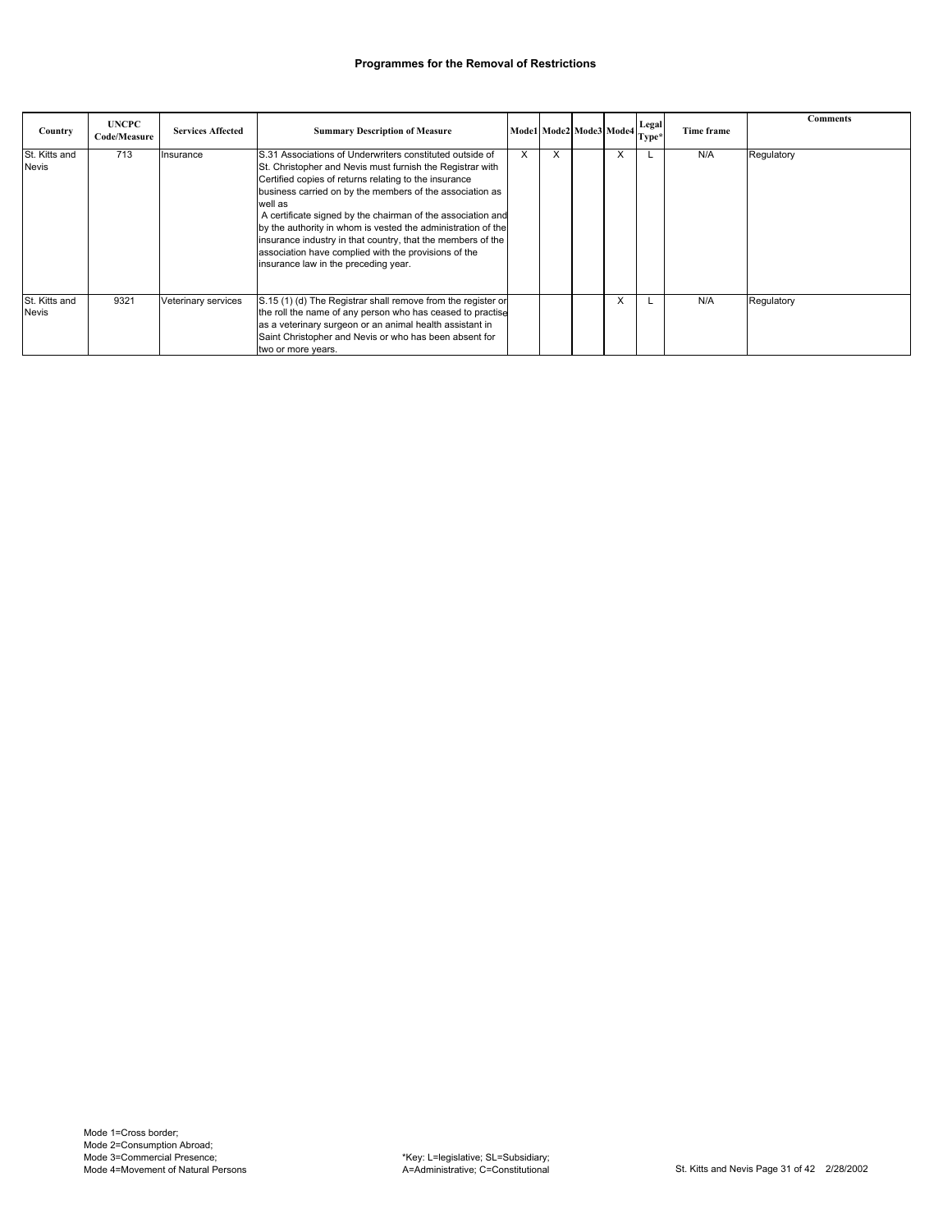| Country                       | <b>UNCPC</b><br>Code/Measure | <b>Services Affected</b> | <b>Summary Description of Measure</b>                                                                                                                                                                                                                                                                                                                                                                                                                                                                                                               | $[{\bf Model}]\text{Mode2}\bigg \text{Mode3}\bigg \text{Mode4}\bigg \text{Legal}\bigg $ |   |   | Type* | Time frame | <b>Comments</b> |
|-------------------------------|------------------------------|--------------------------|-----------------------------------------------------------------------------------------------------------------------------------------------------------------------------------------------------------------------------------------------------------------------------------------------------------------------------------------------------------------------------------------------------------------------------------------------------------------------------------------------------------------------------------------------------|-----------------------------------------------------------------------------------------|---|---|-------|------------|-----------------|
| St. Kitts and<br><b>Nevis</b> | 713                          | Insurance                | S.31 Associations of Underwriters constituted outside of<br>St. Christopher and Nevis must furnish the Registrar with<br>Certified copies of returns relating to the insurance<br>business carried on by the members of the association as<br>well as<br>A certificate signed by the chairman of the association and<br>by the authority in whom is vested the administration of the<br>insurance industry in that country, that the members of the<br>association have complied with the provisions of the<br>insurance law in the preceding year. | X                                                                                       | X | X |       | N/A        | Regulatory      |
| St. Kitts and<br><b>Nevis</b> | 9321                         | Veterinary services      | S.15 (1) (d) The Registrar shall remove from the register or<br>the roll the name of any person who has ceased to practise<br>as a veterinary surgeon or an animal health assistant in<br>Saint Christopher and Nevis or who has been absent for<br>two or more years.                                                                                                                                                                                                                                                                              |                                                                                         |   | X |       | N/A        | Regulatory      |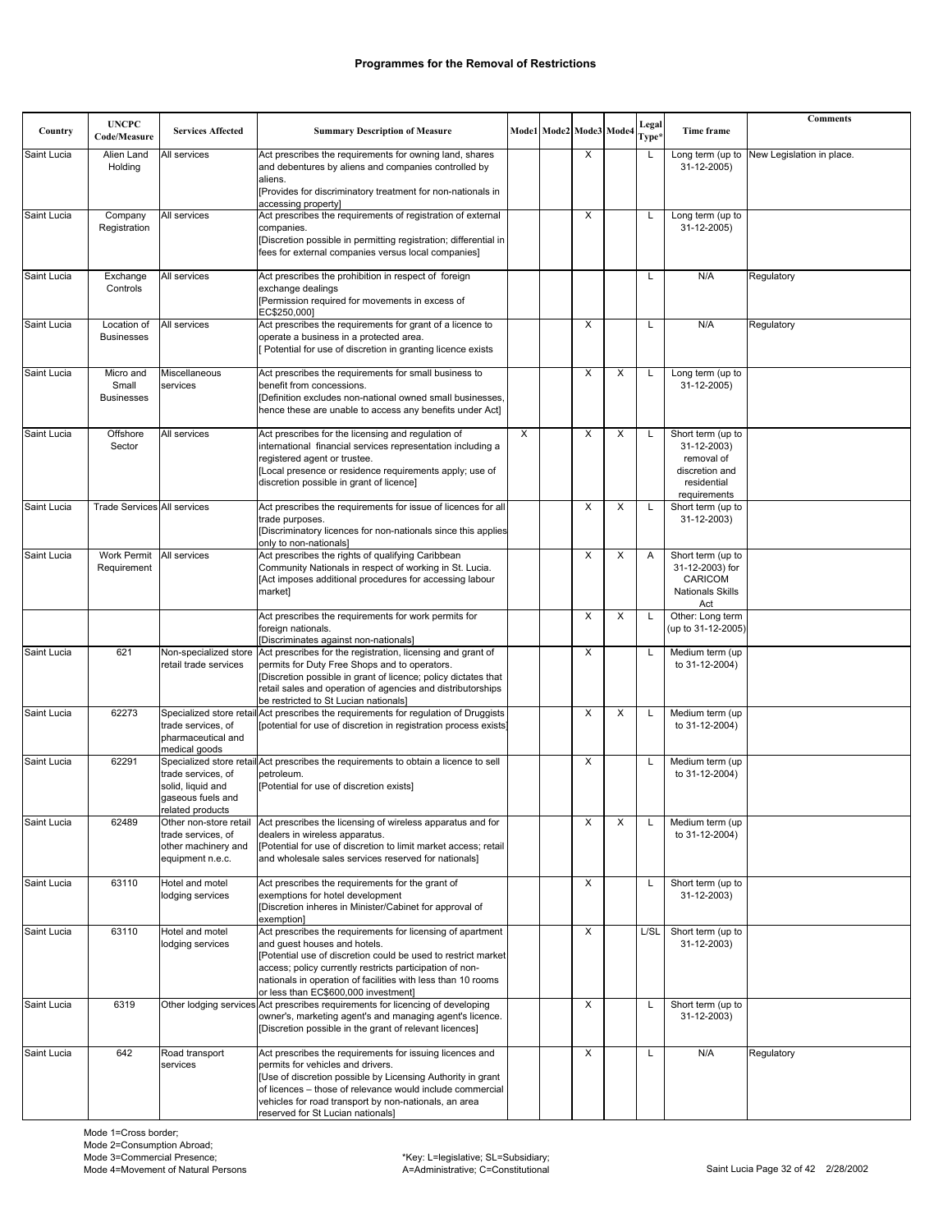|             | <b>UNCPC</b>                            |                                                                                         |                                                                                                                                                                                                                                                                                                                                 |   |                         |   | Legal |                                                                                                 | <b>Comments</b>           |
|-------------|-----------------------------------------|-----------------------------------------------------------------------------------------|---------------------------------------------------------------------------------------------------------------------------------------------------------------------------------------------------------------------------------------------------------------------------------------------------------------------------------|---|-------------------------|---|-------|-------------------------------------------------------------------------------------------------|---------------------------|
| Country     | Code/Measure                            | <b>Services Affected</b>                                                                | <b>Summary Description of Measure</b>                                                                                                                                                                                                                                                                                           |   | Mode1 Mode2 Mode3 Mode4 |   | Type* | Time frame                                                                                      |                           |
| Saint Lucia | Alien Land<br>Holding                   | All services                                                                            | Act prescribes the requirements for owning land, shares<br>and debentures by aliens and companies controlled by<br>aliens.                                                                                                                                                                                                      |   | X                       |   | L     | Long term (up to<br>31-12-2005)                                                                 | New Legislation in place. |
|             |                                         |                                                                                         | [Provides for discriminatory treatment for non-nationals in<br>accessing property]                                                                                                                                                                                                                                              |   |                         |   |       |                                                                                                 |                           |
| Saint Lucia | Company<br>Registration                 | All services                                                                            | Act prescribes the requirements of registration of external<br>companies.<br>[Discretion possible in permitting registration; differential in<br>fees for external companies versus local companies]                                                                                                                            |   | $\times$                |   | L     | Long term (up to<br>31-12-2005)                                                                 |                           |
| Saint Lucia | Exchange                                | All services                                                                            | Act prescribes the prohibition in respect of foreign                                                                                                                                                                                                                                                                            |   |                         |   | L     | N/A                                                                                             | Regulatory                |
|             | Controls                                |                                                                                         | exchange dealings<br>[Permission required for movements in excess of<br>EC\$250,000]                                                                                                                                                                                                                                            |   |                         |   |       |                                                                                                 |                           |
| Saint Lucia | Location of<br><b>Businesses</b>        | All services                                                                            | Act prescribes the requirements for grant of a licence to<br>operate a business in a protected area.<br>[ Potential for use of discretion in granting licence exists                                                                                                                                                            |   | X                       |   | L     | N/A                                                                                             | Regulatory                |
| Saint Lucia | Micro and<br>Small<br><b>Businesses</b> | Miscellaneous<br>services                                                               | Act prescribes the requirements for small business to<br>benefit from concessions.<br>[Definition excludes non-national owned small businesses,<br>hence these are unable to access any benefits under Act]                                                                                                                     |   | X                       | X |       | Long term (up to<br>31-12-2005)                                                                 |                           |
| Saint Lucia | Offshore<br>Sector                      | All services                                                                            | Act prescribes for the licensing and regulation of<br>international financial services representation including a<br>registered agent or trustee.<br>[Local presence or residence requirements apply; use of<br>discretion possible in grant of licence]                                                                        | X | X                       | X |       | Short term (up to<br>31-12-2003)<br>removal of<br>discretion and<br>residential<br>requirements |                           |
| Saint Lucia | <b>Trade Services All services</b>      |                                                                                         | Act prescribes the requirements for issue of licences for all<br>trade purposes.<br>[Discriminatory licences for non-nationals since this applies<br>only to non-nationals]                                                                                                                                                     |   | X                       | X | L     | Short term (up to<br>31-12-2003)                                                                |                           |
| Saint Lucia | <b>Work Permit</b><br>Requirement       | All services                                                                            | Act prescribes the rights of qualifying Caribbean<br>Community Nationals in respect of working in St. Lucia.<br>[Act imposes additional procedures for accessing labour<br>market]                                                                                                                                              |   | X                       | X | Α     | Short term (up to<br>31-12-2003) for<br>CARICOM<br><b>Nationals Skills</b><br>Act               |                           |
|             |                                         |                                                                                         | Act prescribes the requirements for work permits for<br>foreign nationals.<br>[Discriminates against non-nationals]                                                                                                                                                                                                             |   | X                       | X |       | Other: Long term<br>(up to 31-12-2005)                                                          |                           |
| Saint Lucia | 621                                     | Non-specialized store<br>retail trade services                                          | Act prescribes for the registration, licensing and grant of<br>permits for Duty Free Shops and to operators.<br>[Discretion possible in grant of licence; policy dictates that<br>retail sales and operation of agencies and distributorships<br>be restricted to St Lucian nationals]                                          |   | Х                       |   | L     | Medium term (up<br>to 31-12-2004)                                                               |                           |
| Saint Lucia | 62273                                   | trade services, of<br>pharmaceutical and<br>medical goods                               | Specialized store retail Act prescribes the requirements for regulation of Druggists<br>[potential for use of discretion in registration process exists]                                                                                                                                                                        |   | X                       | X | L     | Medium term (up<br>to 31-12-2004)                                                               |                           |
| Saint Lucia | 62291                                   | trade services, of<br>solid, liquid and<br>gaseous fuels and<br>related products        | Specialized store retail Act prescribes the requirements to obtain a licence to sell<br>petroleum.<br>[Potential for use of discretion exists]                                                                                                                                                                                  |   | X                       |   | L     | Medium term (up<br>to 31-12-2004)                                                               |                           |
| Saint Lucia | 62489                                   | Other non-store retail<br>trade services, of<br>other machinery and<br>equipment n.e.c. | Act prescribes the licensing of wireless apparatus and for<br>dealers in wireless apparatus.<br>[Potential for use of discretion to limit market access; retail<br>and wholesale sales services reserved for nationals]                                                                                                         |   | X                       | X | Г     | Medium term (up<br>to 31-12-2004)                                                               |                           |
| Saint Lucia | 63110                                   | Hotel and motel<br>lodging services                                                     | Act prescribes the requirements for the grant of<br>exemptions for hotel development<br>[Discretion inheres in Minister/Cabinet for approval of<br>exemption]                                                                                                                                                                   |   | X                       |   | L     | Short term (up to<br>31-12-2003)                                                                |                           |
| Saint Lucia | 63110                                   | Hotel and motel<br>lodging services                                                     | Act prescribes the requirements for licensing of apartment<br>and guest houses and hotels.<br>[Potential use of discretion could be used to restrict market<br>access; policy currently restricts participation of non-<br>nationals in operation of facilities with less than 10 rooms<br>or less than EC\$600,000 investment] |   | X                       |   | L/SL  | Short term (up to<br>31-12-2003)                                                                |                           |
| Saint Lucia | 6319                                    |                                                                                         | Other lodging services Act prescribes requirements for licencing of developing<br>owner's, marketing agent's and managing agent's licence.<br>[Discretion possible in the grant of relevant licences]                                                                                                                           |   | X                       |   | L     | Short term (up to<br>31-12-2003)                                                                |                           |
| Saint Lucia | 642                                     | Road transport<br>services                                                              | Act prescribes the requirements for issuing licences and<br>permits for vehicles and drivers.<br>[Use of discretion possible by Licensing Authority in grant<br>of licences - those of relevance would include commercial<br>vehicles for road transport by non-nationals, an area<br>reserved for St Lucian nationals]         |   | Χ                       |   | L     | N/A                                                                                             | Regulatory                |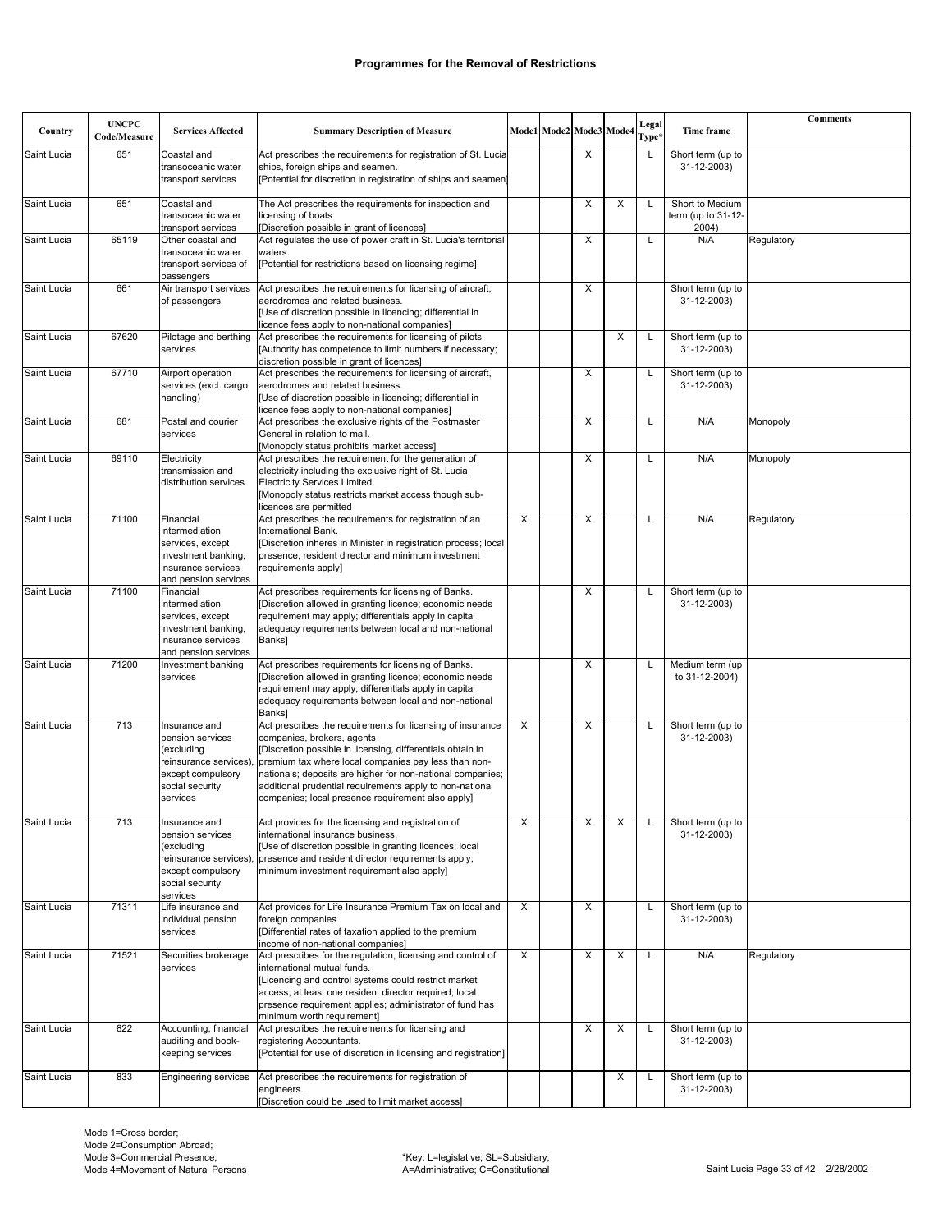| Country     | <b>UNCPC</b><br>Code/Measure | <b>Services Affected</b>                                                                                                     | <b>Summary Description of Measure</b>                                                                                                                                                                                                                                                                                                                                                         |   | Mode1 Mode2 Mode3 Mode4 |          | Legal<br>Type <sup>,</sup> | Time frame                                     | <b>Comments</b> |
|-------------|------------------------------|------------------------------------------------------------------------------------------------------------------------------|-----------------------------------------------------------------------------------------------------------------------------------------------------------------------------------------------------------------------------------------------------------------------------------------------------------------------------------------------------------------------------------------------|---|-------------------------|----------|----------------------------|------------------------------------------------|-----------------|
| Saint Lucia | 651                          | Coastal and<br>transoceanic water<br>transport services                                                                      | Act prescribes the requirements for registration of St. Lucia<br>ships, foreign ships and seamen.<br>[Potential for discretion in registration of ships and seamen]                                                                                                                                                                                                                           |   | X                       |          | L                          | Short term (up to<br>31-12-2003)               |                 |
| Saint Lucia | 651                          | Coastal and<br>transoceanic water<br>transport services                                                                      | The Act prescribes the requirements for inspection and<br>icensing of boats<br>[Discretion possible in grant of licences]                                                                                                                                                                                                                                                                     |   | X                       | X        | L                          | Short to Medium<br>term (up to 31-12-<br>2004) |                 |
| Saint Lucia | 65119                        | Other coastal and<br>transoceanic water<br>transport services of<br>passengers                                               | Act regulates the use of power craft in St. Lucia's territorial<br>waters.<br>[Potential for restrictions based on licensing regime]                                                                                                                                                                                                                                                          |   | X                       |          | L                          | N/A                                            | Regulatory      |
| Saint Lucia | 661                          | Air transport services<br>of passengers                                                                                      | Act prescribes the requirements for licensing of aircraft,<br>aerodromes and related business.<br>[Use of discretion possible in licencing; differential in<br>licence fees apply to non-national companies]                                                                                                                                                                                  |   | X                       |          |                            | Short term (up to<br>31-12-2003)               |                 |
| Saint Lucia | 67620                        | Pilotage and berthing<br>services                                                                                            | Act prescribes the requirements for licensing of pilots<br>[Authority has competence to limit numbers if necessary;<br>discretion possible in grant of licences]                                                                                                                                                                                                                              |   |                         | $\times$ | L                          | Short term (up to<br>31-12-2003)               |                 |
| Saint Lucia | 67710                        | Airport operation<br>services (excl. cargo<br>handling)                                                                      | Act prescribes the requirements for licensing of aircraft,<br>aerodromes and related business.<br>[Use of discretion possible in licencing; differential in<br>licence fees apply to non-national companies]                                                                                                                                                                                  |   | X                       |          | L                          | Short term (up to<br>31-12-2003)               |                 |
| Saint Lucia | 681                          | Postal and courier<br>services                                                                                               | Act prescribes the exclusive rights of the Postmaster<br>General in relation to mail.<br>Monopoly status prohibits market access]                                                                                                                                                                                                                                                             |   | X                       |          | L                          | N/A                                            | Monopoly        |
| Saint Lucia | 69110                        | Electricity<br>transmission and<br>distribution services                                                                     | Act prescribes the requirement for the generation of<br>electricity including the exclusive right of St. Lucia<br>Electricity Services Limited.<br>[Monopoly status restricts market access though sub-<br>licences are permitted                                                                                                                                                             |   | X                       |          | L                          | N/A                                            | Monopoly        |
| Saint Lucia | 71100                        | Financial<br>intermediation<br>services, except<br>investment banking,<br>insurance services<br>and pension services         | Act prescribes the requirements for registration of an<br>International Bank.<br>[Discretion inheres in Minister in registration process; local<br>presence, resident director and minimum investment<br>requirements apply]                                                                                                                                                                  | X | X                       |          | L                          | N/A                                            | Regulatory      |
| Saint Lucia | 71100                        | Financial<br>intermediation<br>services, except<br>investment banking,<br>insurance services<br>and pension services         | Act prescribes requirements for licensing of Banks.<br>[Discretion allowed in granting licence; economic needs<br>requirement may apply; differentials apply in capital<br>adequacy requirements between local and non-national<br>Banks]                                                                                                                                                     |   | X                       |          | L                          | Short term (up to<br>31-12-2003)               |                 |
| Saint Lucia | 71200                        | Investment banking<br>services                                                                                               | Act prescribes requirements for licensing of Banks.<br>[Discretion allowed in granting licence; economic needs<br>requirement may apply; differentials apply in capital<br>adequacy requirements between local and non-national<br>Banks]                                                                                                                                                     |   | X                       |          | L                          | Medium term (up<br>to 31-12-2004)              |                 |
| Saint Lucia | 713                          | Insurance and<br>pension services<br>(excluding<br>reinsurance services)<br>except compulsory<br>social security<br>services | Act prescribes the requirements for licensing of insurance<br>companies, brokers, agents<br>[Discretion possible in licensing, differentials obtain in<br>premium tax where local companies pay less than non-<br>nationals; deposits are higher for non-national companies;<br>additional prudential requirements apply to non-national<br>companies; local presence requirement also apply] | X | X                       |          | L                          | Short term (up to<br>31-12-2003)               |                 |
| Saint Lucia | 713                          | Insurance and<br>pension services<br>(excluding<br>reinsurance services)<br>except compulsory<br>social security<br>services | Act provides for the licensing and registration of<br>international insurance business.<br>[Use of discretion possible in granting licences; local<br>presence and resident director requirements apply;<br>minimum investment requirement also apply]                                                                                                                                        | X | X                       | X        | L                          | Short term (up to<br>31-12-2003)               |                 |
| Saint Lucia | 71311                        | Life insurance and<br>individual pension<br>services                                                                         | Act provides for Life Insurance Premium Tax on local and<br>foreign companies<br>[Differential rates of taxation applied to the premium<br>income of non-national companies]                                                                                                                                                                                                                  | X | X                       |          | L                          | Short term (up to<br>31-12-2003)               |                 |
| Saint Lucia | 71521                        | Securities brokerage<br>services                                                                                             | Act prescribes for the regulation, licensing and control of<br>international mutual funds.<br>[Licencing and control systems could restrict market<br>access; at least one resident director required; local<br>presence requirement applies; administrator of fund has<br>minimum worth requirement]                                                                                         | X | X                       | X        | L                          | N/A                                            | Regulatory      |
| Saint Lucia | 822                          | Accounting, financial<br>auditing and book-<br>keeping services                                                              | Act prescribes the requirements for licensing and<br>registering Accountants.<br>[Potential for use of discretion in licensing and registration]                                                                                                                                                                                                                                              |   | X                       | X        | Г                          | Short term (up to<br>31-12-2003)               |                 |
| Saint Lucia | 833                          | <b>Engineering services</b>                                                                                                  | Act prescribes the requirements for registration of<br>engineers.<br>[Discretion could be used to limit market access]                                                                                                                                                                                                                                                                        |   |                         | X        | L                          | Short term (up to<br>31-12-2003)               |                 |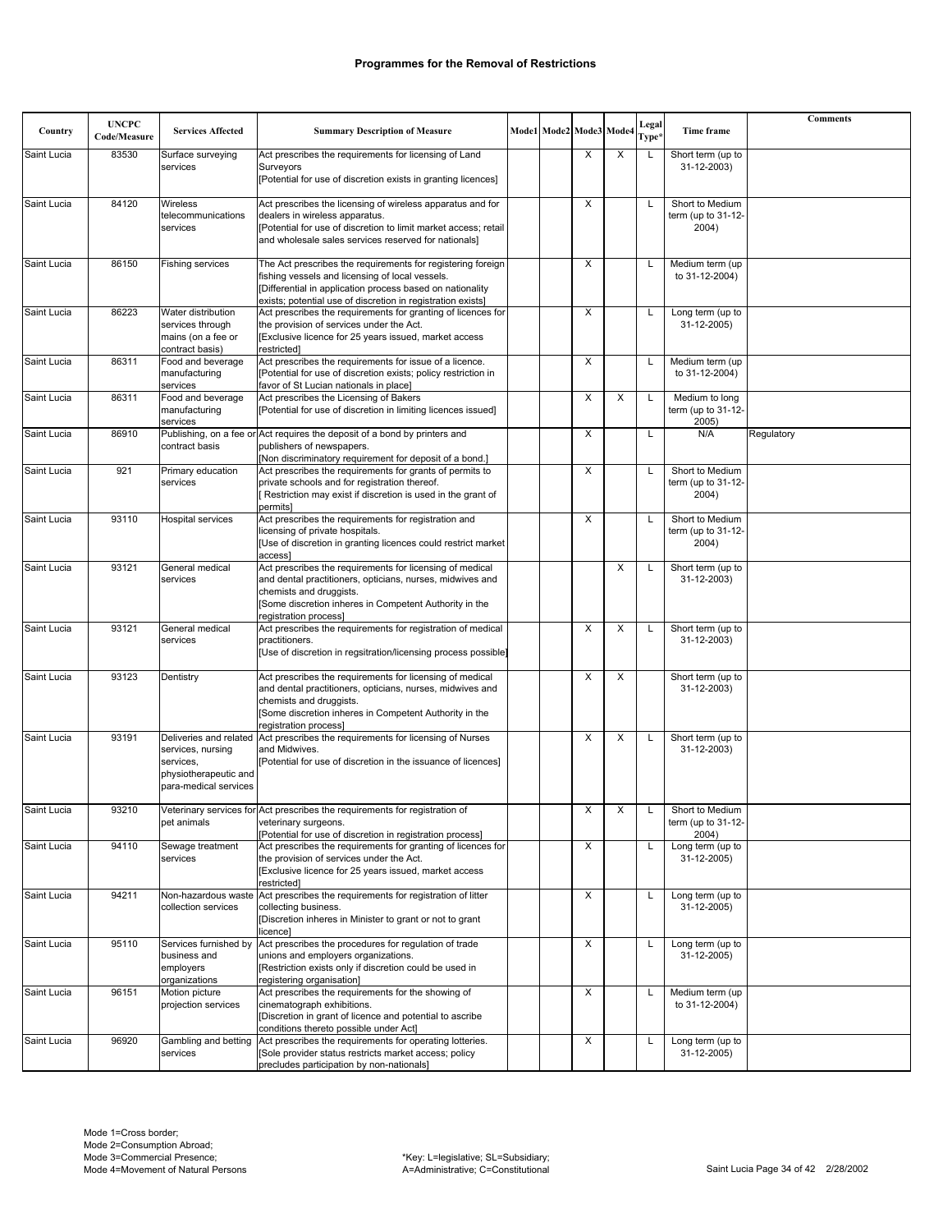|             | <b>UNCPC</b> |                                                |                                                                                                                           |  |                         |   | Legal             |                                       | <b>Comments</b> |
|-------------|--------------|------------------------------------------------|---------------------------------------------------------------------------------------------------------------------------|--|-------------------------|---|-------------------|---------------------------------------|-----------------|
| Country     | Code/Measure | <b>Services Affected</b>                       | <b>Summary Description of Measure</b>                                                                                     |  | Mode1 Mode2 Mode3 Mode4 |   | Type <sup>3</sup> | Time frame                            |                 |
| Saint Lucia | 83530        | Surface surveying<br>services                  | Act prescribes the requirements for licensing of Land<br>Surveyors                                                        |  | X                       | X | L                 | Short term (up to<br>31-12-2003)      |                 |
|             |              |                                                | [Potential for use of discretion exists in granting licences]                                                             |  |                         |   |                   |                                       |                 |
| Saint Lucia | 84120        | Wireless                                       | Act prescribes the licensing of wireless apparatus and for                                                                |  | X                       |   | L                 | Short to Medium                       |                 |
|             |              | telecommunications<br>services                 | dealers in wireless apparatus.<br>[Potential for use of discretion to limit market access; retail                         |  |                         |   |                   | term (up to $31-12$ -<br>2004)        |                 |
|             |              |                                                | and wholesale sales services reserved for nationals]                                                                      |  |                         |   |                   |                                       |                 |
| Saint Lucia | 86150        | Fishing services                               | The Act prescribes the requirements for registering foreign                                                               |  | X                       |   | L                 | Medium term (up                       |                 |
|             |              |                                                | fishing vessels and licensing of local vessels.<br>[Differential in application process based on nationality              |  |                         |   |                   | to 31-12-2004)                        |                 |
|             |              |                                                | exists; potential use of discretion in registration exists]                                                               |  |                         |   |                   |                                       |                 |
| Saint Lucia | 86223        | Water distribution<br>services through         | Act prescribes the requirements for granting of licences for<br>the provision of services under the Act.                  |  | X                       |   | L                 | Long term (up to<br>31-12-2005)       |                 |
|             |              | mains (on a fee or                             | [Exclusive licence for 25 years issued, market access                                                                     |  |                         |   |                   |                                       |                 |
| Saint Lucia | 86311        | contract basis)<br>Food and beverage           | restricted]<br>Act prescribes the requirements for issue of a licence.                                                    |  | X                       |   | L                 | Medium term (up                       |                 |
|             |              | manufacturing<br>services                      | [Potential for use of discretion exists; policy restriction in<br>favor of St Lucian nationals in place]                  |  |                         |   |                   | to 31-12-2004)                        |                 |
| Saint Lucia | 86311        | Food and beverage                              | Act prescribes the Licensing of Bakers                                                                                    |  | X                       | X | L                 | Medium to long                        |                 |
|             |              | manufacturing<br>services                      | [Potential for use of discretion in limiting licences issued]                                                             |  |                         |   |                   | term (up to 31-12-<br>2005)           |                 |
| Saint Lucia | 86910        |                                                | Publishing, on a fee or Act requires the deposit of a bond by printers and                                                |  | X                       |   | L                 | N/A                                   | Regulatory      |
|             |              | contract basis                                 | publishers of newspapers.<br>[Non discriminatory requirement for deposit of a bond.]                                      |  |                         |   |                   |                                       |                 |
| Saint Lucia | 921          | Primary education<br>services                  | Act prescribes the requirements for grants of permits to<br>private schools and for registration thereof.                 |  | X                       |   | L                 | Short to Medium<br>term (up to 31-12- |                 |
|             |              |                                                | [Restriction may exist if discretion is used in the grant of                                                              |  |                         |   |                   | 2004)                                 |                 |
| Saint Lucia | 93110        | Hospital services                              | permits]<br>Act prescribes the requirements for registration and                                                          |  | Χ                       |   | L                 | Short to Medium                       |                 |
|             |              |                                                | licensing of private hospitals.                                                                                           |  |                         |   |                   | term (up to 31-12-                    |                 |
|             |              |                                                | [Use of discretion in granting licences could restrict market<br>access1                                                  |  |                         |   |                   | 2004)                                 |                 |
| Saint Lucia | 93121        | General medical                                | Act prescribes the requirements for licensing of medical                                                                  |  |                         | X | L                 | Short term (up to                     |                 |
|             |              | services                                       | and dental practitioners, opticians, nurses, midwives and<br>chemists and druggists.                                      |  |                         |   |                   | 31-12-2003)                           |                 |
|             |              |                                                | [Some discretion inheres in Competent Authority in the<br>registration process]                                           |  |                         |   |                   |                                       |                 |
| Saint Lucia | 93121        | General medical                                | Act prescribes the requirements for registration of medical                                                               |  | X                       | X | L                 | Short term (up to                     |                 |
|             |              | services                                       | practitioners.<br>[Use of discretion in regsitration/licensing process possible]                                          |  |                         |   |                   | 31-12-2003)                           |                 |
| Saint Lucia | 93123        | Dentistry                                      | Act prescribes the requirements for licensing of medical                                                                  |  | X                       | X |                   | Short term (up to                     |                 |
|             |              |                                                | and dental practitioners, opticians, nurses, midwives and                                                                 |  |                         |   |                   | 31-12-2003)                           |                 |
|             |              |                                                | chemists and druggists.<br>[Some discretion inheres in Competent Authority in the                                         |  |                         |   |                   |                                       |                 |
|             |              |                                                | registration process]                                                                                                     |  |                         |   |                   |                                       |                 |
| Saint Lucia | 93191        | services, nursing                              | Deliveries and related Act prescribes the requirements for licensing of Nurses<br>and Midwives.                           |  | X                       | X | L                 | Short term (up to<br>31-12-2003)      |                 |
|             |              | services.                                      | [Potential for use of discretion in the issuance of licences]                                                             |  |                         |   |                   |                                       |                 |
|             |              | physiotherapeutic and<br>para-medical services |                                                                                                                           |  |                         |   |                   |                                       |                 |
| Saint Lucia | 93210        |                                                | Veterinary services for Act prescribes the requirements for registration of                                               |  |                         |   |                   | Short to Medium                       |                 |
|             |              | pet animals                                    | veterinary surgeons.                                                                                                      |  | X                       |   |                   | term (up to 31-12-                    |                 |
| Saint Lucia | 94110        | Sewage treatment                               | [Potential for use of discretion in registration process]<br>Act prescribes the requirements for granting of licences for |  | X                       |   | L                 | 2004)<br>Long term (up to             |                 |
|             |              | services                                       | the provision of services under the Act.                                                                                  |  |                         |   |                   | 31-12-2005)                           |                 |
|             |              |                                                | [Exclusive licence for 25 years issued, market access<br>restricted]                                                      |  |                         |   |                   |                                       |                 |
| Saint Lucia | 94211        | collection services                            | Non-hazardous waste Act prescribes the requirements for registration of litter<br>collecting business.                    |  | Х                       |   | L                 | Long term (up to<br>31-12-2005)       |                 |
|             |              |                                                | [Discretion inheres in Minister to grant or not to grant                                                                  |  |                         |   |                   |                                       |                 |
| Saint Lucia | 95110        | Services furnished by                          | licence]<br>Act prescribes the procedures for regulation of trade                                                         |  | X                       |   | L                 | Long term (up to                      |                 |
|             |              | business and                                   | unions and employers organizations.                                                                                       |  |                         |   |                   | 31-12-2005)                           |                 |
|             |              | employers<br>organizations                     | [Restriction exists only if discretion could be used in<br>registering organisation]                                      |  |                         |   |                   |                                       |                 |
| Saint Lucia | 96151        | Motion picture<br>projection services          | Act prescribes the requirements for the showing of<br>cinematograph exhibitions.                                          |  | X                       |   | L                 | Medium term (up                       |                 |
|             |              |                                                | [Discretion in grant of licence and potential to ascribe                                                                  |  |                         |   |                   | to 31-12-2004)                        |                 |
| Saint Lucia | 96920        | Gambling and betting                           | conditions thereto possible under Act]<br>Act prescribes the requirements for operating lotteries.                        |  | X                       |   | L                 | Long term (up to                      |                 |
|             |              | services                                       | [Sole provider status restricts market access; policy                                                                     |  |                         |   |                   | 31-12-2005)                           |                 |
|             |              |                                                | precludes participation by non-nationals]                                                                                 |  |                         |   |                   |                                       |                 |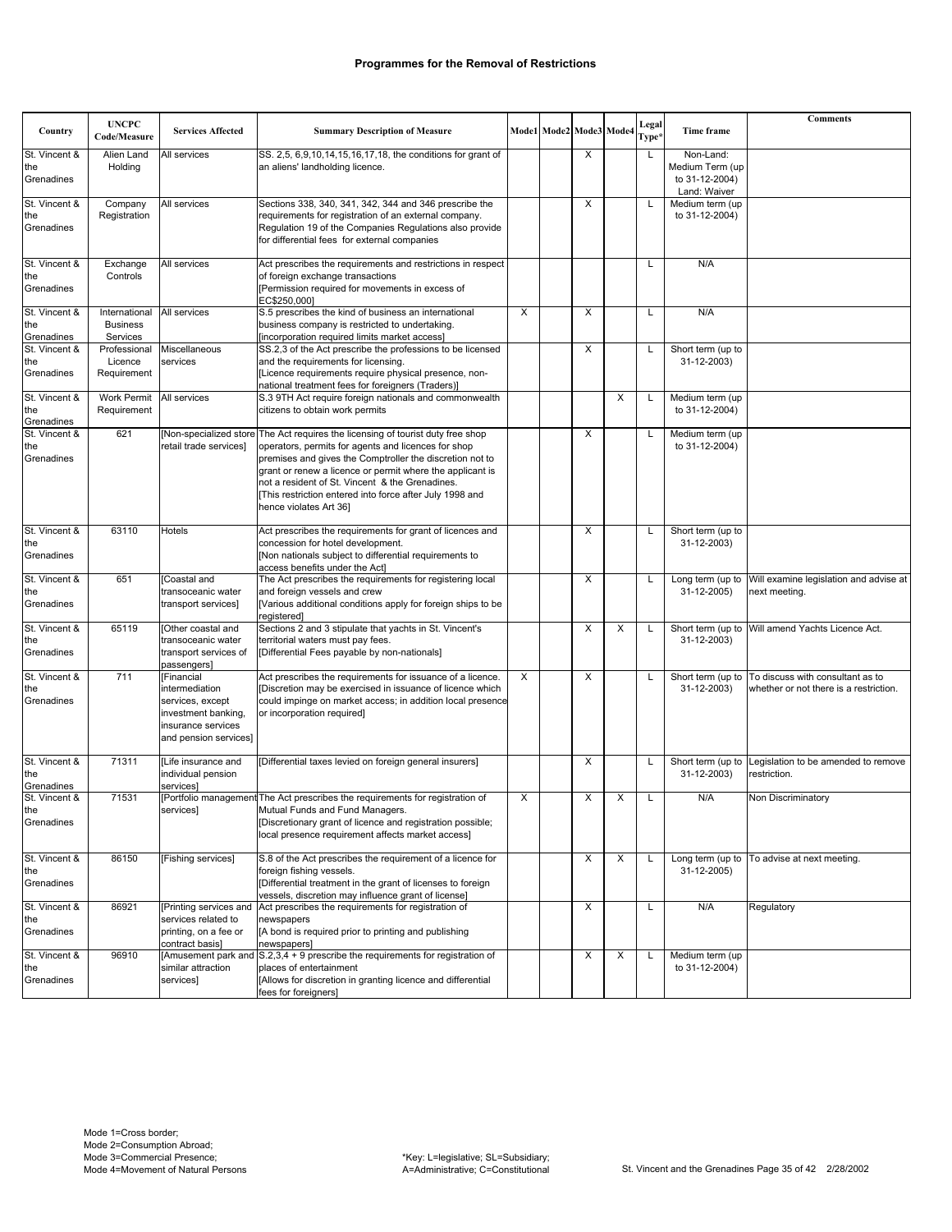| Country                            | <b>UNCPC</b><br>Code/Measure                 | <b>Services Affected</b>                                                                                               | <b>Summary Description of Measure</b>                                                                                                                                                                                                                                                                                                                                                                   |          | Mode1 Mode2 Mode3 Mode4 |   |   | Legal<br>Type <sup>3</sup> | Time frame                                                     | <b>Comments</b>                                                            |
|------------------------------------|----------------------------------------------|------------------------------------------------------------------------------------------------------------------------|---------------------------------------------------------------------------------------------------------------------------------------------------------------------------------------------------------------------------------------------------------------------------------------------------------------------------------------------------------------------------------------------------------|----------|-------------------------|---|---|----------------------------|----------------------------------------------------------------|----------------------------------------------------------------------------|
| St. Vincent &<br>the<br>Grenadines | Alien Land<br>Holding                        | All services                                                                                                           | SS. 2,5, 6,9,10,14,15,16,17,18, the conditions for grant of<br>an aliens' landholding licence.                                                                                                                                                                                                                                                                                                          |          |                         | X |   | L                          | Non-Land:<br>Medium Term (up<br>to 31-12-2004)<br>Land: Waiver |                                                                            |
| St. Vincent &<br>the<br>Grenadines | Company<br>Registration                      | All services                                                                                                           | Sections 338, 340, 341, 342, 344 and 346 prescribe the<br>requirements for registration of an external company.<br>Regulation 19 of the Companies Regulations also provide<br>for differential fees for external companies                                                                                                                                                                              |          |                         | X |   | L                          | Medium term (up<br>to 31-12-2004)                              |                                                                            |
| St. Vincent &<br>the<br>Grenadines | Exchange<br>Controls                         | All services                                                                                                           | Act prescribes the requirements and restrictions in respect<br>of foreign exchange transactions<br>[Permission required for movements in excess of<br>EC\$250,000]                                                                                                                                                                                                                                      |          |                         |   |   | L                          | N/A                                                            |                                                                            |
| St. Vincent &<br>the<br>Grenadines | International<br><b>Business</b><br>Services | All services                                                                                                           | S.5 prescribes the kind of business an international<br>business company is restricted to undertaking.<br>[incorporation required limits market access]                                                                                                                                                                                                                                                 | X        |                         | X |   | L                          | N/A                                                            |                                                                            |
| St. Vincent &<br>the<br>Grenadines | Professional<br>Licence<br>Requirement       | Miscellaneous<br>services                                                                                              | SS.2,3 of the Act prescribe the professions to be licensed<br>and the requirements for licensing.<br>[Licence requirements require physical presence, non-<br>national treatment fees for foreigners (Traders)]                                                                                                                                                                                         |          |                         | X |   |                            | Short term (up to<br>31-12-2003)                               |                                                                            |
| St. Vincent &<br>the<br>Grenadines | Work Permit<br>Requirement                   | All services                                                                                                           | S.3 9TH Act require foreign nationals and commonwealth<br>citizens to obtain work permits                                                                                                                                                                                                                                                                                                               |          |                         |   | X | L                          | Medium term (up<br>to 31-12-2004)                              |                                                                            |
| St. Vincent &<br>the<br>Grenadines | 621                                          | retail trade services]                                                                                                 | [Non-specialized store The Act requires the licensing of tourist duty free shop<br>operators, permits for agents and licences for shop<br>premises and gives the Comptroller the discretion not to<br>grant or renew a licence or permit where the applicant is<br>not a resident of St. Vincent & the Grenadines.<br>This restriction entered into force after July 1998 and<br>hence violates Art 36] |          |                         | X |   | L                          | Medium term (up<br>to 31-12-2004)                              |                                                                            |
| St. Vincent &<br>the<br>Grenadines | 63110                                        | Hotels                                                                                                                 | Act prescribes the requirements for grant of licences and<br>concession for hotel development.<br>[Non nationals subject to differential requirements to<br>access benefits under the Act]                                                                                                                                                                                                              |          |                         | X |   | L                          | Short term (up to<br>31-12-2003)                               |                                                                            |
| St. Vincent &<br>the<br>Grenadines | 651                                          | [Coastal and<br>transoceanic water<br>transport services]                                                              | The Act prescribes the requirements for registering local<br>and foreign vessels and crew<br>[Various additional conditions apply for foreign ships to be<br>registered]                                                                                                                                                                                                                                |          |                         | X |   | L                          | Long term (up to<br>31-12-2005)                                | Will examine legislation and advise at<br>next meeting.                    |
| St. Vincent &<br>the<br>Grenadines | 65119                                        | Other coastal and<br>transoceanic water<br>transport services of<br>passengers]                                        | Sections 2 and 3 stipulate that yachts in St. Vincent's<br>territorial waters must pay fees.<br>[Differential Fees payable by non-nationals]                                                                                                                                                                                                                                                            |          |                         | X | X | L                          | Short term (up to<br>31-12-2003)                               | Will amend Yachts Licence Act.                                             |
| St. Vincent &<br>the<br>Grenadines | 711                                          | [Financial<br>intermediation<br>services, except<br>investment banking,<br>insurance services<br>and pension services] | Act prescribes the requirements for issuance of a licence.<br>Discretion may be exercised in issuance of licence which<br>could impinge on market access; in addition local presence<br>or incorporation required]                                                                                                                                                                                      | $\times$ |                         | X |   | L                          | Short term (up to<br>31-12-2003)                               | To discuss with consultant as to<br>whether or not there is a restriction. |
| St. Vincent &<br>the<br>Grenadines | 71311                                        | [Life insurance and<br>individual pension<br>services]                                                                 | [Differential taxes levied on foreign general insurers]                                                                                                                                                                                                                                                                                                                                                 |          |                         | X |   | L                          | Short term (up to<br>31-12-2003)                               | Legislation to be amended to remove<br>restriction.                        |
| St. Vincent &<br>τne<br>Grenadines | 71531                                        | servicesj                                                                                                              | [Portfolio management The Act prescribes the requirements for registration of<br>Mutual Funds and Fund Managers.<br>[Discretionary grant of licence and registration possible;<br>local presence requirement affects market access]                                                                                                                                                                     | X        |                         | X | X | L                          | N/A                                                            | Non Discriminatory                                                         |
| St. Vincent &<br>the<br>Grenadines | 86150                                        | [Fishing services]                                                                                                     | S.8 of the Act prescribes the requirement of a licence for<br>foreign fishing vessels.<br>[Differential treatment in the grant of licenses to foreign<br>vessels, discretion may influence grant of license]                                                                                                                                                                                            |          |                         | Х | X |                            | Long term (up to<br>31-12-2005)                                | To advise at next meeting.                                                 |
| St. Vincent &<br>the<br>Grenadines | 86921                                        | [Printing services and<br>services related to<br>printing, on a fee or<br>contract basis]                              | Act prescribes the requirements for registration of<br>newspapers<br>[A bond is required prior to printing and publishing<br>newspapers]                                                                                                                                                                                                                                                                |          |                         | X |   | L                          | N/A                                                            | Regulatory                                                                 |
| St. Vincent &<br>the<br>Grenadines | 96910                                        | similar attraction<br>services]                                                                                        | [Amusement park and S.2,3,4 + 9 prescribe the requirements for registration of<br>places of entertainment<br>[Allows for discretion in granting licence and differential<br>fees for foreigners]                                                                                                                                                                                                        |          |                         | X | X | L                          | Medium term (up<br>to 31-12-2004)                              |                                                                            |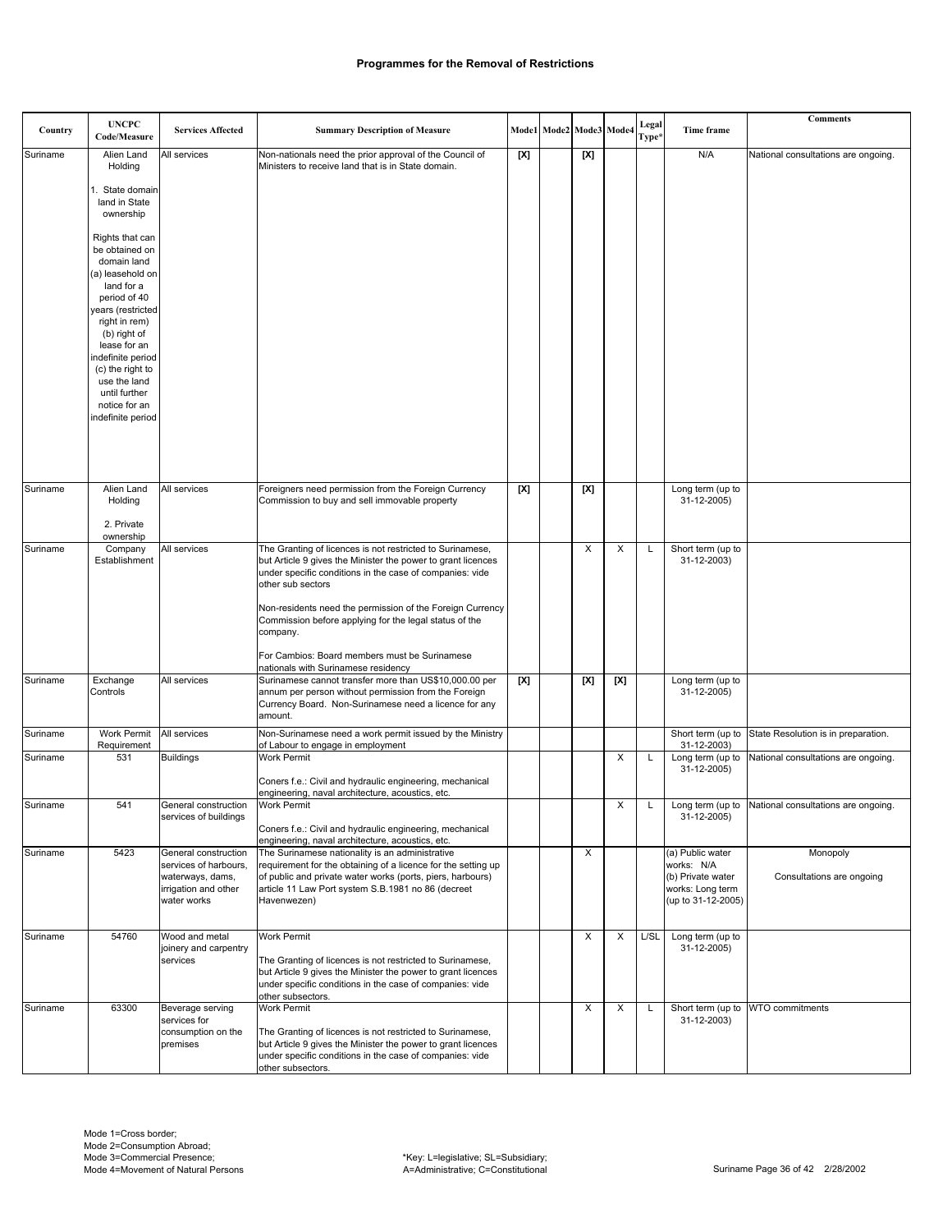| Country  | <b>UNCPC</b><br>Code/Measure                                                                                                                                                                                                                       | <b>Services Affected</b>                                                                                 | <b>Summary Description of Measure</b>                                                                                                                                                                                                                                                                                             |     | Mode1 Mode2 Mode3 Mode4 |     |     | Legal<br>Type* | Time frame                                                                                    | <b>Comments</b>                                       |
|----------|----------------------------------------------------------------------------------------------------------------------------------------------------------------------------------------------------------------------------------------------------|----------------------------------------------------------------------------------------------------------|-----------------------------------------------------------------------------------------------------------------------------------------------------------------------------------------------------------------------------------------------------------------------------------------------------------------------------------|-----|-------------------------|-----|-----|----------------|-----------------------------------------------------------------------------------------------|-------------------------------------------------------|
| Suriname | Alien Land                                                                                                                                                                                                                                         | All services                                                                                             | Non-nationals need the prior approval of the Council of                                                                                                                                                                                                                                                                           | [X] |                         | [X] |     |                | N/A                                                                                           | National consultations are ongoing.                   |
|          | Holding<br>I. State domain<br>land in State<br>ownership<br>Rights that can<br>be obtained on                                                                                                                                                      |                                                                                                          | Ministers to receive land that is in State domain.                                                                                                                                                                                                                                                                                |     |                         |     |     |                |                                                                                               |                                                       |
|          | domain land<br>(a) leasehold on<br>land for a<br>period of 40<br>ears (restricted<br>right in rem)<br>(b) right of<br>lease for an<br>indefinite period<br>(c) the right to<br>use the land<br>until further<br>notice for an<br>indefinite period |                                                                                                          |                                                                                                                                                                                                                                                                                                                                   |     |                         |     |     |                |                                                                                               |                                                       |
|          |                                                                                                                                                                                                                                                    |                                                                                                          |                                                                                                                                                                                                                                                                                                                                   |     |                         |     |     |                |                                                                                               |                                                       |
| Suriname | Alien Land<br>Holding<br>2. Private                                                                                                                                                                                                                | All services                                                                                             | Foreigners need permission from the Foreign Currency<br>Commission to buy and sell immovable property                                                                                                                                                                                                                             | [X] |                         | [X] |     |                | Long term (up to<br>31-12-2005)                                                               |                                                       |
| Suriname | ownership<br>Company                                                                                                                                                                                                                               | All services                                                                                             | The Granting of licences is not restricted to Surinamese,                                                                                                                                                                                                                                                                         |     |                         | X   | X   | L              | Short term (up to                                                                             |                                                       |
|          | Establishment                                                                                                                                                                                                                                      |                                                                                                          | but Article 9 gives the Minister the power to grant licences<br>under specific conditions in the case of companies: vide<br>other sub sectors<br>Non-residents need the permission of the Foreign Currency<br>Commission before applying for the legal status of the<br>company.<br>For Cambios: Board members must be Surinamese |     |                         |     |     |                | 31-12-2003)                                                                                   |                                                       |
|          |                                                                                                                                                                                                                                                    |                                                                                                          | nationals with Surinamese residency                                                                                                                                                                                                                                                                                               |     |                         |     |     |                |                                                                                               |                                                       |
| Suriname | Exchange<br>Controls                                                                                                                                                                                                                               | All services                                                                                             | Surinamese cannot transfer more than US\$10,000.00 per<br>annum per person without permission from the Foreign<br>Currency Board. Non-Surinamese need a licence for any<br>amount.                                                                                                                                                | [X] |                         | [X] | [X] |                | Long term (up to<br>31-12-2005)                                                               |                                                       |
| Suriname | Work Permit<br>Requirement                                                                                                                                                                                                                         | All services                                                                                             | Non-Surinamese need a work permit issued by the Ministry<br>of Labour to engage in employment                                                                                                                                                                                                                                     |     |                         |     |     |                | 31-12-2003)                                                                                   | Short term (up to State Resolution is in preparation. |
| Suriname | 531                                                                                                                                                                                                                                                | <b>Buildings</b>                                                                                         | Work Permit<br>Coners f.e.: Civil and hydraulic engineering, mechanical<br>engineering, naval architecture, acoustics, etc.                                                                                                                                                                                                       |     |                         |     | X   | L              | 31-12-2005)                                                                                   | Long term (up to National consultations are ongoing.  |
| Suriname | 541                                                                                                                                                                                                                                                | General construction<br>services of buildings                                                            | Work Permit<br>Coners f.e.: Civil and hydraulic engineering, mechanical<br>engineering, naval architecture, acoustics, etc.                                                                                                                                                                                                       |     |                         |     | X   |                | 31-12-2005)                                                                                   | Long term (up to National consultations are ongoing.  |
| Suriname | 5423                                                                                                                                                                                                                                               | General construction<br>services of harbours,<br>waterways, dams,<br>irrigation and other<br>water works | The Surinamese nationality is an administrative<br>requirement for the obtaining of a licence for the setting up<br>of public and private water works (ports, piers, harbours)<br>article 11 Law Port system S.B.1981 no 86 (decreet<br>Havenwezen)                                                                               |     |                         | X   |     |                | (a) Public water<br>works: N/A<br>(b) Private water<br>works: Long term<br>(up to 31-12-2005) | Monopoly<br>Consultations are ongoing                 |
| Suriname | 54760                                                                                                                                                                                                                                              | Wood and metal<br>joinery and carpentry<br>services                                                      | <b>Work Permit</b><br>The Granting of licences is not restricted to Surinamese,<br>but Article 9 gives the Minister the power to grant licences<br>under specific conditions in the case of companies: vide<br>other subsectors.                                                                                                  |     |                         | X   | X   | L/SL           | Long term (up to<br>31-12-2005)                                                               |                                                       |
| Suriname | 63300                                                                                                                                                                                                                                              | Beverage serving<br>services for<br>consumption on the<br>premises                                       | Work Permit<br>The Granting of licences is not restricted to Surinamese,<br>but Article 9 gives the Minister the power to grant licences<br>under specific conditions in the case of companies: vide<br>other subsectors.                                                                                                         |     |                         | X   | X   | L              | 31-12-2003)                                                                                   | Short term (up to WTO commitments                     |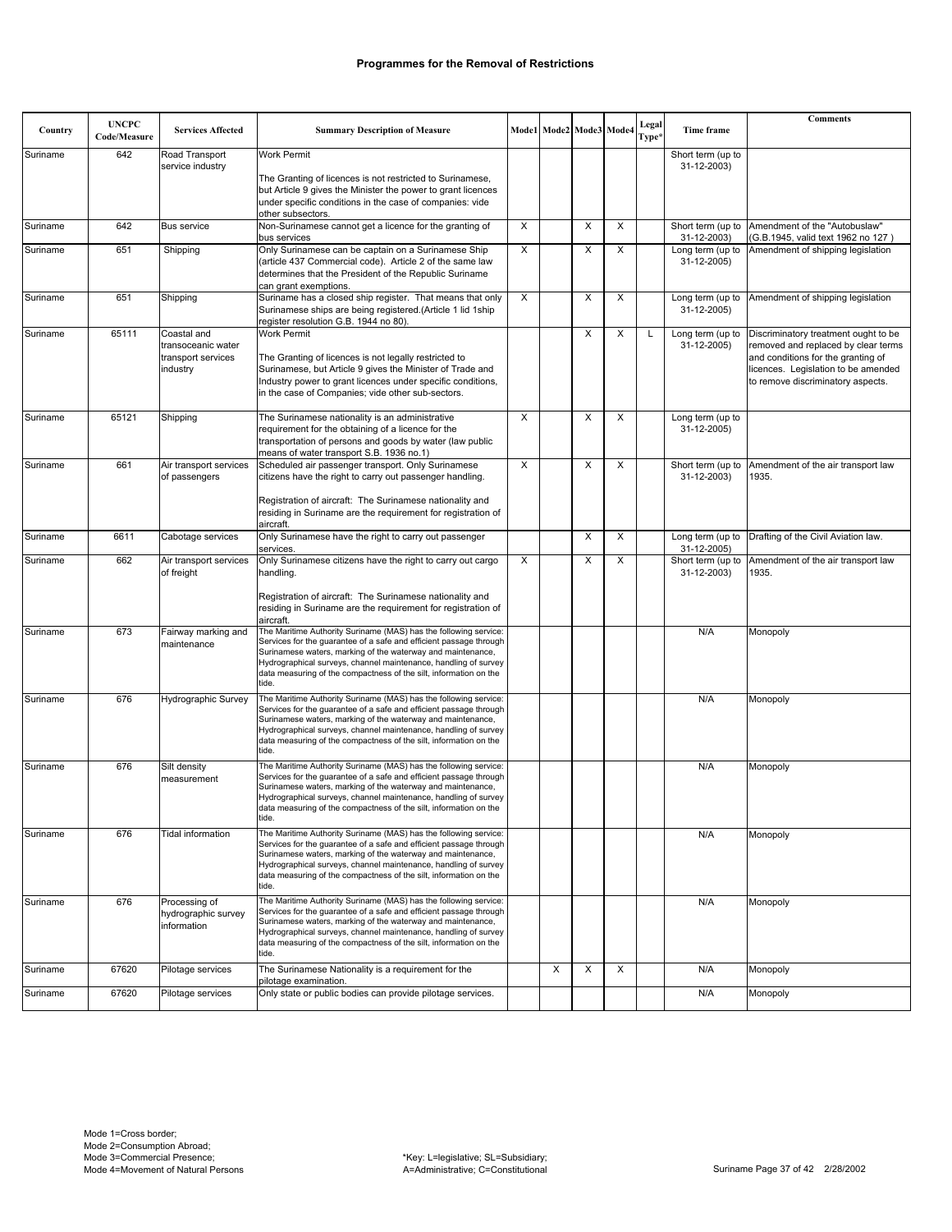|          | <b>UNCPC</b> |                                                      |                                                                                                                                                                                                                                                                                                                                                        |   |                         |   |   |                |                                  | <b>Comments</b>                                                                                                                                       |
|----------|--------------|------------------------------------------------------|--------------------------------------------------------------------------------------------------------------------------------------------------------------------------------------------------------------------------------------------------------------------------------------------------------------------------------------------------------|---|-------------------------|---|---|----------------|----------------------------------|-------------------------------------------------------------------------------------------------------------------------------------------------------|
| Country  | Code/Measure | <b>Services Affected</b>                             | <b>Summary Description of Measure</b>                                                                                                                                                                                                                                                                                                                  |   | Mode1 Mode2 Mode3 Mode4 |   |   | Legal<br>Type* | Time frame                       |                                                                                                                                                       |
| Suriname | 642          | Road Transport<br>service industry                   | <b>Work Permit</b>                                                                                                                                                                                                                                                                                                                                     |   |                         |   |   |                | Short term (up to<br>31-12-2003) |                                                                                                                                                       |
|          |              |                                                      | The Granting of licences is not restricted to Surinamese,<br>but Article 9 gives the Minister the power to grant licences                                                                                                                                                                                                                              |   |                         |   |   |                |                                  |                                                                                                                                                       |
|          |              |                                                      | under specific conditions in the case of companies: vide                                                                                                                                                                                                                                                                                               |   |                         |   |   |                |                                  |                                                                                                                                                       |
| Suriname | 642          | <b>Bus service</b>                                   | other subsectors.<br>Non-Surinamese cannot get a licence for the granting of                                                                                                                                                                                                                                                                           | X |                         | Χ | Χ |                |                                  | Short term (up to Amendment of the "Autobuslaw"                                                                                                       |
|          |              |                                                      | bus services                                                                                                                                                                                                                                                                                                                                           |   |                         |   |   |                | 31-12-2003)                      | (G.B.1945, valid text 1962 no 127)                                                                                                                    |
| Suriname | 651          | Shipping                                             | Only Surinamese can be captain on a Surinamese Ship<br>(article 437 Commercial code). Article 2 of the same law<br>determines that the President of the Republic Suriname<br>can grant exemptions.                                                                                                                                                     | X |                         | X | X |                | Long term (up to<br>31-12-2005)  | Amendment of shipping legislation                                                                                                                     |
| Suriname | 651          | Shipping                                             | Suriname has a closed ship register. That means that only<br>Surinamese ships are being registered.(Article 1 lid 1ship<br>register resolution G.B. 1944 no 80).                                                                                                                                                                                       | X |                         | Χ | X |                | Long term (up to<br>31-12-2005)  | Amendment of shipping legislation                                                                                                                     |
| Suriname | 65111        | Coastal and                                          | <b>Work Permit</b>                                                                                                                                                                                                                                                                                                                                     |   |                         | X | X | L              | Long term (up to                 | Discriminatory treatment ought to be                                                                                                                  |
|          |              | transoceanic water<br>transport services<br>industry | The Granting of licences is not legally restricted to<br>Surinamese, but Article 9 gives the Minister of Trade and<br>Industry power to grant licences under specific conditions,<br>in the case of Companies; vide other sub-sectors.                                                                                                                 |   |                         |   |   |                | 31-12-2005)                      | removed and replaced by clear terms<br>and conditions for the granting of<br>licences. Legislation to be amended<br>to remove discriminatory aspects. |
| Suriname | 65121        | Shipping                                             | The Surinamese nationality is an administrative<br>requirement for the obtaining of a licence for the<br>transportation of persons and goods by water (law public<br>means of water transport S.B. 1936 no.1)                                                                                                                                          | X |                         | X | X |                | Long term (up to<br>31-12-2005)  |                                                                                                                                                       |
| Suriname | 661          | Air transport services<br>of passengers              | Scheduled air passenger transport. Only Surinamese<br>citizens have the right to carry out passenger handling.                                                                                                                                                                                                                                         | X |                         | X | X |                | Short term (up to<br>31-12-2003) | Amendment of the air transport law<br>1935.                                                                                                           |
|          |              |                                                      | Registration of aircraft: The Surinamese nationality and<br>residing in Suriname are the requirement for registration of<br>aircraft.                                                                                                                                                                                                                  |   |                         |   |   |                |                                  |                                                                                                                                                       |
| Suriname | 6611         | Cabotage services                                    | Only Surinamese have the right to carry out passenger<br>services.                                                                                                                                                                                                                                                                                     |   |                         | X | X |                | Long term (up to<br>31-12-2005)  | Drafting of the Civil Aviation law.                                                                                                                   |
| Suriname | 662          | Air transport services<br>of freight                 | Only Surinamese citizens have the right to carry out cargo<br>handling.                                                                                                                                                                                                                                                                                | X |                         | X | X |                | Short term (up to<br>31-12-2003) | Amendment of the air transport law<br>1935.                                                                                                           |
|          |              |                                                      | Registration of aircraft: The Surinamese nationality and<br>residing in Suriname are the requirement for registration of<br>aircraft.                                                                                                                                                                                                                  |   |                         |   |   |                |                                  |                                                                                                                                                       |
| Suriname | 673          | Fairway marking and<br>maintenance                   | The Maritime Authority Suriname (MAS) has the following service:<br>Services for the guarantee of a safe and efficient passage through<br>Surinamese waters, marking of the waterway and maintenance,<br>Hydrographical surveys, channel maintenance, handling of survey<br>data measuring of the compactness of the silt, information on the<br>tide. |   |                         |   |   |                | N/A                              | Monopoly                                                                                                                                              |
| Suriname | 676          | Hydrographic Survey                                  | The Maritime Authority Suriname (MAS) has the following service:<br>Services for the guarantee of a safe and efficient passage through<br>Surinamese waters, marking of the waterway and maintenance,<br>Hydrographical surveys, channel maintenance, handling of survey<br>data measuring of the compactness of the silt, information on the<br>tide. |   |                         |   |   |                | N/A                              | Monopoly                                                                                                                                              |
| Suriname | 676          | Silt density<br>measurement                          | The Maritime Authority Suriname (MAS) has the following service:<br>Services for the guarantee of a safe and efficient passage through<br>Surinamese waters, marking of the waterway and maintenance,<br>Hydrographical surveys, channel maintenance, handling of survey<br>data measuring of the compactness of the silt, information on the<br>tide. |   |                         |   |   |                | N/A                              | Monopoly                                                                                                                                              |
| Suriname | 676          | Tidal information                                    | The Maritime Authority Suriname (MAS) has the following service:<br>Services for the guarantee of a safe and efficient passage through<br>Surinamese waters, marking of the waterway and maintenance,<br>Hydrographical surveys, channel maintenance, handling of survey<br>data measuring of the compactness of the silt, information on the<br>tide. |   |                         |   |   |                | N/A                              | Monopoly                                                                                                                                              |
| Suriname | 676          | Processing of<br>hydrographic survey<br>information  | The Maritime Authority Suriname (MAS) has the following service:<br>Services for the quarantee of a safe and efficient passage through<br>Surinamese waters, marking of the waterway and maintenance,<br>Hydrographical surveys, channel maintenance, handling of survey<br>data measuring of the compactness of the silt, information on the<br>tide. |   |                         |   |   |                | N/A                              | Monopoly                                                                                                                                              |
| Suriname | 67620        | Pilotage services                                    | The Surinamese Nationality is a requirement for the                                                                                                                                                                                                                                                                                                    |   | X                       | X | X |                | N/A                              | Monopoly                                                                                                                                              |
| Suriname | 67620        | Pilotage services                                    | pilotage examination.<br>Only state or public bodies can provide pilotage services.                                                                                                                                                                                                                                                                    |   |                         |   |   |                | N/A                              | Monopoly                                                                                                                                              |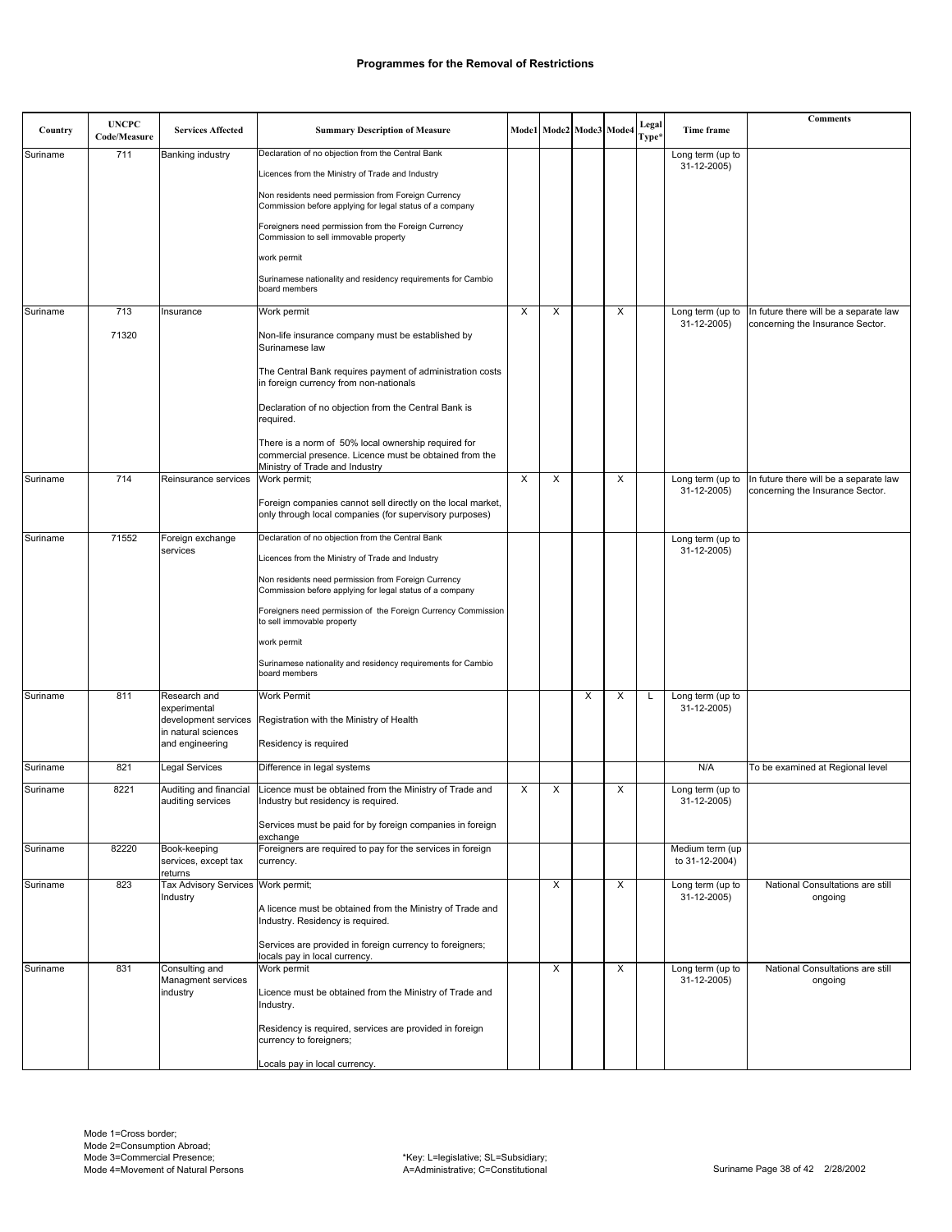| Country  | <b>UNCPC</b> | <b>Services Affected</b>                        |                                                                                                                                                 |   |   |   | Mode1 Mode2 Mode3 Mode4 | Legal | Time frame                        | <b>Comments</b>                             |
|----------|--------------|-------------------------------------------------|-------------------------------------------------------------------------------------------------------------------------------------------------|---|---|---|-------------------------|-------|-----------------------------------|---------------------------------------------|
|          | Code/Measure |                                                 | <b>Summary Description of Measure</b>                                                                                                           |   |   |   |                         | Type* |                                   |                                             |
| Suriname | 711          | Banking industry                                | Declaration of no objection from the Central Bank                                                                                               |   |   |   |                         |       | Long term (up to<br>31-12-2005)   |                                             |
|          |              |                                                 | Licences from the Ministry of Trade and Industry                                                                                                |   |   |   |                         |       |                                   |                                             |
|          |              |                                                 | Non residents need permission from Foreign Currency<br>Commission before applying for legal status of a company                                 |   |   |   |                         |       |                                   |                                             |
|          |              |                                                 | Foreigners need permission from the Foreign Currency<br>Commission to sell immovable property                                                   |   |   |   |                         |       |                                   |                                             |
|          |              |                                                 | work permit                                                                                                                                     |   |   |   |                         |       |                                   |                                             |
|          |              |                                                 | Surinamese nationality and residency requirements for Cambio<br>board members                                                                   |   |   |   |                         |       |                                   |                                             |
| Suriname | 713          | Insurance                                       | Work permit                                                                                                                                     | Х | X |   | X                       |       | Long term (up to                  | In future there will be a separate law      |
|          | 71320        |                                                 | Non-life insurance company must be established by<br>Surinamese law                                                                             |   |   |   |                         |       | 31-12-2005)                       | concerning the Insurance Sector.            |
|          |              |                                                 | The Central Bank requires payment of administration costs<br>in foreign currency from non-nationals                                             |   |   |   |                         |       |                                   |                                             |
|          |              |                                                 | Declaration of no objection from the Central Bank is<br>required.                                                                               |   |   |   |                         |       |                                   |                                             |
|          |              |                                                 | There is a norm of 50% local ownership required for<br>commercial presence. Licence must be obtained from the<br>Ministry of Trade and Industry |   |   |   |                         |       |                                   |                                             |
| Suriname | 714          | Reinsurance services                            | Work permit;                                                                                                                                    | X | X |   | X                       |       | Long term (up to                  | In future there will be a separate law      |
|          |              |                                                 | Foreign companies cannot sell directly on the local market,<br>only through local companies (for supervisory purposes)                          |   |   |   |                         |       | 31-12-2005)                       | concerning the Insurance Sector.            |
| Suriname | 71552        | Foreign exchange                                | Declaration of no objection from the Central Bank                                                                                               |   |   |   |                         |       | Long term (up to                  |                                             |
|          |              | services                                        | Licences from the Ministry of Trade and Industry                                                                                                |   |   |   |                         |       | 31-12-2005)                       |                                             |
|          |              |                                                 | Non residents need permission from Foreign Currency<br>Commission before applying for legal status of a company                                 |   |   |   |                         |       |                                   |                                             |
|          |              |                                                 | Foreigners need permission of the Foreign Currency Commission<br>to sell immovable property                                                     |   |   |   |                         |       |                                   |                                             |
|          |              |                                                 | work permit                                                                                                                                     |   |   |   |                         |       |                                   |                                             |
|          |              |                                                 | Surinamese nationality and residency requirements for Cambio<br>board members                                                                   |   |   |   |                         |       |                                   |                                             |
| Suriname | 811          | Research and                                    | <b>Work Permit</b>                                                                                                                              |   |   | X | X                       | L     | Long term (up to                  |                                             |
|          |              | experimental<br>development services            | Registration with the Ministry of Health                                                                                                        |   |   |   |                         |       | 31-12-2005)                       |                                             |
|          |              | in natural sciences<br>and engineering          | Residency is required                                                                                                                           |   |   |   |                         |       |                                   |                                             |
| Suriname | 821          | Legal Services                                  | Difference in legal systems                                                                                                                     |   |   |   |                         |       | N/A                               | To be examined at Regional level            |
| Suriname | 8221         | Auditing and financial                          | Licence must be obtained from the Ministry of Trade and                                                                                         | X | X |   | X                       |       | Long term (up to                  |                                             |
|          |              | auditing services                               | Industry but residency is required.                                                                                                             |   |   |   |                         |       | 31-12-2005)                       |                                             |
|          |              |                                                 | Services must be paid for by foreign companies in foreign<br>exchange                                                                           |   |   |   |                         |       |                                   |                                             |
| Suriname | 82220        | Book-keeping<br>services, except tax<br>returns | Foreigners are required to pay for the services in foreign<br>currency.                                                                         |   |   |   |                         |       | Medium term (up<br>to 31-12-2004) |                                             |
| Suriname | 823          | Tax Advisory Services Work permit;              |                                                                                                                                                 |   | X |   | X                       |       | Long term (up to                  | National Consultations are still            |
|          |              | Industry                                        | A licence must be obtained from the Ministry of Trade and<br>Industry. Residency is required.                                                   |   |   |   |                         |       | 31-12-2005)                       | ongoing                                     |
|          |              |                                                 | Services are provided in foreign currency to foreigners;<br>locals pay in local currency.                                                       |   |   |   |                         |       |                                   |                                             |
| Suriname | 831          | Consulting and<br>Managment services            | Work permit                                                                                                                                     |   | X |   | X                       |       | Long term (up to<br>31-12-2005)   | National Consultations are still<br>ongoing |
|          |              | industry                                        | Licence must be obtained from the Ministry of Trade and<br>Industry.                                                                            |   |   |   |                         |       |                                   |                                             |
|          |              |                                                 | Residency is required, services are provided in foreign<br>currency to foreigners;                                                              |   |   |   |                         |       |                                   |                                             |
|          |              |                                                 | Locals pay in local currency.                                                                                                                   |   |   |   |                         |       |                                   |                                             |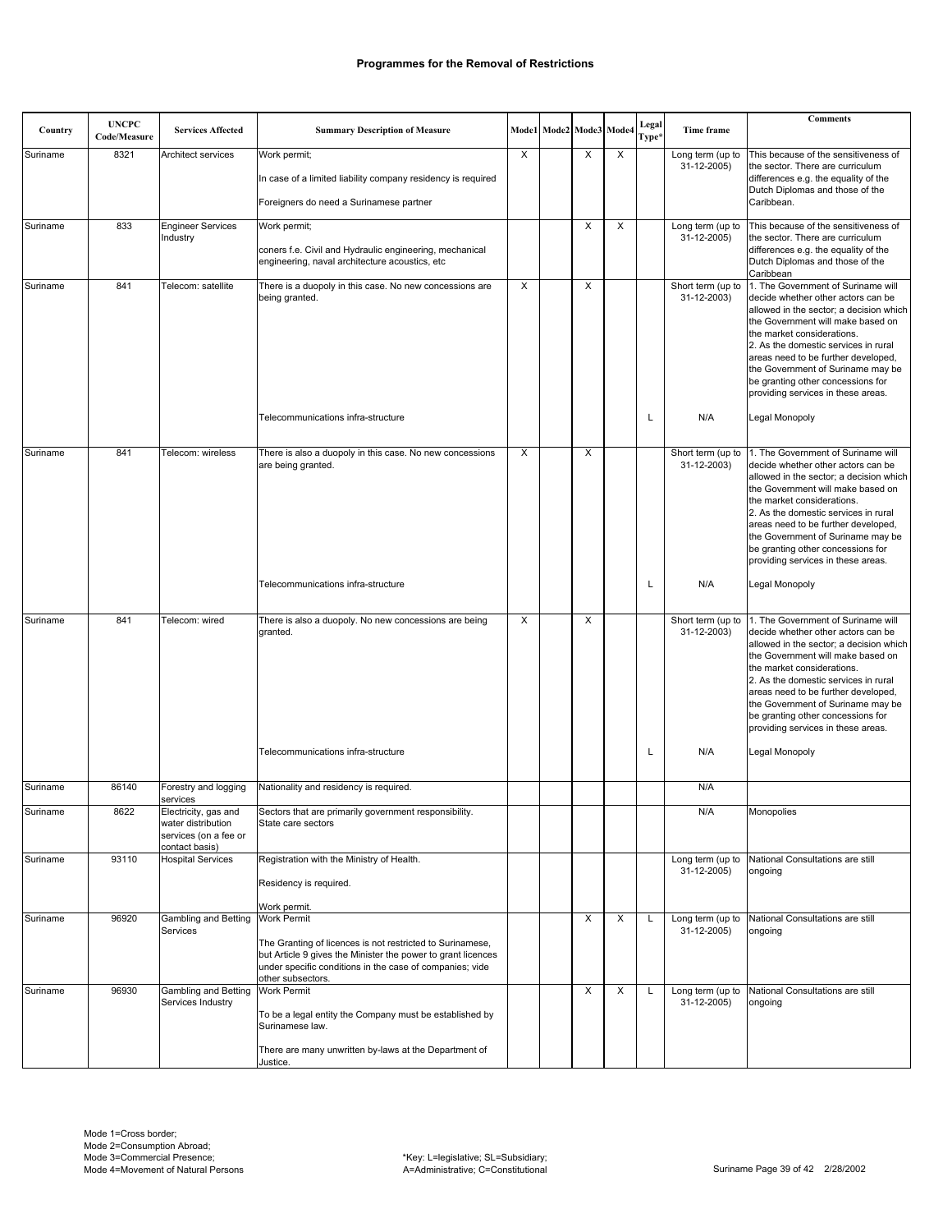| Country  | <b>UNCPC</b><br>Code/Measure | <b>Services Affected</b>                                                                          | <b>Summary Description of Measure</b>                                                                                                                                                                                            |   | Mode1 Mode2 Mode3 Mode4 |   |   | Legal<br>Type* | Time frame                       | <b>Comments</b>                                                                                                                                                                                                                                                                                                                                                                                         |
|----------|------------------------------|---------------------------------------------------------------------------------------------------|----------------------------------------------------------------------------------------------------------------------------------------------------------------------------------------------------------------------------------|---|-------------------------|---|---|----------------|----------------------------------|---------------------------------------------------------------------------------------------------------------------------------------------------------------------------------------------------------------------------------------------------------------------------------------------------------------------------------------------------------------------------------------------------------|
| Suriname | 8321                         | Architect services                                                                                | Work permit;<br>In case of a limited liability company residency is required<br>Foreigners do need a Surinamese partner                                                                                                          | X |                         | X | X |                | Long term (up to<br>31-12-2005)  | This because of the sensitiveness of<br>the sector. There are curriculum<br>differences e.g. the equality of the<br>Dutch Diplomas and those of the<br>Caribbean.                                                                                                                                                                                                                                       |
| Suriname | 833                          | <b>Engineer Services</b><br>Industry                                                              | Work permit;<br>coners f.e. Civil and Hydraulic engineering, mechanical<br>engineering, naval architecture acoustics, etc                                                                                                        |   |                         | X | X |                | Long term (up to<br>31-12-2005)  | This because of the sensitiveness of<br>the sector. There are curriculum<br>differences e.g. the equality of the<br>Dutch Diplomas and those of the<br>Caribbean                                                                                                                                                                                                                                        |
| Suriname | 841                          | Telecom: satellite                                                                                | There is a duopoly in this case. No new concessions are<br>being granted.                                                                                                                                                        | X |                         | X |   |                | Short term (up to<br>31-12-2003) | 1. The Government of Suriname will<br>decide whether other actors can be<br>allowed in the sector; a decision which<br>the Government will make based on<br>the market considerations.<br>2. As the domestic services in rural<br>areas need to be further developed,<br>the Government of Suriname may be<br>be granting other concessions for<br>providing services in these areas.                   |
|          |                              |                                                                                                   | Telecommunications infra-structure                                                                                                                                                                                               |   |                         |   |   | L              | N/A                              | Legal Monopoly                                                                                                                                                                                                                                                                                                                                                                                          |
| Suriname | 841                          | Telecom: wireless                                                                                 | There is also a duopoly in this case. No new concessions<br>are being granted.                                                                                                                                                   | X |                         | X |   |                | 31-12-2003)                      | Short term (up to 1. The Government of Suriname will<br>decide whether other actors can be<br>allowed in the sector; a decision which<br>the Government will make based on<br>the market considerations.<br>2. As the domestic services in rural<br>areas need to be further developed,<br>the Government of Suriname may be<br>be granting other concessions for<br>providing services in these areas. |
|          |                              |                                                                                                   | Telecommunications infra-structure                                                                                                                                                                                               |   |                         |   |   | L              | N/A                              | Legal Monopoly                                                                                                                                                                                                                                                                                                                                                                                          |
| Suriname | 841                          | Telecom: wired                                                                                    | There is also a duopoly. No new concessions are being<br>granted.                                                                                                                                                                | X |                         | X |   |                | 31-12-2003)                      | Short term (up to 1. The Government of Suriname will<br>decide whether other actors can be<br>allowed in the sector; a decision which<br>the Government will make based on<br>the market considerations.<br>2. As the domestic services in rural<br>areas need to be further developed,<br>the Government of Suriname may be<br>be granting other concessions for<br>providing services in these areas. |
|          |                              |                                                                                                   | Telecommunications infra-structure                                                                                                                                                                                               |   |                         |   |   | L              | N/A                              | Legal Monopoly                                                                                                                                                                                                                                                                                                                                                                                          |
| Suriname | 86140                        | Forestry and logging                                                                              | Nationality and residency is required.                                                                                                                                                                                           |   |                         |   |   |                | N/A                              |                                                                                                                                                                                                                                                                                                                                                                                                         |
| Suriname | 8622                         | services<br>Electricity, gas and<br>water distribution<br>services (on a fee or<br>contact basis) | Sectors that are primarily government responsibility.<br>State care sectors                                                                                                                                                      |   |                         |   |   |                | N/A                              | Monopolies                                                                                                                                                                                                                                                                                                                                                                                              |
| Suriname | 93110                        | <b>Hospital Services</b>                                                                          | Registration with the Ministry of Health.<br>Residency is required.<br>Work permit.                                                                                                                                              |   |                         |   |   |                | Long term (up to<br>31-12-2005)  | National Consultations are still<br>ongoing                                                                                                                                                                                                                                                                                                                                                             |
| Suriname | 96920                        | Gambling and Betting<br>Services                                                                  | <b>Work Permit</b><br>The Granting of licences is not restricted to Surinamese,<br>but Article 9 gives the Minister the power to grant licences<br>under specific conditions in the case of companies; vide<br>other subsectors. |   |                         | X | X | L              | Long term (up to<br>31-12-2005)  | National Consultations are still<br>ongoing                                                                                                                                                                                                                                                                                                                                                             |
| Suriname | 96930                        | Gambling and Betting<br>Services Industry                                                         | Work Permit<br>To be a legal entity the Company must be established by<br>Surinamese law.<br>There are many unwritten by-laws at the Department of<br>Justice.                                                                   |   |                         | X | X | L              | Long term (up to<br>31-12-2005)  | National Consultations are still<br>ongoing                                                                                                                                                                                                                                                                                                                                                             |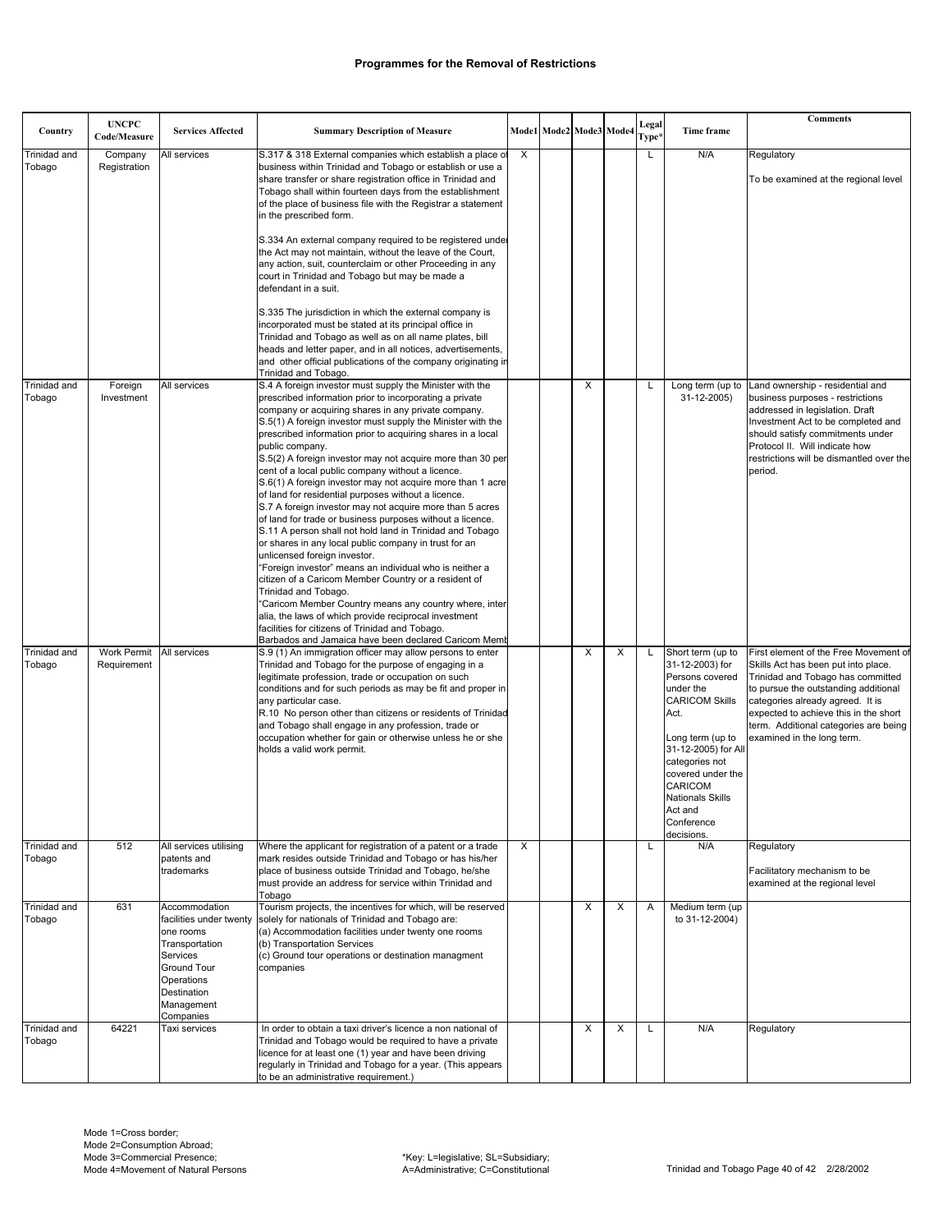|                        | <b>UNCPC</b>                      |                                          |                                                                                                                          |   |                         |   |   | Legal |                                         | <b>Comments</b>                                                              |
|------------------------|-----------------------------------|------------------------------------------|--------------------------------------------------------------------------------------------------------------------------|---|-------------------------|---|---|-------|-----------------------------------------|------------------------------------------------------------------------------|
| Country                | Code/Measure                      | <b>Services Affected</b>                 | <b>Summary Description of Measure</b>                                                                                    |   | Mode1 Mode2 Mode3 Mode4 |   |   | Type* | <b>Time frame</b>                       |                                                                              |
| Trinidad and           | Company                           | All services                             | S.317 & 318 External companies which establish a place of                                                                | X |                         |   |   | L     | N/A                                     | Regulatory                                                                   |
| Tobago                 | Registration                      |                                          | business within Trinidad and Tobago or establish or use a<br>share transfer or share registration office in Trinidad and |   |                         |   |   |       |                                         | To be examined at the regional level                                         |
|                        |                                   |                                          | Tobago shall within fourteen days from the establishment                                                                 |   |                         |   |   |       |                                         |                                                                              |
|                        |                                   |                                          | of the place of business file with the Registrar a statement                                                             |   |                         |   |   |       |                                         |                                                                              |
|                        |                                   |                                          | in the prescribed form.                                                                                                  |   |                         |   |   |       |                                         |                                                                              |
|                        |                                   |                                          | S.334 An external company required to be registered under                                                                |   |                         |   |   |       |                                         |                                                                              |
|                        |                                   |                                          | the Act may not maintain, without the leave of the Court,<br>any action, suit, counterclaim or other Proceeding in any   |   |                         |   |   |       |                                         |                                                                              |
|                        |                                   |                                          | court in Trinidad and Tobago but may be made a                                                                           |   |                         |   |   |       |                                         |                                                                              |
|                        |                                   |                                          | defendant in a suit.                                                                                                     |   |                         |   |   |       |                                         |                                                                              |
|                        |                                   |                                          | S.335 The jurisdiction in which the external company is                                                                  |   |                         |   |   |       |                                         |                                                                              |
|                        |                                   |                                          | incorporated must be stated at its principal office in                                                                   |   |                         |   |   |       |                                         |                                                                              |
|                        |                                   |                                          | Trinidad and Tobago as well as on all name plates, bill<br>heads and letter paper, and in all notices, advertisements,   |   |                         |   |   |       |                                         |                                                                              |
|                        |                                   |                                          | and other official publications of the company originating in                                                            |   |                         |   |   |       |                                         |                                                                              |
|                        |                                   |                                          | Trinidad and Tobago.                                                                                                     |   |                         |   |   |       |                                         |                                                                              |
| Trinidad and<br>Tobago | Foreign<br>Investment             | All services                             | S.4 A foreign investor must supply the Minister with the<br>prescribed information prior to incorporating a private      |   |                         | X |   | Г     | Long term (up to<br>31-12-2005)         | Land ownership - residential and<br>business purposes - restrictions         |
|                        |                                   |                                          | company or acquiring shares in any private company.                                                                      |   |                         |   |   |       |                                         | addressed in legislation. Draft                                              |
|                        |                                   |                                          | S.5(1) A foreign investor must supply the Minister with the                                                              |   |                         |   |   |       |                                         | Investment Act to be completed and                                           |
|                        |                                   |                                          | prescribed information prior to acquiring shares in a local<br>public company.                                           |   |                         |   |   |       |                                         | should satisfy commitments under<br>Protocol II. Will indicate how           |
|                        |                                   |                                          | S.5(2) A foreign investor may not acquire more than 30 per                                                               |   |                         |   |   |       |                                         | restrictions will be dismantled over the                                     |
|                        |                                   |                                          | cent of a local public company without a licence.<br>S.6(1) A foreign investor may not acquire more than 1 acre          |   |                         |   |   |       |                                         | period.                                                                      |
|                        |                                   |                                          | of land for residential purposes without a licence.                                                                      |   |                         |   |   |       |                                         |                                                                              |
|                        |                                   |                                          | S.7 A foreign investor may not acquire more than 5 acres                                                                 |   |                         |   |   |       |                                         |                                                                              |
|                        |                                   |                                          | of land for trade or business purposes without a licence.<br>S.11 A person shall not hold land in Trinidad and Tobago    |   |                         |   |   |       |                                         |                                                                              |
|                        |                                   |                                          | or shares in any local public company in trust for an                                                                    |   |                         |   |   |       |                                         |                                                                              |
|                        |                                   |                                          | unlicensed foreign investor.                                                                                             |   |                         |   |   |       |                                         |                                                                              |
|                        |                                   |                                          | "Foreign investor" means an individual who is neither a<br>citizen of a Caricom Member Country or a resident of          |   |                         |   |   |       |                                         |                                                                              |
|                        |                                   |                                          | Trinidad and Tobago.                                                                                                     |   |                         |   |   |       |                                         |                                                                              |
|                        |                                   |                                          | "Caricom Member Country means any country where, inter<br>alia, the laws of which provide reciprocal investment          |   |                         |   |   |       |                                         |                                                                              |
|                        |                                   |                                          | facilities for citizens of Trinidad and Tobago.                                                                          |   |                         |   |   |       |                                         |                                                                              |
|                        |                                   |                                          | Barbados and Jamaica have been declared Caricom Memb                                                                     |   |                         |   |   |       |                                         |                                                                              |
| Trinidad and<br>Tobago | <b>Work Permit</b><br>Requirement | All services                             | S.9 (1) An immigration officer may allow persons to enter<br>Trinidad and Tobago for the purpose of engaging in a        |   |                         | X | X |       | Short term (up to<br>31-12-2003) for    | First element of the Free Movement of<br>Skills Act has been put into place. |
|                        |                                   |                                          | legitimate profession, trade or occupation on such                                                                       |   |                         |   |   |       | Persons covered                         | Trinidad and Tobago has committed                                            |
|                        |                                   |                                          | conditions and for such periods as may be fit and proper in                                                              |   |                         |   |   |       | under the<br><b>CARICOM Skills</b>      | to pursue the outstanding additional                                         |
|                        |                                   |                                          | any particular case.<br>R.10 No person other than citizens or residents of Trinidad                                      |   |                         |   |   |       | Act.                                    | categories already agreed. It is<br>expected to achieve this in the short    |
|                        |                                   |                                          | and Tobago shall engage in any profession, trade or                                                                      |   |                         |   |   |       |                                         | term. Additional categories are being                                        |
|                        |                                   |                                          | occupation whether for gain or otherwise unless he or she<br>holds a valid work permit.                                  |   |                         |   |   |       | Long term (up to<br>31-12-2005) for All | examined in the long term.                                                   |
|                        |                                   |                                          |                                                                                                                          |   |                         |   |   |       | categories not                          |                                                                              |
|                        |                                   |                                          |                                                                                                                          |   |                         |   |   |       | covered under the                       |                                                                              |
|                        |                                   |                                          |                                                                                                                          |   |                         |   |   |       | CARICOM<br><b>Nationals Skills</b>      |                                                                              |
|                        |                                   |                                          |                                                                                                                          |   |                         |   |   |       | Act and                                 |                                                                              |
|                        |                                   |                                          |                                                                                                                          |   |                         |   |   |       | Conference<br>decisions.                |                                                                              |
| <b>Trinidad and</b>    | 512                               | All services utilising                   | Where the applicant for registration of a patent or a trade                                                              | X |                         |   |   | L     | N/A                                     | Regulatory                                                                   |
| Tobago                 |                                   | patents and                              | mark resides outside Trinidad and Tobago or has his/her                                                                  |   |                         |   |   |       |                                         |                                                                              |
|                        |                                   | trademarks                               | place of business outside Trinidad and Tobago, he/she<br>must provide an address for service within Trinidad and         |   |                         |   |   |       |                                         | Facilitatory mechanism to be<br>examined at the regional level               |
|                        |                                   |                                          | Tobago                                                                                                                   |   |                         |   |   |       |                                         |                                                                              |
| Trinidad and<br>Tobago | 631                               | Accommodation<br>facilities under twenty | Tourism projects, the incentives for which, will be reserved<br>solely for nationals of Trinidad and Tobago are:         |   |                         | X | X | Α     | Medium term (up<br>to 31-12-2004)       |                                                                              |
|                        |                                   | one rooms                                | (a) Accommodation facilities under twenty one rooms                                                                      |   |                         |   |   |       |                                         |                                                                              |
|                        |                                   | Transportation                           | (b) Transportation Services                                                                                              |   |                         |   |   |       |                                         |                                                                              |
|                        |                                   | Services<br>Ground Tour                  | (c) Ground tour operations or destination managment<br>companies                                                         |   |                         |   |   |       |                                         |                                                                              |
|                        |                                   | Operations                               |                                                                                                                          |   |                         |   |   |       |                                         |                                                                              |
|                        |                                   | Destination                              |                                                                                                                          |   |                         |   |   |       |                                         |                                                                              |
|                        |                                   | Management<br>Companies                  |                                                                                                                          |   |                         |   |   |       |                                         |                                                                              |
| Trinidad and           | 64221                             | Taxi services                            | In order to obtain a taxi driver's licence a non national of                                                             |   |                         | X | X | L     | N/A                                     | Regulatory                                                                   |
| Tobago                 |                                   |                                          | Trinidad and Tobago would be required to have a private<br>licence for at least one (1) year and have been driving       |   |                         |   |   |       |                                         |                                                                              |
|                        |                                   |                                          | regularly in Trinidad and Tobago for a year. (This appears                                                               |   |                         |   |   |       |                                         |                                                                              |
|                        |                                   |                                          | to be an administrative requirement.)                                                                                    |   |                         |   |   |       |                                         |                                                                              |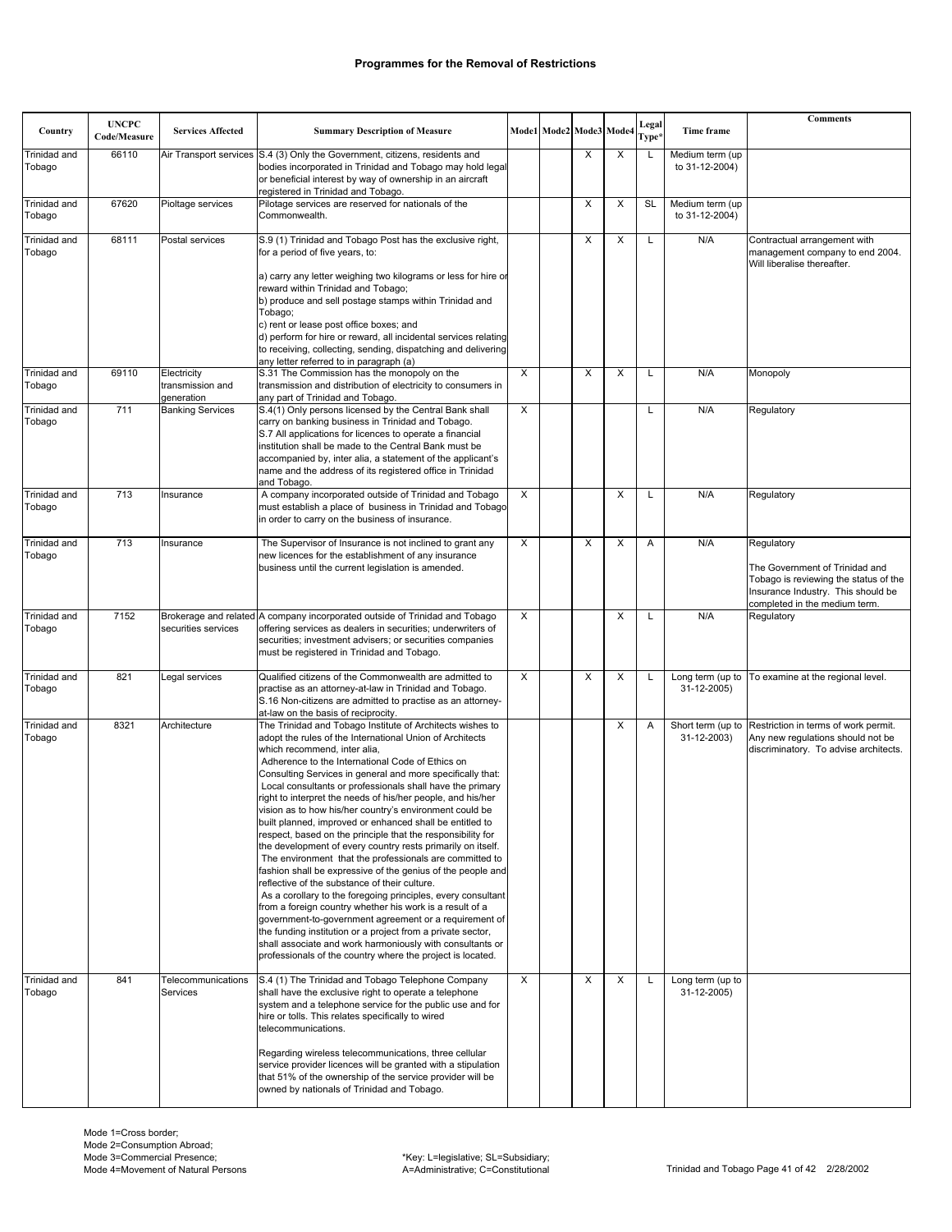| Country                       | <b>UNCPC</b><br>Code/Measure | <b>Services Affected</b>                      | <b>Summary Description of Measure</b>                                                                                                                                                                                                                                                                                                                                                                                                                                                                                                                                                                                                                                                                                                                                                                                                                                                                                                                                                                                                                                                                                                                                                                               |                         | Mode1 Mode2 Mode3 Mode4 |                         | Legal<br>Type* | Time frame                        | <b>Comments</b>                                                                                                                                              |
|-------------------------------|------------------------------|-----------------------------------------------|---------------------------------------------------------------------------------------------------------------------------------------------------------------------------------------------------------------------------------------------------------------------------------------------------------------------------------------------------------------------------------------------------------------------------------------------------------------------------------------------------------------------------------------------------------------------------------------------------------------------------------------------------------------------------------------------------------------------------------------------------------------------------------------------------------------------------------------------------------------------------------------------------------------------------------------------------------------------------------------------------------------------------------------------------------------------------------------------------------------------------------------------------------------------------------------------------------------------|-------------------------|-------------------------|-------------------------|----------------|-----------------------------------|--------------------------------------------------------------------------------------------------------------------------------------------------------------|
| Trinidad and<br>Tobago        | 66110                        |                                               | Air Transport services S.4 (3) Only the Government, citizens, residents and<br>bodies incorporated in Trinidad and Tobago may hold legal<br>or beneficial interest by way of ownership in an aircraft<br>registered in Trinidad and Tobago.                                                                                                                                                                                                                                                                                                                                                                                                                                                                                                                                                                                                                                                                                                                                                                                                                                                                                                                                                                         |                         | X                       | X                       | L              | Medium term (up<br>to 31-12-2004) |                                                                                                                                                              |
| Trinidad and<br>Tobago        | 67620                        | Pioltage services                             | Pilotage services are reserved for nationals of the<br>Commonwealth.                                                                                                                                                                                                                                                                                                                                                                                                                                                                                                                                                                                                                                                                                                                                                                                                                                                                                                                                                                                                                                                                                                                                                |                         | X                       | X                       | <b>SL</b>      | Medium term (up<br>to 31-12-2004) |                                                                                                                                                              |
| Trinidad and<br>Tobago        | 68111                        | Postal services                               | S.9 (1) Trinidad and Tobago Post has the exclusive right,<br>for a period of five years, to:<br>a) carry any letter weighing two kilograms or less for hire or<br>reward within Trinidad and Tobago;<br>b) produce and sell postage stamps within Trinidad and<br>Tobago;<br>c) rent or lease post office boxes; and<br>d) perform for hire or reward, all incidental services relating                                                                                                                                                                                                                                                                                                                                                                                                                                                                                                                                                                                                                                                                                                                                                                                                                             |                         | X                       | X                       | L              | N/A                               | Contractual arrangement with<br>management company to end 2004.<br>Will liberalise thereafter.                                                               |
|                               |                              |                                               | to receiving, collecting, sending, dispatching and delivering<br>any letter referred to in paragraph (a)                                                                                                                                                                                                                                                                                                                                                                                                                                                                                                                                                                                                                                                                                                                                                                                                                                                                                                                                                                                                                                                                                                            |                         |                         |                         |                |                                   |                                                                                                                                                              |
| Trinidad and<br>Tobago        | 69110                        | Electricity<br>transmission and<br>generation | S.31 The Commission has the monopoly on the<br>transmission and distribution of electricity to consumers in<br>any part of Trinidad and Tobago.                                                                                                                                                                                                                                                                                                                                                                                                                                                                                                                                                                                                                                                                                                                                                                                                                                                                                                                                                                                                                                                                     | $\overline{\mathsf{x}}$ | X                       | $\overline{\mathsf{x}}$ | L              | N/A                               | Monopoly                                                                                                                                                     |
| Trinidad and<br>Tobago        | 711                          | <b>Banking Services</b>                       | S.4(1) Only persons licensed by the Central Bank shall<br>carry on banking business in Trinidad and Tobago.<br>S.7 All applications for licences to operate a financial<br>institution shall be made to the Central Bank must be<br>accompanied by, inter alia, a statement of the applicant's<br>name and the address of its registered office in Trinidad<br>and Tobago.                                                                                                                                                                                                                                                                                                                                                                                                                                                                                                                                                                                                                                                                                                                                                                                                                                          | X                       |                         |                         |                | N/A                               | Regulatory                                                                                                                                                   |
| <b>Trinidad and</b><br>Tobago | 713                          | Insurance                                     | A company incorporated outside of Trinidad and Tobago<br>must establish a place of business in Trinidad and Tobago<br>in order to carry on the business of insurance.                                                                                                                                                                                                                                                                                                                                                                                                                                                                                                                                                                                                                                                                                                                                                                                                                                                                                                                                                                                                                                               | $\overline{\mathsf{x}}$ |                         | $\overline{\mathsf{x}}$ | L              | N/A                               | Regulatory                                                                                                                                                   |
| Trinidad and<br>Tobago        | 713                          | Insurance                                     | The Supervisor of Insurance is not inclined to grant any<br>new licences for the establishment of any insurance<br>business until the current legislation is amended.                                                                                                                                                                                                                                                                                                                                                                                                                                                                                                                                                                                                                                                                                                                                                                                                                                                                                                                                                                                                                                               | X                       | X                       | X                       | Α              | N/A                               | Regulatory<br>The Government of Trinidad and<br>Tobago is reviewing the status of the<br>Insurance Industry. This should be<br>completed in the medium term. |
| Trinidad and<br>Tobago        | 7152                         | securities services                           | Brokerage and related A company incorporated outside of Trinidad and Tobago<br>offering services as dealers in securities; underwriters of<br>securities; investment advisers; or securities companies<br>must be registered in Trinidad and Tobago.                                                                                                                                                                                                                                                                                                                                                                                                                                                                                                                                                                                                                                                                                                                                                                                                                                                                                                                                                                | $\overline{\mathsf{x}}$ |                         | $\overline{\mathsf{x}}$ | L              | N/A                               | Regulatory                                                                                                                                                   |
| Trinidad and<br>Tobago        | 821                          | Legal services                                | Qualified citizens of the Commonwealth are admitted to<br>practise as an attorney-at-law in Trinidad and Tobago.<br>S.16 Non-citizens are admitted to practise as an attorney-<br>at-law on the basis of reciprocity.                                                                                                                                                                                                                                                                                                                                                                                                                                                                                                                                                                                                                                                                                                                                                                                                                                                                                                                                                                                               | $\overline{X}$          | X                       | X                       | L              | Long term (up to<br>31-12-2005)   | To examine at the regional level.                                                                                                                            |
| Trinidad and<br>Tobago        | 8321                         | Architecture                                  | The Trinidad and Tobago Institute of Architects wishes to<br>adopt the rules of the International Union of Architects<br>which recommend, inter alia,<br>Adherence to the International Code of Ethics on<br>Consulting Services in general and more specifically that:<br>Local consultants or professionals shall have the primary<br>right to interpret the needs of his/her people, and his/her<br>vision as to how his/her country's environment could be<br>built planned, improved or enhanced shall be entitled to<br>respect, based on the principle that the responsibility for<br>the development of every country rests primarily on itself.<br>The environment that the professionals are committed to<br>fashion shall be expressive of the genius of the people and<br>reflective of the substance of their culture.<br>As a corollary to the foregoing principles, every consultant<br>from a foreign country whether his work is a result of a<br>government-to-government agreement or a requirement of<br>the funding institution or a project from a private sector,<br>shall associate and work harmoniously with consultants or<br>professionals of the country where the project is located. |                         |                         | X                       | Α              | Short term (up to<br>31-12-2003)  | Restriction in terms of work permit.<br>Any new regulations should not be<br>discriminatory. To advise architects.                                           |
| Trinidad and<br>Tobago        | 841                          | Telecommunications<br>Services                | S.4 (1) The Trinidad and Tobago Telephone Company<br>shall have the exclusive right to operate a telephone<br>system and a telephone service for the public use and for<br>hire or tolls. This relates specifically to wired<br>telecommunications.<br>Regarding wireless telecommunications, three cellular<br>service provider licences will be granted with a stipulation<br>that 51% of the ownership of the service provider will be<br>owned by nationals of Trinidad and Tobago.                                                                                                                                                                                                                                                                                                                                                                                                                                                                                                                                                                                                                                                                                                                             | X                       | X                       | X                       | L              | Long term (up to<br>31-12-2005)   |                                                                                                                                                              |